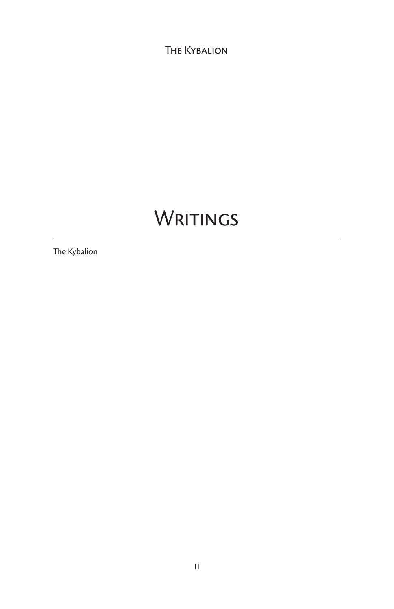The Kybalion

# WRITINGS

The Kybalion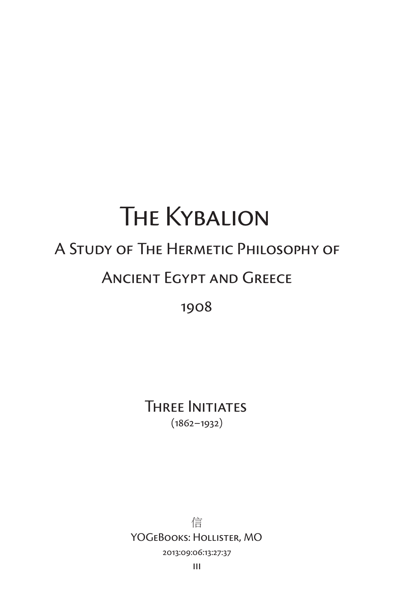### A Study of The Hermetic Philosophy of

### Ancient Egypt and Greece

1908

Three Initiates (1862–1932)

信 YOGEBOOKS: HOLLISTER, MO 2013:09:06:13:27:37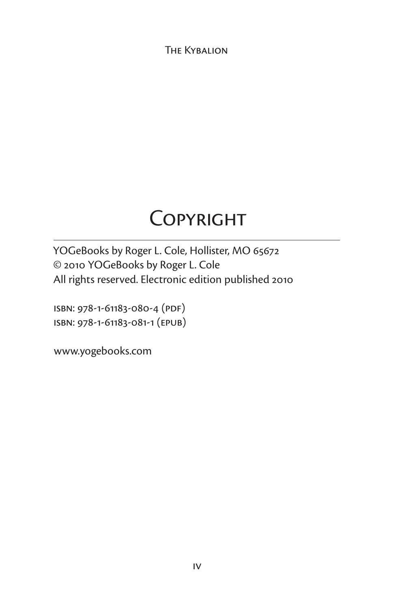The Kybalion

# **COPYRIGHT**

YOGeBooks by Roger L. Cole, Hollister, MO 65672 © 2010 YOGeBooks by Roger L. Cole All rights reserved. Electronic edition published 2010

isbn: 978‑1‑61183‑080‑4 (pdf) isbn: 978‑1‑61183‑081‑1 (epub)

[www.yogebooks.com](http://www.yogebooks.com)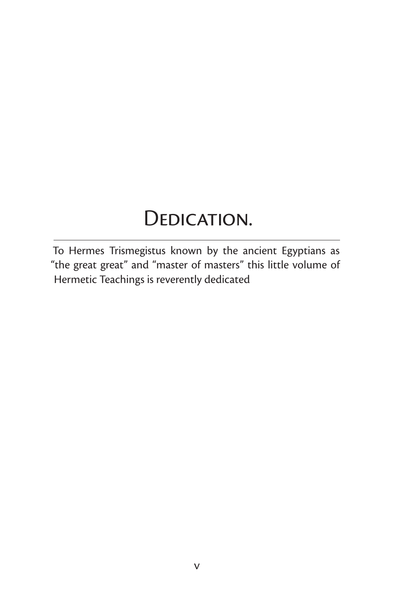## DEDICATION.

To Hermes Trismegistus known by the ancient Egyptians as "the great great" and "master of masters" this little volume of Hermetic Teachings is reverently dedicated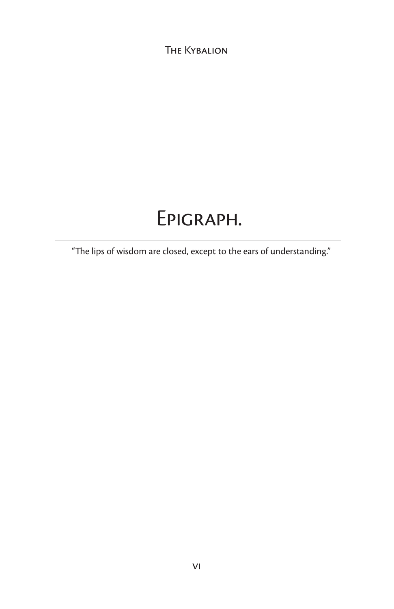The Kybalion

# Epigraph.

"The lips of wisdom are closed, except to the ears of understanding."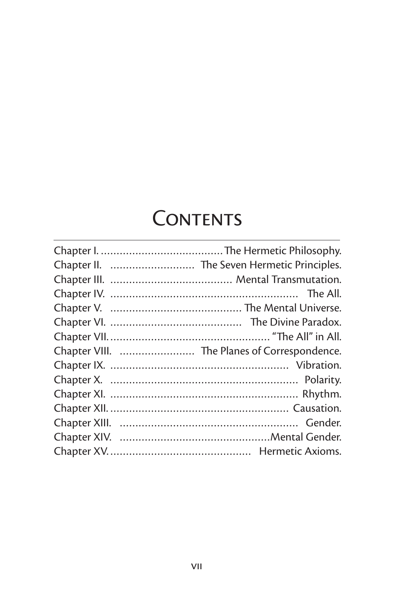# **CONTENTS**

| Chapter II.  The Seven Hermetic Principles.  |
|----------------------------------------------|
|                                              |
|                                              |
|                                              |
|                                              |
|                                              |
| Chapter VIII.  The Planes of Correspondence. |
|                                              |
|                                              |
|                                              |
|                                              |
|                                              |
|                                              |
|                                              |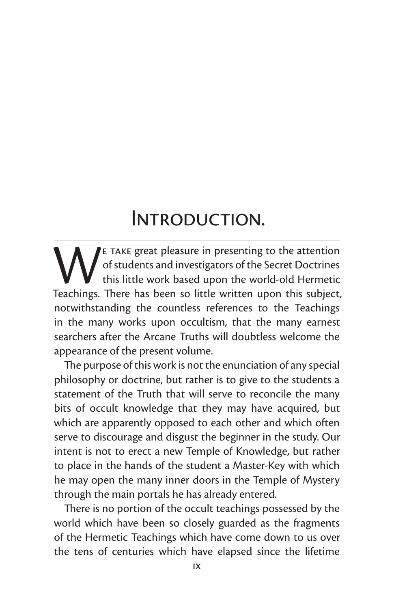## Introduction.

E TAKE great pleasure in presenting to the attention of students and investigators of the Secret Doctrines this little work based upon the world‑old Hermetic Teachings. There has been so little written upon this subject, notwithstanding the countless references to the Teachings in the many works upon occultism, that the many earnest searchers after the Arcane Truths will doubtless welcome the appearance of the present volume.

The purpose of this work is not the enunciation of any special philosophy or doctrine, but rather is to give to the students a statement of the Truth that will serve to reconcile the many bits of occult knowledge that they may have acquired, but which are apparently opposed to each other and which often serve to discourage and disgust the beginner in the study. Our intent is not to erect a new Temple of Knowledge, but rather to place in the hands of the student a Master‑Key with which he may open the many inner doors in the Temple of Mystery through the main portals he has already entered.

There is no portion of the occult teachings possessed by the world which have been so closely guarded as the fragments of the Hermetic Teachings which have come down to us over the tens of centuries which have elapsed since the lifetime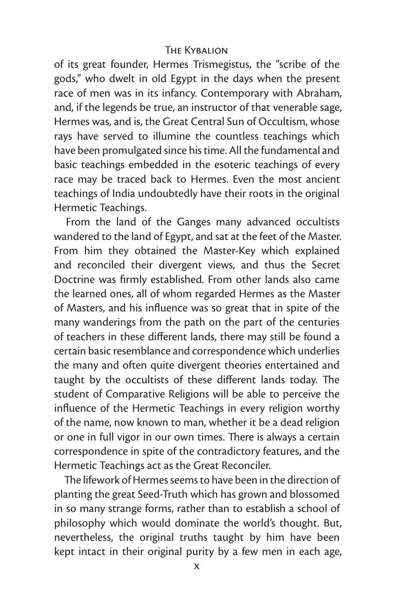of its great founder, Hermes Trismegistus, the "scribe of the gods," who dwelt in old Egypt in the days when the present race of men was in its infancy. Contemporary with Abraham, and, if the legends be true, an instructor of that venerable sage, Hermes was, and is, the Great Central Sun of Occultism, whose rays have served to illumine the countless teachings which have been promulgated since his time. All the fundamental and basic teachings embedded in the esoteric teachings of every race may be traced back to Hermes. Even the most ancient teachings of India undoubtedly have their roots in the original Hermetic Teachings.

From the land of the Ganges many advanced occultists wandered to the land of Egypt, and sat at the feet of the Master. From him they obtained the Master-Key which explained and reconciled their divergent views, and thus the Secret Doctrine was firmly established. From other lands also came the learned ones, all of whom regarded Hermes as the Master of Masters, and his influence was so great that in spite of the many wanderings from the path on the part of the centuries of teachers in these different lands, there may still be found a certain basic resemblance and correspondence which underlies the many and often quite divergent theories entertained and taught by the occultists of these different lands today. The student of Comparative Religions will be able to perceive the influence of the Hermetic Teachings in every religion worthy of the name, now known to man, whether it be a dead religion or one in full vigor in our own times. There is always a certain correspondence in spite of the contradictory features, and the Hermetic Teachings act as the Great Reconciler.

The lifework of Hermes seems to have been in the direction of planting the great Seed‑Truth which has grown and blossomed in so many strange forms, rather than to establish a school of philosophy which would dominate the world's thought. But, nevertheless, the original truths taught by him have been kept intact in their original purity by a few men in each age,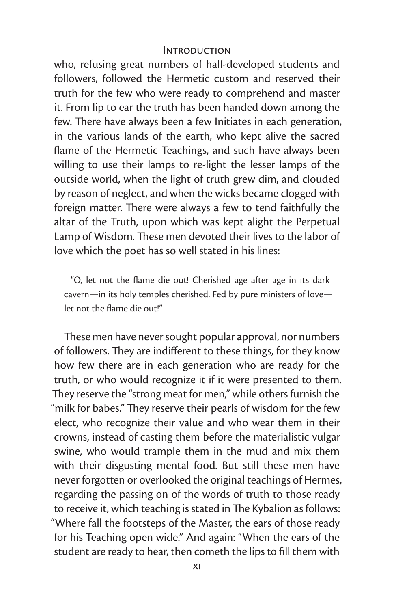#### **INTRODUCTION**

who, refusing great numbers of half-developed students and followers, followed the Hermetic custom and reserved their truth for the few who were ready to comprehend and master it. From lip to ear the truth has been handed down among the few. There have always been a few Initiates in each generation, in the various lands of the earth, who kept alive the sacred flame of the Hermetic Teachings, and such have always been willing to use their lamps to re‑light the lesser lamps of the outside world, when the light of truth grew dim, and clouded by reason of neglect, and when the wicks became clogged with foreign matter. There were always a few to tend faithfully the altar of the Truth, upon which was kept alight the Perpetual Lamp of Wisdom. These men devoted their lives to the labor of love which the poet has so well stated in his lines:

"O, let not the flame die out! Cherished age after age in its dark cavern—in its holy temples cherished. Fed by pure ministers of love let not the flame die out!"

These men have never sought popular approval, nor numbers of followers. They are indifferent to these things, for they know how few there are in each generation who are ready for the truth, or who would recognize it if it were presented to them. They reserve the "strong meat for men," while others furnish the "milk for babes." They reserve their pearls of wisdom for the few elect, who recognize their value and who wear them in their crowns, instead of casting them before the materialistic vulgar swine, who would trample them in the mud and mix them with their disgusting mental food. But still these men have never forgotten or overlooked the original teachings of Hermes, regarding the passing on of the words of truth to those ready to receive it, which teaching is stated in The Kybalion as follows: "Where fall the footsteps of the Master, the ears of those ready for his Teaching open wide." And again: "When the ears of the student are ready to hear, then cometh the lips to fill them with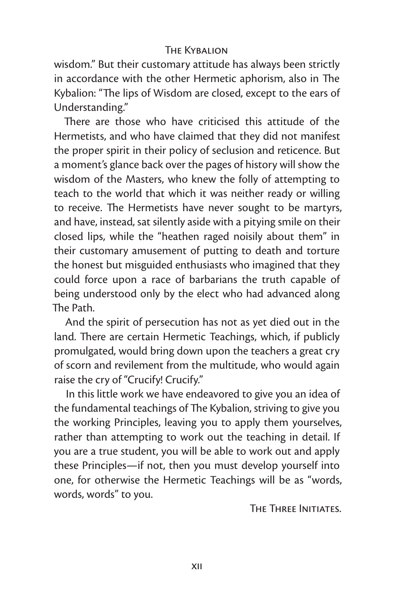wisdom." But their customary attitude has always been strictly in accordance with the other Hermetic aphorism, also in The Kybalion: "The lips of Wisdom are closed, except to the ears of Understanding."

There are those who have criticised this attitude of the Hermetists, and who have claimed that they did not manifest the proper spirit in their policy of seclusion and reticence. But a moment's glance back over the pages of history will show the wisdom of the Masters, who knew the folly of attempting to teach to the world that which it was neither ready or willing to receive. The Hermetists have never sought to be martyrs, and have, instead, sat silently aside with a pitying smile on their closed lips, while the "heathen raged noisily about them" in their customary amusement of putting to death and torture the honest but misguided enthusiasts who imagined that they could force upon a race of barbarians the truth capable of being understood only by the elect who had advanced along The Path.

And the spirit of persecution has not as yet died out in the land. There are certain Hermetic Teachings, which, if publicly promulgated, would bring down upon the teachers a great cry of scorn and revilement from the multitude, who would again raise the cry of "Crucify! Crucify."

In this little work we have endeavored to give you an idea of the fundamental teachings of The Kybalion, striving to give you the working Principles, leaving you to apply them yourselves, rather than attempting to work out the teaching in detail. If you are a true student, you will be able to work out and apply these Principles—if not, then you must develop yourself into one, for otherwise the Hermetic Teachings will be as "words, words, words" to you.

THE THREE INITIATES.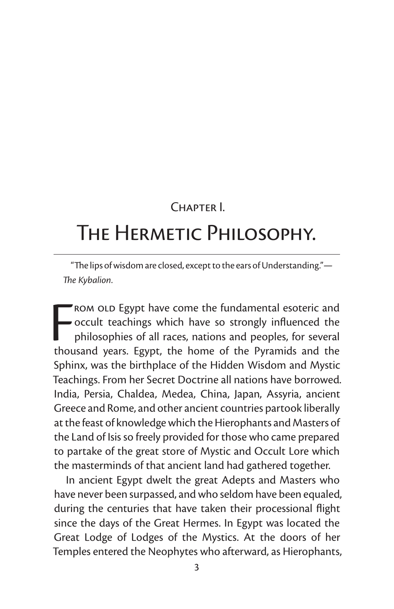#### Chapter I.

### <span id="page-14-0"></span>The Hermetic Philosophy.

"The lips of wisdom are closed, except to the ears of Understanding."— *The Kybalion*.

**FROM OLD Egypt have come the fundamental esoteric and occult teachings which have so strongly influenced the philosophies of all races, nations and peoples, for several thousand years. Egypt, the home of the Pyramids and** ROM OLD Egypt have come the fundamental esoteric and occult teachings which have so strongly influenced the philosophies of all races, nations and peoples, for several Sphinx, was the birthplace of the Hidden Wisdom and Mystic Teachings. From her Secret Doctrine all nations have borrowed. India, Persia, Chaldea, Medea, China, Japan, Assyria, ancient Greece and Rome, and other ancient countries partook liberally at the feast of knowledge which the Hierophants and Masters of the Land of Isis so freely provided for those who came prepared to partake of the great store of Mystic and Occult Lore which the masterminds of that ancient land had gathered together.

In ancient Egypt dwelt the great Adepts and Masters who have never been surpassed, and who seldom have been equaled, during the centuries that have taken their processional flight since the days of the Great Hermes. In Egypt was located the Great Lodge of Lodges of the Mystics. At the doors of her Temples entered the Neophytes who afterward, as Hierophants,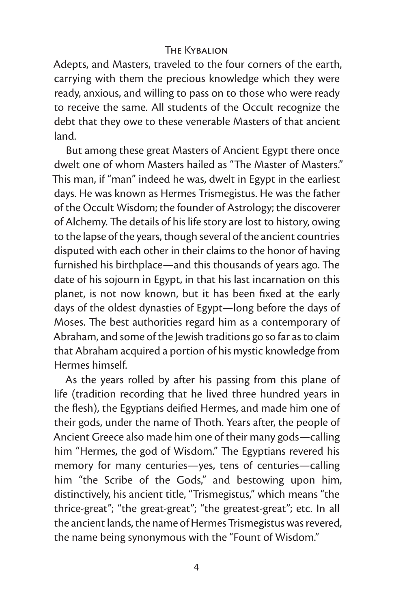Adepts, and Masters, traveled to the four corners of the earth, carrying with them the precious knowledge which they were ready, anxious, and willing to pass on to those who were ready to receive the same. All students of the Occult recognize the debt that they owe to these venerable Masters of that ancient land.

But among these great Masters of Ancient Egypt there once dwelt one of whom Masters hailed as "The Master of Masters." This man, if "man" indeed he was, dwelt in Egypt in the earliest days. He was known as Hermes Trismegistus. He was the father of the Occult Wisdom; the founder of Astrology; the discoverer of Alchemy. The details of his life story are lost to history, owing to the lapse of the years, though several of the ancient countries disputed with each other in their claims to the honor of having furnished his birthplace—and this thousands of years ago. The date of his sojourn in Egypt, in that his last incarnation on this planet, is not now known, but it has been fixed at the early days of the oldest dynasties of Egypt—long before the days of Moses. The best authorities regard him as a contemporary of Abraham, and some of the Jewish traditions go so far as to claim that Abraham acquired a portion of his mystic knowledge from Hermes himself.

As the years rolled by after his passing from this plane of life (tradition recording that he lived three hundred years in the flesh), the Egyptians deified Hermes, and made him one of their gods, under the name of Thoth. Years after, the people of Ancient Greece also made him one of their many gods—calling him "Hermes, the god of Wisdom." The Egyptians revered his memory for many centuries—yes, tens of centuries—calling him "the Scribe of the Gods," and bestowing upon him, distinctively, his ancient title, "Trismegistus," which means "the thrice‑great"; "the great‑great"; "the greatest‑great"; etc. In all the ancient lands, the name of Hermes Trismegistus was revered, the name being synonymous with the "Fount of Wisdom."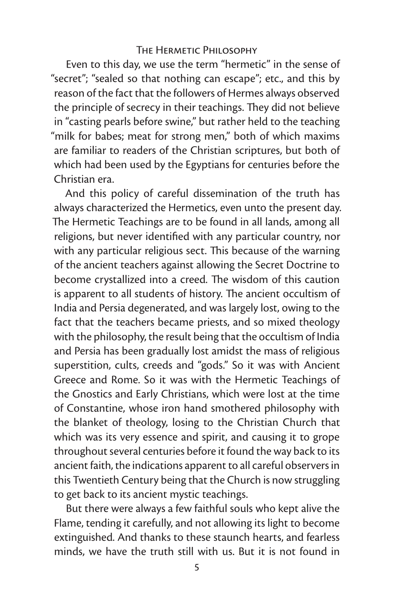#### The Hermetic Philosophy

Even to this day, we use the term "hermetic" in the sense of "secret"; "sealed so that nothing can escape"; etc., and this by reason of the fact that the followers of Hermes always observed the principle of secrecy in their teachings. They did not believe in "casting pearls before swine," but rather held to the teaching "milk for babes; meat for strong men," both of which maxims are familiar to readers of the Christian scriptures, but both of which had been used by the Egyptians for centuries before the Christian era.

And this policy of careful dissemination of the truth has always characterized the Hermetics, even unto the present day. The Hermetic Teachings are to be found in all lands, among all religions, but never identified with any particular country, nor with any particular religious sect. This because of the warning of the ancient teachers against allowing the Secret Doctrine to become crystallized into a creed. The wisdom of this caution is apparent to all students of history. The ancient occultism of India and Persia degenerated, and was largely lost, owing to the fact that the teachers became priests, and so mixed theology with the philosophy, the result being that the occultism of India and Persia has been gradually lost amidst the mass of religious superstition, cults, creeds and "gods." So it was with Ancient Greece and Rome. So it was with the Hermetic Teachings of the Gnostics and Early Christians, which were lost at the time of Constantine, whose iron hand smothered philosophy with the blanket of theology, losing to the Christian Church that which was its very essence and spirit, and causing it to grope throughout several centuries before it found the way back to its ancient faith, the indications apparent to all careful observers in this Twentieth Century being that the Church is now struggling to get back to its ancient mystic teachings.

But there were always a few faithful souls who kept alive the Flame, tending it carefully, and not allowing its light to become extinguished. And thanks to these staunch hearts, and fearless minds, we have the truth still with us. But it is not found in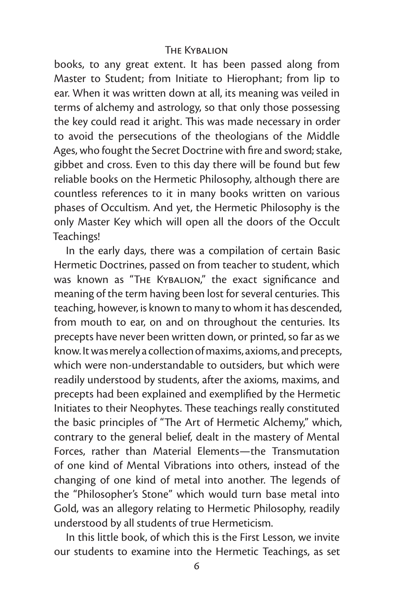books, to any great extent. It has been passed along from Master to Student; from Initiate to Hierophant; from lip to ear. When it was written down at all, its meaning was veiled in terms of alchemy and astrology, so that only those possessing the key could read it aright. This was made necessary in order to avoid the persecutions of the theologians of the Middle Ages, who fought the Secret Doctrine with fire and sword; stake, gibbet and cross. Even to this day there will be found but few reliable books on the Hermetic Philosophy, although there are countless references to it in many books written on various phases of Occultism. And yet, the Hermetic Philosophy is the only Master Key which will open all the doors of the Occult Teachings!

In the early days, there was a compilation of certain Basic Hermetic Doctrines, passed on from teacher to student, which was known as "The Kybalion," the exact significance and meaning of the term having been lost for several centuries. This teaching, however, is known to many to whom it has descended, from mouth to ear, on and on throughout the centuries. Its precepts have never been written down, or printed, so far as we know. It was merely a collection of maxims, axioms, and precepts, which were non-understandable to outsiders, but which were readily understood by students, after the axioms, maxims, and precepts had been explained and exemplified by the Hermetic Initiates to their Neophytes. These teachings really constituted the basic principles of "The Art of Hermetic Alchemy," which, contrary to the general belief, dealt in the mastery of Mental Forces, rather than Material Elements—the Transmutation of one kind of Mental Vibrations into others, instead of the changing of one kind of metal into another. The legends of the "Philosopher's Stone" which would turn base metal into Gold, was an allegory relating to Hermetic Philosophy, readily understood by all students of true Hermeticism.

In this little book, of which this is the First Lesson, we invite our students to examine into the Hermetic Teachings, as set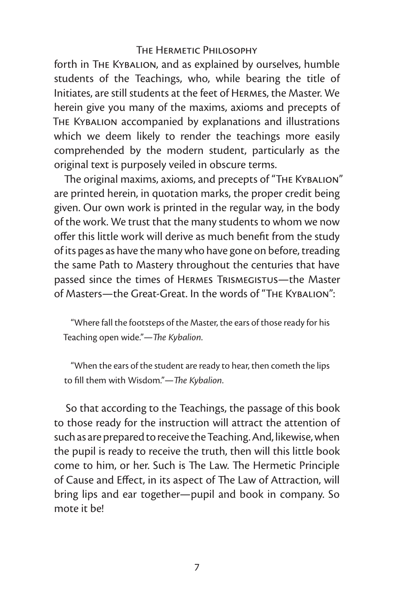#### The Hermetic Philosophy

forth in The Kybalion, and as explained by ourselves, humble students of the Teachings, who, while bearing the title of Initiates, are still students at the feet of Hermes, the Master. We herein give you many of the maxims, axioms and precepts of THE KYBALION accompanied by explanations and illustrations which we deem likely to render the teachings more easily comprehended by the modern student, particularly as the original text is purposely veiled in obscure terms.

The original maxims, axioms, and precepts of "The KYBALION" are printed herein, in quotation marks, the proper credit being given. Our own work is printed in the regular way, in the body of the work. We trust that the many students to whom we now offer this little work will derive as much benefit from the study of its pages as have the many who have gone on before, treading the same Path to Mastery throughout the centuries that have passed since the times of Hermes Trismegistus—the Master of Masters—the Great‑Great. In the words of "The Kybalion":

"Where fall the footsteps of the Master, the ears of those ready for his Teaching open wide."—*The Kybalion*.

"When the ears of the student are ready to hear, then cometh the lips to fill them with Wisdom."—*The Kybalion*.

So that according to the Teachings, the passage of this book to those ready for the instruction will attract the attention of such as are prepared to receive the Teaching. And, likewise, when the pupil is ready to receive the truth, then will this little book come to him, or her. Such is The Law. The Hermetic Principle of Cause and Effect, in its aspect of The Law of Attraction, will bring lips and ear together—pupil and book in company. So mote it be!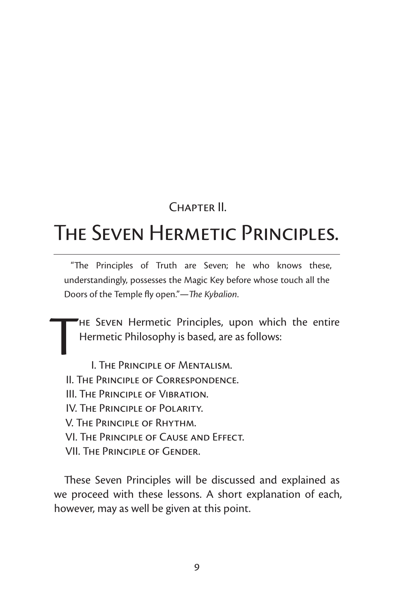#### Chapter II.

# <span id="page-20-0"></span>The Seven Hermetic Principles.

"The Principles of Truth are Seven; he who knows these, understandingly, possesses the Magic Key before whose touch all the Doors of the Temple fly open."—*The Kybalion*.

THE SEVEN Hermetic Principles, upon which the entire Hermetic Philosophy is based, are as follows:

I. The Principle of Mentalism. II. The Principle of Correspondence. III. The Principle of Vibration. IV. The Principle of Polarity. V. The Principle of Rhythm. VI. The Principle of Cause and Effect. VII. The Principle of Gender.

These Seven Principles will be discussed and explained as we proceed with these lessons. A short explanation of each, however, may as well be given at this point.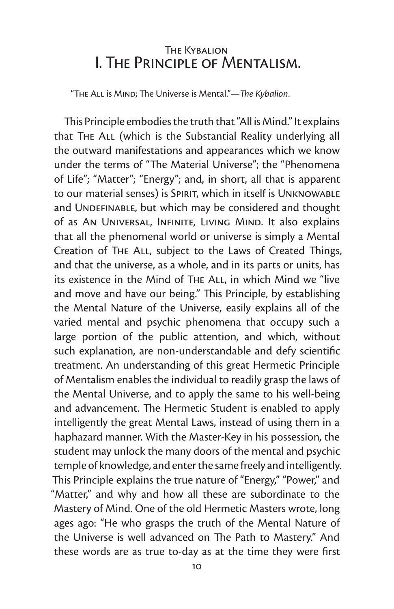#### The Kybalion I. The Principle of Mentalism.

"The All is Mind; The Universe is Mental."—*The Kybalion*.

This Principle embodies the truth that "All is Mind." It explains that The All (which is the Substantial Reality underlying all the outward manifestations and appearances which we know under the terms of "The Material Universe"; the "Phenomena of Life"; "Matter"; "Energy"; and, in short, all that is apparent to our material senses) is SPIRIT, which in itself is UNKNOWABLE and UNDEFINABLE, but which may be considered and thought of as An Universal, Infinite, Living Mind. It also explains that all the phenomenal world or universe is simply a Mental Creation of The All, subject to the Laws of Created Things, and that the universe, as a whole, and in its parts or units, has its existence in the Mind of The All, in which Mind we "live and move and have our being." This Principle, by establishing the Mental Nature of the Universe, easily explains all of the varied mental and psychic phenomena that occupy such a large portion of the public attention, and which, without such explanation, are non-understandable and defy scientific treatment. An understanding of this great Hermetic Principle of Mentalism enables the individual to readily grasp the laws of the Mental Universe, and to apply the same to his well-being and advancement. The Hermetic Student is enabled to apply intelligently the great Mental Laws, instead of using them in a haphazard manner. With the Master‑Key in his possession, the student may unlock the many doors of the mental and psychic temple of knowledge, and enter the same freely and intelligently. This Principle explains the true nature of "Energy," "Power," and "Matter," and why and how all these are subordinate to the Mastery of Mind. One of the old Hermetic Masters wrote, long ages ago: "He who grasps the truth of the Mental Nature of the Universe is well advanced on The Path to Mastery." And these words are as true to‑day as at the time they were first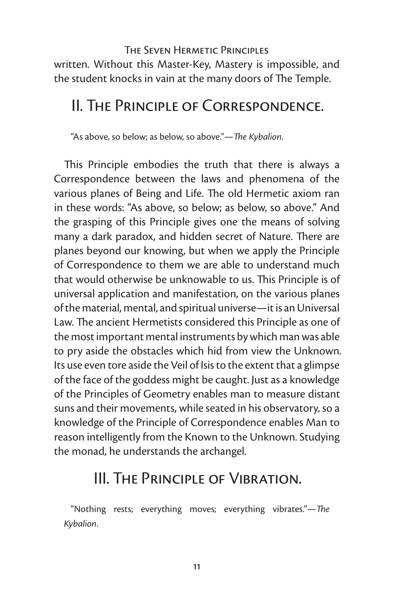The Seven Hermetic Principles written. Without this Master-Key, Mastery is impossible, and the student knocks in vain at the many doors of The Temple.

### II. The Principle of Correspondence.

"As above, so below; as below, so above."—*The Kybalion*.

This Principle embodies the truth that there is always a Correspondence between the laws and phenomena of the various planes of Being and Life. The old Hermetic axiom ran in these words: "As above, so below; as below, so above." And the grasping of this Principle gives one the means of solving many a dark paradox, and hidden secret of Nature. There are planes beyond our knowing, but when we apply the Principle of Correspondence to them we are able to understand much that would otherwise be unknowable to us. This Principle is of universal application and manifestation, on the various planes of the material, mental, and spiritual universe—it is an Universal Law. The ancient Hermetists considered this Principle as one of the most important mental instruments by which man was able to pry aside the obstacles which hid from view the Unknown. Its use even tore aside the Veil of Isis to the extent that a glimpse of the face of the goddess might be caught. Just as a knowledge of the Principles of Geometry enables man to measure distant suns and their movements, while seated in his observatory, so a knowledge of the Principle of Correspondence enables Man to reason intelligently from the Known to the Unknown. Studying the monad, he understands the archangel.

### III. The Principle of Vibration.

"Nothing rests; everything moves; everything vibrates."—*The Kybalion*.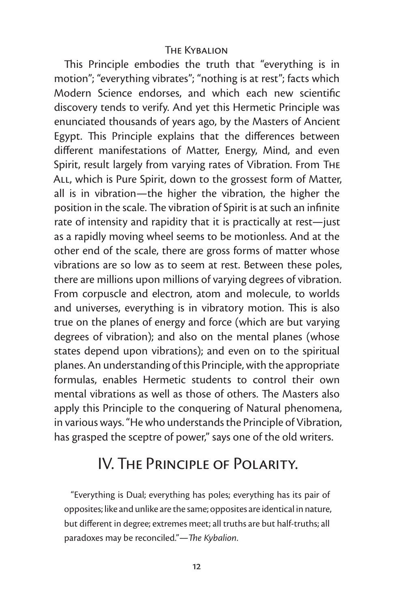This Principle embodies the truth that "everything is in motion"; "everything vibrates"; "nothing is at rest"; facts which Modern Science endorses, and which each new scientific discovery tends to verify. And yet this Hermetic Principle was enunciated thousands of years ago, by the Masters of Ancient Egypt. This Principle explains that the differences between different manifestations of Matter, Energy, Mind, and even Spirit, result largely from varying rates of Vibration. From The All, which is Pure Spirit, down to the grossest form of Matter, all is in vibration—the higher the vibration, the higher the position in the scale. The vibration of Spirit is at such an infinite rate of intensity and rapidity that it is practically at rest—just as a rapidly moving wheel seems to be motionless. And at the other end of the scale, there are gross forms of matter whose vibrations are so low as to seem at rest. Between these poles, there are millions upon millions of varying degrees of vibration. From corpuscle and electron, atom and molecule, to worlds and universes, everything is in vibratory motion. This is also true on the planes of energy and force (which are but varying degrees of vibration); and also on the mental planes (whose states depend upon vibrations); and even on to the spiritual planes. An understanding of this Principle, with the appropriate formulas, enables Hermetic students to control their own mental vibrations as well as those of others. The Masters also apply this Principle to the conquering of Natural phenomena, in various ways. "He who understands the Principle of Vibration, has grasped the sceptre of power," says one of the old writers.

### IV. The Principle of Polarity.

"Everything is Dual; everything has poles; everything has its pair of opposites; like and unlike are the same; opposites are identical in nature, but different in degree; extremes meet; all truths are but half-truths; all paradoxes may be reconciled."—*The Kybalion*.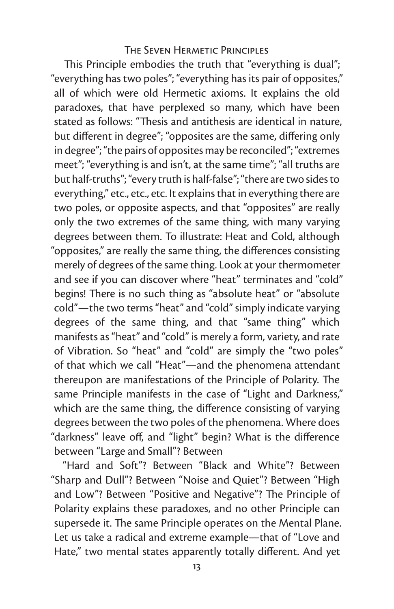#### The Seven Hermetic Principles

This Principle embodies the truth that "everything is dual"; "everything has two poles"; "everything has its pair of opposites," all of which were old Hermetic axioms. It explains the old paradoxes, that have perplexed so many, which have been stated as follows: "Thesis and antithesis are identical in nature, but different in degree"; "opposites are the same, differing only in degree"; "the pairs of opposites may be reconciled"; "extremes meet"; "everything is and isn't, at the same time"; "all truths are but half-truths"; "every truth is half-false"; "there are two sides to everything," etc., etc., etc. It explains that in everything there are two poles, or opposite aspects, and that "opposites" are really only the two extremes of the same thing, with many varying degrees between them. To illustrate: Heat and Cold, although "opposites," are really the same thing, the differences consisting merely of degrees of the same thing. Look at your thermometer and see if you can discover where "heat" terminates and "cold" begins! There is no such thing as "absolute heat" or "absolute cold"—the two terms "heat" and "cold" simply indicate varying degrees of the same thing, and that "same thing" which manifests as "heat" and "cold" is merely a form, variety, and rate of Vibration. So "heat" and "cold" are simply the "two poles" of that which we call "Heat"—and the phenomena attendant thereupon are manifestations of the Principle of Polarity. The same Principle manifests in the case of "Light and Darkness," which are the same thing, the difference consisting of varying degrees between the two poles of the phenomena. Where does "darkness" leave off, and "light" begin? What is the difference between "Large and Small"? Between

"Hard and Soft"? Between "Black and White"? Between "Sharp and Dull"? Between "Noise and Quiet"? Between "High and Low"? Between "Positive and Negative"? The Principle of Polarity explains these paradoxes, and no other Principle can supersede it. The same Principle operates on the Mental Plane. Let us take a radical and extreme example—that of "Love and Hate," two mental states apparently totally different. And yet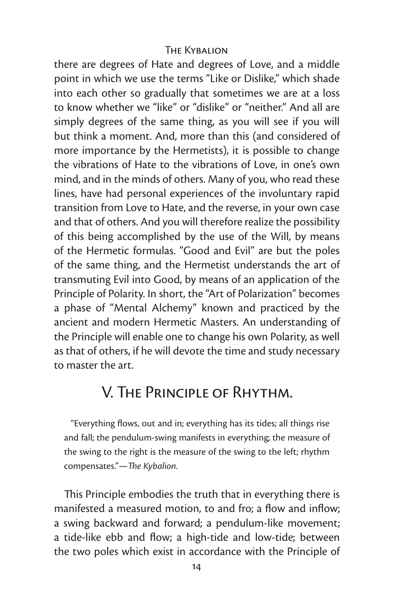there are degrees of Hate and degrees of Love, and a middle point in which we use the terms "Like or Dislike," which shade into each other so gradually that sometimes we are at a loss to know whether we "like" or "dislike" or "neither." And all are simply degrees of the same thing, as you will see if you will but think a moment. And, more than this (and considered of more importance by the Hermetists), it is possible to change the vibrations of Hate to the vibrations of Love, in one's own mind, and in the minds of others. Many of you, who read these lines, have had personal experiences of the involuntary rapid transition from Love to Hate, and the reverse, in your own case and that of others. And you will therefore realize the possibility of this being accomplished by the use of the Will, by means of the Hermetic formulas. "Good and Evil" are but the poles of the same thing, and the Hermetist understands the art of transmuting Evil into Good, by means of an application of the Principle of Polarity. In short, the "Art of Polarization" becomes a phase of "Mental Alchemy" known and practiced by the ancient and modern Hermetic Masters. An understanding of the Principle will enable one to change his own Polarity, as well as that of others, if he will devote the time and study necessary to master the art.

### V. The Principle of Rhythm.

"Everything flows, out and in; everything has its tides; all things rise and fall; the pendulum-swing manifests in everything; the measure of the swing to the right is the measure of the swing to the left; rhythm compensates."—*The Kybalion*.

This Principle embodies the truth that in everything there is manifested a measured motion, to and fro; a flow and inflow; a swing backward and forward; a pendulum‑like movement; a tide-like ebb and flow; a high-tide and low-tide; between the two poles which exist in accordance with the Principle of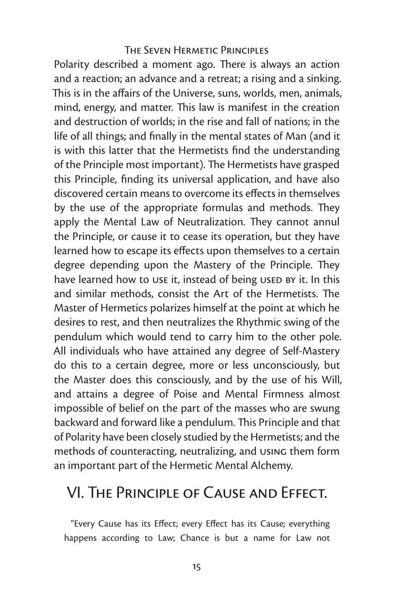#### The Seven Hermetic Principles

Polarity described a moment ago. There is always an action and a reaction; an advance and a retreat; a rising and a sinking. This is in the affairs of the Universe, suns, worlds, men, animals, mind, energy, and matter. This law is manifest in the creation and destruction of worlds; in the rise and fall of nations; in the life of all things; and finally in the mental states of Man (and it is with this latter that the Hermetists find the understanding of the Principle most important). The Hermetists have grasped this Principle, finding its universal application, and have also discovered certain means to overcome its effects in themselves by the use of the appropriate formulas and methods. They apply the Mental Law of Neutralization. They cannot annul the Principle, or cause it to cease its operation, but they have learned how to escape its effects upon themselves to a certain degree depending upon the Mastery of the Principle. They have learned how to USE it, instead of being USED BY it. In this and similar methods, consist the Art of the Hermetists. The Master of Hermetics polarizes himself at the point at which he desires to rest, and then neutralizes the Rhythmic swing of the pendulum which would tend to carry him to the other pole. All individuals who have attained any degree of Self-Mastery do this to a certain degree, more or less unconsciously, but the Master does this consciously, and by the use of his Will, and attains a degree of Poise and Mental Firmness almost impossible of belief on the part of the masses who are swung backward and forward like a pendulum. This Principle and that of Polarity have been closely studied by the Hermetists; and the methods of counteracting, neutralizing, and using them form an important part of the Hermetic Mental Alchemy.

### VI. The Principle of Cause and Effect.

"Every Cause has its Effect; every Effect has its Cause; everything happens according to Law; Chance is but a name for Law not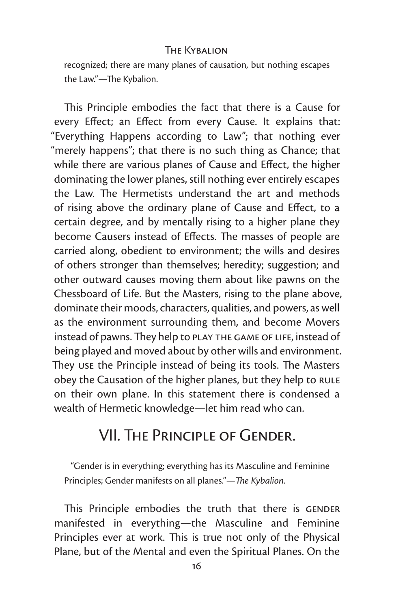#### The Kybalion

recognized; there are many planes of causation, but nothing escapes the Law."—The Kybalion.

This Principle embodies the fact that there is a Cause for every Effect; an Effect from every Cause. It explains that: "Everything Happens according to Law"; that nothing ever "merely happens"; that there is no such thing as Chance; that while there are various planes of Cause and Effect, the higher dominating the lower planes, still nothing ever entirely escapes the Law. The Hermetists understand the art and methods of rising above the ordinary plane of Cause and Effect, to a certain degree, and by mentally rising to a higher plane they become Causers instead of Effects. The masses of people are carried along, obedient to environment; the wills and desires of others stronger than themselves; heredity; suggestion; and other outward causes moving them about like pawns on the Chessboard of Life. But the Masters, rising to the plane above, dominate their moods, characters, qualities, and powers, as well as the environment surrounding them, and become Movers instead of pawns. They help to play the game of life, instead of being played and moved about by other wills and environment. They use the Principle instead of being its tools. The Masters obey the Causation of the higher planes, but they help to RULE on their own plane. In this statement there is condensed a wealth of Hermetic knowledge—let him read who can.

### VII. The Principle of Gender.

"Gender is in everything; everything has its Masculine and Feminine Principles; Gender manifests on all planes."—*The Kybalion*.

This Principle embodies the truth that there is GENDER manifested in everything—the Masculine and Feminine Principles ever at work. This is true not only of the Physical Plane, but of the Mental and even the Spiritual Planes. On the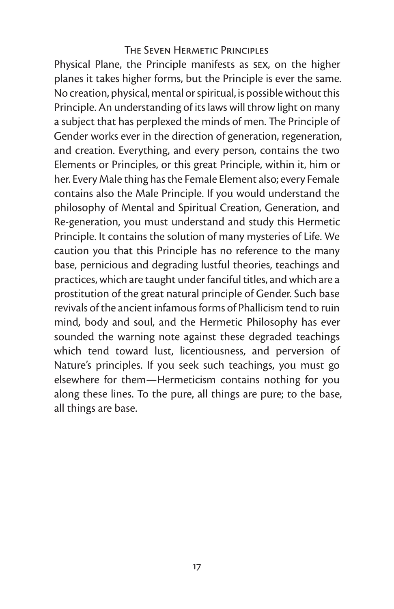#### The Seven Hermetic Principles

Physical Plane, the Principle manifests as sex, on the higher planes it takes higher forms, but the Principle is ever the same. No creation, physical, mental or spiritual, is possible without this Principle. An understanding of its laws will throw light on many a subject that has perplexed the minds of men. The Principle of Gender works ever in the direction of generation, regeneration, and creation. Everything, and every person, contains the two Elements or Principles, or this great Principle, within it, him or her. Every Male thing has the Female Element also; every Female contains also the Male Principle. If you would understand the philosophy of Mental and Spiritual Creation, Generation, and Re‑generation, you must understand and study this Hermetic Principle. It contains the solution of many mysteries of Life. We caution you that this Principle has no reference to the many base, pernicious and degrading lustful theories, teachings and practices, which are taught under fanciful titles, and which are a prostitution of the great natural principle of Gender. Such base revivals of the ancient infamous forms of Phallicism tend to ruin mind, body and soul, and the Hermetic Philosophy has ever sounded the warning note against these degraded teachings which tend toward lust, licentiousness, and perversion of Nature's principles. If you seek such teachings, you must go elsewhere for them—Hermeticism contains nothing for you along these lines. To the pure, all things are pure; to the base, all things are base.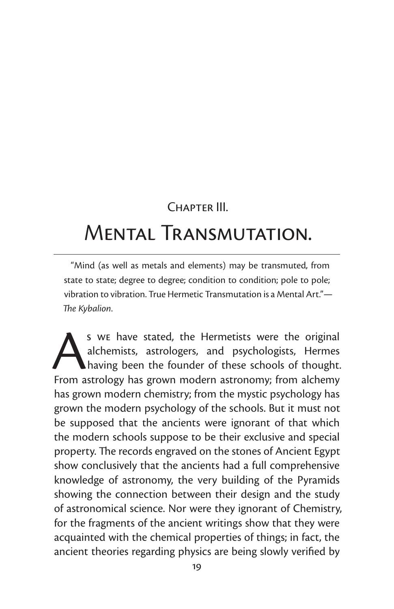#### Chapter III.

## <span id="page-30-0"></span>Mental Transmutation.

"Mind (as well as metals and elements) may be transmuted, from state to state; degree to degree; condition to condition; pole to pole; vibration to vibration. True Hermetic Transmutation is a Mental Art<sup>"</sup>— *The Kybalion*.

S WE have stated, the Hermetists were the original<br>alchemists, astrologers, and psychologists, Hermes<br>having been the founder of these schools of thought.<br>From astrology has grown modern astronomy: from alchemy alchemists, astrologers, and psychologists, Hermes having been the founder of these schools of thought. From astrology has grown modern astronomy; from alchemy has grown modern chemistry; from the mystic psychology has grown the modern psychology of the schools. But it must not be supposed that the ancients were ignorant of that which the modern schools suppose to be their exclusive and special property. The records engraved on the stones of Ancient Egypt show conclusively that the ancients had a full comprehensive knowledge of astronomy, the very building of the Pyramids showing the connection between their design and the study of astronomical science. Nor were they ignorant of Chemistry, for the fragments of the ancient writings show that they were acquainted with the chemical properties of things; in fact, the ancient theories regarding physics are being slowly verified by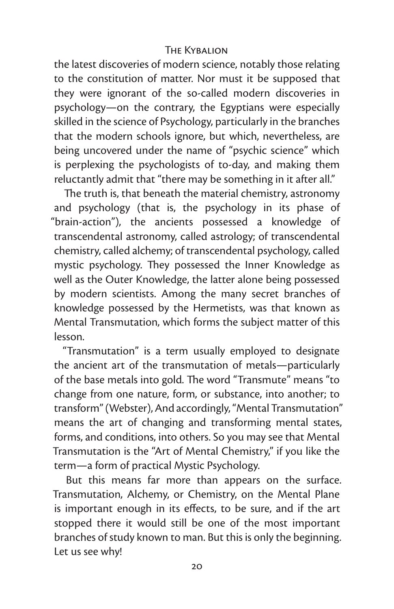the latest discoveries of modern science, notably those relating to the constitution of matter. Nor must it be supposed that they were ignorant of the so-called modern discoveries in psychology—on the contrary, the Egyptians were especially skilled in the science of Psychology, particularly in the branches that the modern schools ignore, but which, nevertheless, are being uncovered under the name of "psychic science" which is perplexing the psychologists of to-day, and making them reluctantly admit that "there may be something in it after all."

The truth is, that beneath the material chemistry, astronomy and psychology (that is, the psychology in its phase of "brain‑action"), the ancients possessed a knowledge of transcendental astronomy, called astrology; of transcendental chemistry, called alchemy; of transcendental psychology, called mystic psychology. They possessed the Inner Knowledge as well as the Outer Knowledge, the latter alone being possessed by modern scientists. Among the many secret branches of knowledge possessed by the Hermetists, was that known as Mental Transmutation, which forms the subject matter of this lesson.

"Transmutation" is a term usually employed to designate the ancient art of the transmutation of metals—particularly of the base metals into gold. The word "Transmute" means "to change from one nature, form, or substance, into another; to transform" (Webster), And accordingly, "Mental Transmutation" means the art of changing and transforming mental states, forms, and conditions, into others. So you may see that Mental Transmutation is the "Art of Mental Chemistry," if you like the term—a form of practical Mystic Psychology.

But this means far more than appears on the surface. Transmutation, Alchemy, or Chemistry, on the Mental Plane is important enough in its effects, to be sure, and if the art stopped there it would still be one of the most important branches of study known to man. But this is only the beginning. Let us see why!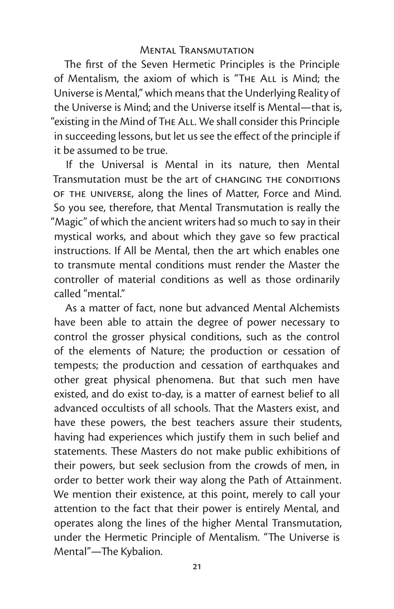#### Mental Transmutation

The first of the Seven Hermetic Principles is the Principle of Mentalism, the axiom of which is "The All is Mind; the Universe is Mental," which means that the Underlying Reality of the Universe is Mind; and the Universe itself is Mental—that is, "existing in the Mind of The All. We shall consider this Principle in succeeding lessons, but let us see the effect of the principle if it be assumed to be true.

If the Universal is Mental in its nature, then Mental Transmutation must be the art of changing the conditions of the universe, along the lines of Matter, Force and Mind. So you see, therefore, that Mental Transmutation is really the "Magic" of which the ancient writers had so much to say in their mystical works, and about which they gave so few practical instructions. If All be Mental, then the art which enables one to transmute mental conditions must render the Master the controller of material conditions as well as those ordinarily called "mental."

As a matter of fact, none but advanced Mental Alchemists have been able to attain the degree of power necessary to control the grosser physical conditions, such as the control of the elements of Nature; the production or cessation of tempests; the production and cessation of earthquakes and other great physical phenomena. But that such men have existed, and do exist to‑day, is a matter of earnest belief to all advanced occultists of all schools. That the Masters exist, and have these powers, the best teachers assure their students, having had experiences which justify them in such belief and statements. These Masters do not make public exhibitions of their powers, but seek seclusion from the crowds of men, in order to better work their way along the Path of Attainment. We mention their existence, at this point, merely to call your attention to the fact that their power is entirely Mental, and operates along the lines of the higher Mental Transmutation, under the Hermetic Principle of Mentalism. "The Universe is Mental"—The Kybalion.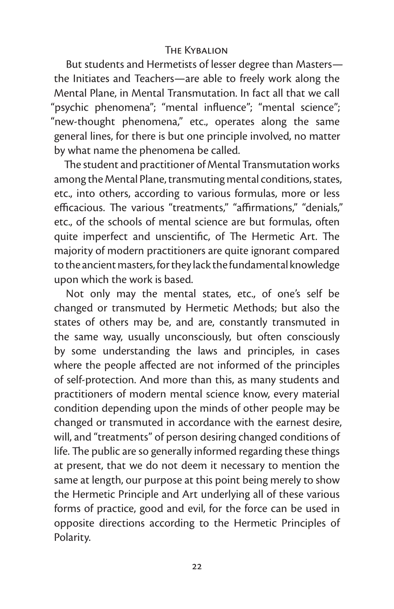But students and Hermetists of lesser degree than Masters the Initiates and Teachers—are able to freely work along the Mental Plane, in Mental Transmutation. In fact all that we call "psychic phenomena"; "mental influence"; "mental science"; "new‑thought phenomena," etc., operates along the same general lines, for there is but one principle involved, no matter by what name the phenomena be called.

The student and practitioner of Mental Transmutation works among the Mental Plane, transmuting mental conditions, states, etc., into others, according to various formulas, more or less efficacious. The various "treatments," "affirmations," "denials," etc., of the schools of mental science are but formulas, often quite imperfect and unscientific, of The Hermetic Art. The majority of modern practitioners are quite ignorant compared to the ancient masters, for they lack the fundamental knowledge upon which the work is based.

Not only may the mental states, etc., of one's self be changed or transmuted by Hermetic Methods; but also the states of others may be, and are, constantly transmuted in the same way, usually unconsciously, but often consciously by some understanding the laws and principles, in cases where the people affected are not informed of the principles of self‑protection. And more than this, as many students and practitioners of modern mental science know, every material condition depending upon the minds of other people may be changed or transmuted in accordance with the earnest desire, will, and "treatments" of person desiring changed conditions of life. The public are so generally informed regarding these things at present, that we do not deem it necessary to mention the same at length, our purpose at this point being merely to show the Hermetic Principle and Art underlying all of these various forms of practice, good and evil, for the force can be used in opposite directions according to the Hermetic Principles of Polarity.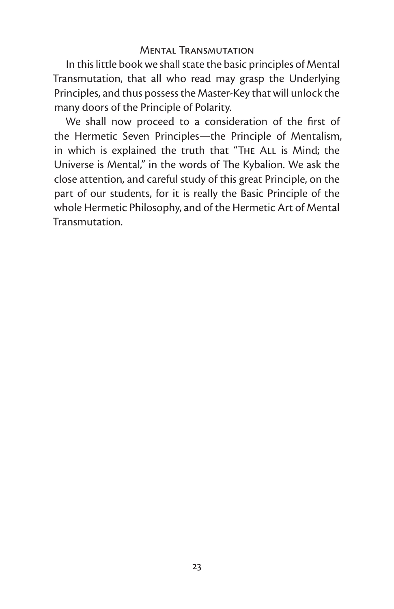#### Mental Transmutation

In this little book we shall state the basic principles of Mental Transmutation, that all who read may grasp the Underlying Principles, and thus possess the Master‑Key that will unlock the many doors of the Principle of Polarity.

We shall now proceed to a consideration of the first of the Hermetic Seven Principles—the Principle of Mentalism, in which is explained the truth that "The All is Mind; the Universe is Mental," in the words of The Kybalion. We ask the close attention, and careful study of this great Principle, on the part of our students, for it is really the Basic Principle of the whole Hermetic Philosophy, and of the Hermetic Art of Mental Transmutation.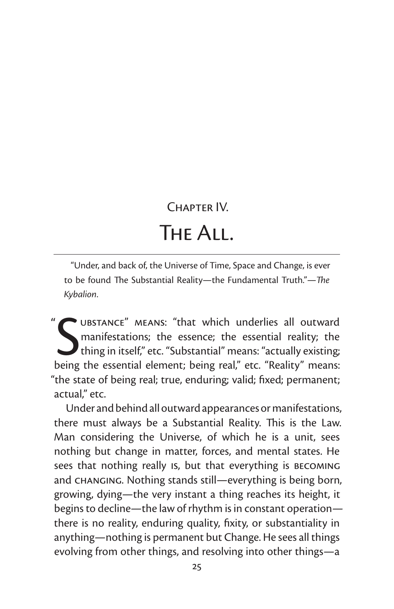## Chapter IV. The All.

"Under, and back of, the Universe of Time, Space and Change, is ever to be found The Substantial Reality—the Fundamental Truth."—*The Kybalion*.

 $^{\prime\prime}$ UBSTANCE" MEANS: "that which underlies all outward<br>manifestations; the essence; the essential reality; the<br>thing in itself," etc. "Substantial" means: "actually existing;<br>being the essential element: being real." etc. "Rea manifestations; the essence; the essential reality; the thing in itself," etc. "Substantial" means: "actually existing; being the essential element; being real," etc. "Reality" means: "the state of being real; true, enduring; valid; fixed; permanent; actual," etc.

Under and behind all outward appearances or manifestations, there must always be a Substantial Reality. This is the Law. Man considering the Universe, of which he is a unit, sees nothing but change in matter, forces, and mental states. He sees that nothing really is, but that everything is becoming and CHANGING. Nothing stands still—everything is being born, growing, dying—the very instant a thing reaches its height, it begins to decline—the law of rhythm is in constant operation there is no reality, enduring quality, fixity, or substantiality in anything—nothing is permanent but Change. He sees all things evolving from other things, and resolving into other things—a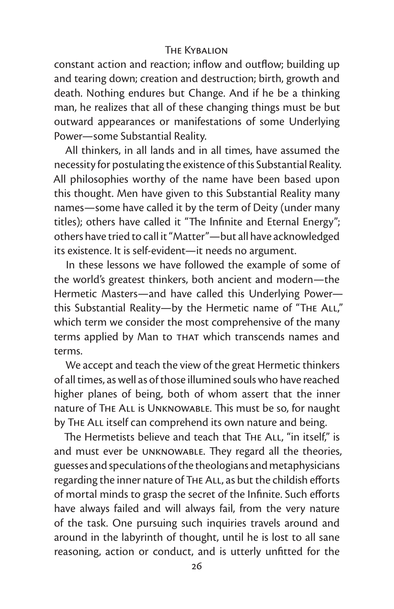constant action and reaction; inflow and outflow; building up and tearing down; creation and destruction; birth, growth and death. Nothing endures but Change. And if he be a thinking man, he realizes that all of these changing things must be but outward appearances or manifestations of some Underlying Power—some Substantial Reality.

All thinkers, in all lands and in all times, have assumed the necessity for postulating the existence of this Substantial Reality. All philosophies worthy of the name have been based upon this thought. Men have given to this Substantial Reality many names—some have called it by the term of Deity (under many titles); others have called it "The Infinite and Eternal Energy"; others have tried to call it "Matter"—but all have acknowledged its existence. It is self‑evident—it needs no argument.

In these lessons we have followed the example of some of the world's greatest thinkers, both ancient and modern—the Hermetic Masters—and have called this Underlying Power this Substantial Reality-by the Hermetic name of "The ALL," which term we consider the most comprehensive of the many terms applied by Man to THAT which transcends names and terms.

We accept and teach the view of the great Hermetic thinkers of all times, as well as of those illumined souls who have reached higher planes of being, both of whom assert that the inner nature of The All is Unknowable. This must be so, for naught by The All itself can comprehend its own nature and being.

The Hermetists believe and teach that The All, "in itself," is and must ever be unknowable. They regard all the theories, guesses and speculations of the theologians and metaphysicians regarding the inner nature of The All, as but the childish efforts of mortal minds to grasp the secret of the Infinite. Such efforts have always failed and will always fail, from the very nature of the task. One pursuing such inquiries travels around and around in the labyrinth of thought, until he is lost to all sane reasoning, action or conduct, and is utterly unfitted for the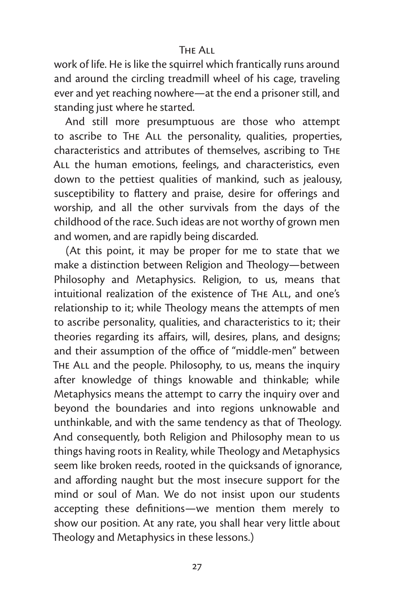## The All

work of life. He is like the squirrel which frantically runs around and around the circling treadmill wheel of his cage, traveling ever and yet reaching nowhere—at the end a prisoner still, and standing just where he started.

And still more presumptuous are those who attempt to ascribe to The All the personality, qualities, properties, characteristics and attributes of themselves, ascribing to The All the human emotions, feelings, and characteristics, even down to the pettiest qualities of mankind, such as jealousy, susceptibility to flattery and praise, desire for offerings and worship, and all the other survivals from the days of the childhood of the race. Such ideas are not worthy of grown men and women, and are rapidly being discarded.

(At this point, it may be proper for me to state that we make a distinction between Religion and Theology—between Philosophy and Metaphysics. Religion, to us, means that intuitional realization of the existence of The All, and one's relationship to it; while Theology means the attempts of men to ascribe personality, qualities, and characteristics to it; their theories regarding its affairs, will, desires, plans, and designs; and their assumption of the office of "middle-men" between The All and the people. Philosophy, to us, means the inquiry after knowledge of things knowable and thinkable; while Metaphysics means the attempt to carry the inquiry over and beyond the boundaries and into regions unknowable and unthinkable, and with the same tendency as that of Theology. And consequently, both Religion and Philosophy mean to us things having roots in Reality, while Theology and Metaphysics seem like broken reeds, rooted in the quicksands of ignorance, and affording naught but the most insecure support for the mind or soul of Man. We do not insist upon our students accepting these definitions—we mention them merely to show our position. At any rate, you shall hear very little about Theology and Metaphysics in these lessons.)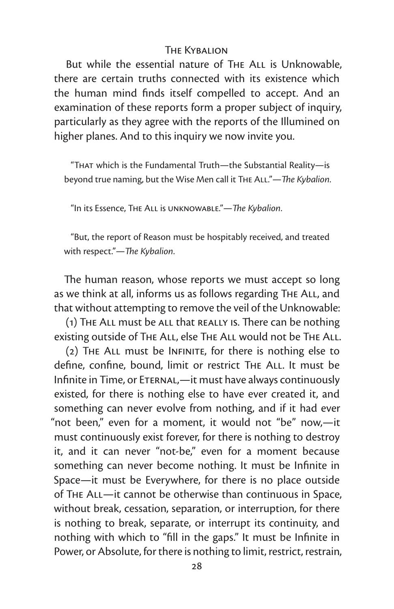But while the essential nature of The All is Unknowable, there are certain truths connected with its existence which the human mind finds itself compelled to accept. And an examination of these reports form a proper subject of inquiry, particularly as they agree with the reports of the Illumined on higher planes. And to this inquiry we now invite you.

"That which is the Fundamental Truth—the Substantial Reality—is beyond true naming, but the Wise Men call it The All."—*The Kybalion*.

"In its Essence, The All is unknowable."—*The Kybalion*.

"But, the report of Reason must be hospitably received, and treated with respect."—*The Kybalion*.

The human reason, whose reports we must accept so long as we think at all, informs us as follows regarding The All, and that without attempting to remove the veil of the Unknowable:

(1) The All must be all that really is. There can be nothing existing outside of The All, else The All would not be The All.

(2) The All must be Infinite, for there is nothing else to define, confine, bound, limit or restrict The All. It must be Infinite in Time, or ETERNAL,—it must have always continuously existed, for there is nothing else to have ever created it, and something can never evolve from nothing, and if it had ever "not been," even for a moment, it would not "be" now,—it must continuously exist forever, for there is nothing to destroy it, and it can never "not‑be," even for a moment because something can never become nothing. It must be Infinite in Space—it must be Everywhere, for there is no place outside of The All—it cannot be otherwise than continuous in Space, without break, cessation, separation, or interruption, for there is nothing to break, separate, or interrupt its continuity, and nothing with which to "fill in the gaps." It must be Infinite in Power, or Absolute, for there is nothing to limit, restrict, restrain,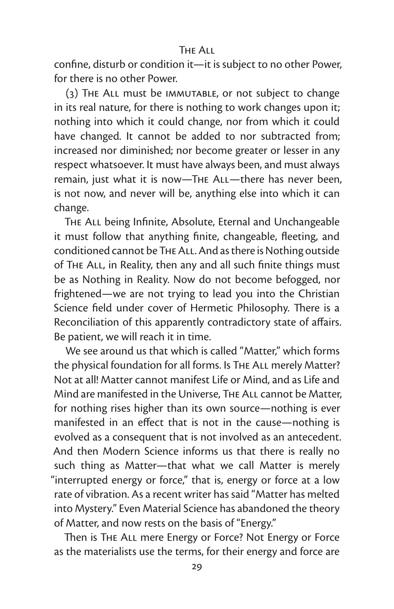#### The All

confine, disturb or condition it—it is subject to no other Power, for there is no other Power.

(3) The All must be immutable, or not subject to change in its real nature, for there is nothing to work changes upon it; nothing into which it could change, nor from which it could have changed. It cannot be added to nor subtracted from; increased nor diminished; nor become greater or lesser in any respect whatsoever. It must have always been, and must always remain, just what it is now—The All—there has never been, is not now, and never will be, anything else into which it can change.

The All being Infinite, Absolute, Eternal and Unchangeable it must follow that anything finite, changeable, fleeting, and conditioned cannot be The All. And as there is Nothing outside of The All, in Reality, then any and all such finite things must be as Nothing in Reality. Now do not become befogged, nor frightened—we are not trying to lead you into the Christian Science field under cover of Hermetic Philosophy. There is a Reconciliation of this apparently contradictory state of affairs. Be patient, we will reach it in time.

We see around us that which is called "Matter," which forms the physical foundation for all forms. Is The All merely Matter? Not at all! Matter cannot manifest Life or Mind, and as Life and Mind are manifested in the Universe, The All cannot be Matter, for nothing rises higher than its own source—nothing is ever manifested in an effect that is not in the cause—nothing is evolved as a consequent that is not involved as an antecedent. And then Modern Science informs us that there is really no such thing as Matter—that what we call Matter is merely "interrupted energy or force," that is, energy or force at a low rate of vibration. As a recent writer has said "Matter has melted into Mystery." Even Material Science has abandoned the theory of Matter, and now rests on the basis of "Energy."

Then is The All mere Energy or Force? Not Energy or Force as the materialists use the terms, for their energy and force are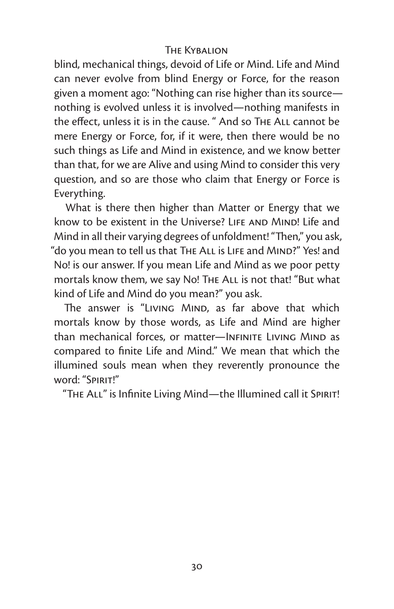blind, mechanical things, devoid of Life or Mind. Life and Mind can never evolve from blind Energy or Force, for the reason given a moment ago: "Nothing can rise higher than its source nothing is evolved unless it is involved—nothing manifests in the effect, unless it is in the cause. " And so The All cannot be mere Energy or Force, for, if it were, then there would be no such things as Life and Mind in existence, and we know better than that, for we are Alive and using Mind to consider this very question, and so are those who claim that Energy or Force is Everything.

What is there then higher than Matter or Energy that we know to be existent in the Universe? Life and Mind! Life and Mind in all their varying degrees of unfoldment! "Then," you ask, "do you mean to tell us that THE ALL is LIFE and MIND?" Yes! and No! is our answer. If you mean Life and Mind as we poor petty mortals know them, we say No! The All is not that! "But what kind of Life and Mind do you mean?" you ask.

The answer is "LIVING MIND, as far above that which mortals know by those words, as Life and Mind are higher than mechanical forces, or matter—InFINITE LIVING MIND as compared to finite Life and Mind." We mean that which the illumined souls mean when they reverently pronounce the word: "SPIRIT!"

"The ALL" is Infinite Living Mind—the Illumined call it SPIRIT!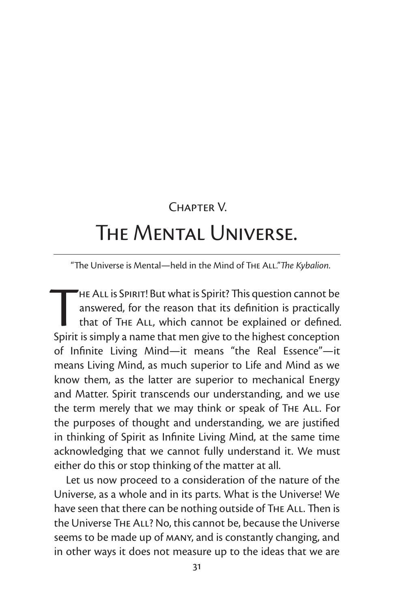## Chapter V.

## The Mental Universe.

"The Universe is Mental—held in the Mind of The All."*The Kybalion*.

THE ALL IS SPIRIT! But what is Spirit? This question cannot be answered, for the reason that its definition is practically that of THE ALL, which cannot be explained or defined.<br>Spirit is simply a name that men give to the answered, for the reason that its definition is practically that of The All, which cannot be explained or defined. Spirit is simply a name that men give to the highest conception of Infinite Living Mind—it means "the Real Essence"—it means Living Mind, as much superior to Life and Mind as we know them, as the latter are superior to mechanical Energy and Matter. Spirit transcends our understanding, and we use the term merely that we may think or speak of The All. For the purposes of thought and understanding, we are justified in thinking of Spirit as Infinite Living Mind, at the same time acknowledging that we cannot fully understand it. We must either do this or stop thinking of the matter at all.

Let us now proceed to a consideration of the nature of the Universe, as a whole and in its parts. What is the Universe! We have seen that there can be nothing outside of THE ALL. Then is the Universe The All? No, this cannot be, because the Universe seems to be made up of many, and is constantly changing, and in other ways it does not measure up to the ideas that we are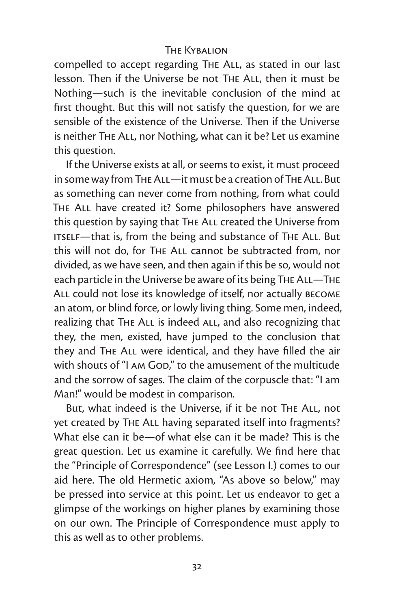compelled to accept regarding The All, as stated in our last lesson. Then if the Universe be not The All, then it must be Nothing—such is the inevitable conclusion of the mind at first thought. But this will not satisfy the question, for we are sensible of the existence of the Universe. Then if the Universe is neither The All, nor Nothing, what can it be? Let us examine this question.

If the Universe exists at all, or seems to exist, it must proceed in some way from The All—it must be a creation of The All. But as something can never come from nothing, from what could The All have created it? Some philosophers have answered this question by saying that The All created the Universe from ITSELF-that is, from the being and substance of THE ALL. But this will not do, for The All cannot be subtracted from, nor divided, as we have seen, and then again if this be so, would not each particle in the Universe be aware of its being The All—The All could not lose its knowledge of itself, nor actually become an atom, or blind force, or lowly living thing. Some men, indeed, realizing that The All is indeed all, and also recognizing that they, the men, existed, have jumped to the conclusion that they and The All were identical, and they have filled the air with shouts of "I AM GOD," to the amusement of the multitude and the sorrow of sages. The claim of the corpuscle that: "I am Man!" would be modest in comparison.

But, what indeed is the Universe, if it be not The All, not yet created by The All having separated itself into fragments? What else can it be—of what else can it be made? This is the great question. Let us examine it carefully. We find here that the "Principle of Correspondence" (see Lesson I.) comes to our aid here. The old Hermetic axiom, "As above so below," may be pressed into service at this point. Let us endeavor to get a glimpse of the workings on higher planes by examining those on our own. The Principle of Correspondence must apply to this as well as to other problems.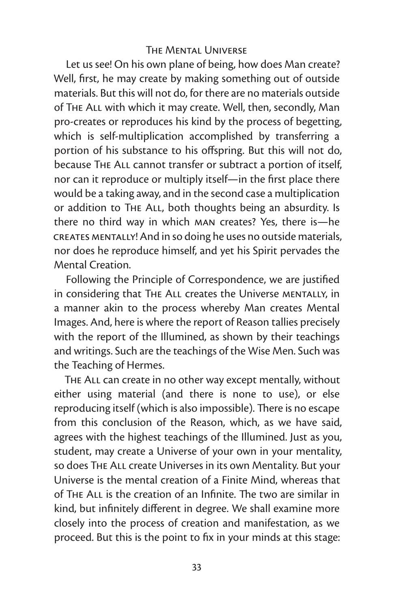## The Mental Universe

Let us see! On his own plane of being, how does Man create? Well, first, he may create by making something out of outside materials. But this will not do, for there are no materials outside of The All with which it may create. Well, then, secondly, Man pro-creates or reproduces his kind by the process of begetting, which is self-multiplication accomplished by transferring a portion of his substance to his offspring. But this will not do, because The All cannot transfer or subtract a portion of itself, nor can it reproduce or multiply itself—in the first place there would be a taking away, and in the second case a multiplication or addition to The All, both thoughts being an absurdity. Is there no third way in which man creates? Yes, there is—he creates mentally! And in so doing he uses no outside materials, nor does he reproduce himself, and yet his Spirit pervades the Mental Creation.

Following the Principle of Correspondence, we are justified in considering that The All creates the Universe mentally, in a manner akin to the process whereby Man creates Mental Images. And, here is where the report of Reason tallies precisely with the report of the Illumined, as shown by their teachings and writings. Such are the teachings of the Wise Men. Such was the Teaching of Hermes.

The All can create in no other way except mentally, without either using material (and there is none to use), or else reproducing itself (which is also impossible). There is no escape from this conclusion of the Reason, which, as we have said, agrees with the highest teachings of the Illumined. Just as you, student, may create a Universe of your own in your mentality, so does The All create Universes in its own Mentality. But your Universe is the mental creation of a Finite Mind, whereas that of The All is the creation of an Infinite. The two are similar in kind, but infinitely different in degree. We shall examine more closely into the process of creation and manifestation, as we proceed. But this is the point to fix in your minds at this stage: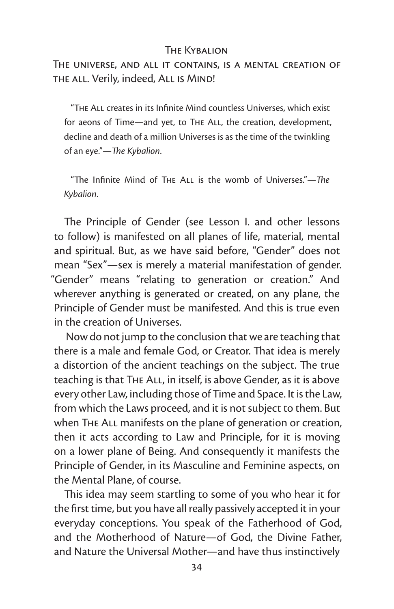## The universe, and all it contains, is a mental creation of THE ALL. Verily, indeed, ALL IS MIND!

"The All creates in its Infinite Mind countless Universes, which exist for aeons of Time—and yet, to The All, the creation, development, decline and death of a million Universes is as the time of the twinkling of an eye."—*The Kybalion*.

"The Infinite Mind of The All is the womb of Universes."—*The Kybalion*.

The Principle of Gender (see Lesson I. and other lessons to follow) is manifested on all planes of life, material, mental and spiritual. But, as we have said before, "Gender" does not mean "Sex"—sex is merely a material manifestation of gender. "Gender" means "relating to generation or creation." And wherever anything is generated or created, on any plane, the Principle of Gender must be manifested. And this is true even in the creation of Universes.

Now do not jump to the conclusion that we are teaching that there is a male and female God, or Creator. That idea is merely a distortion of the ancient teachings on the subject. The true teaching is that The All, in itself, is above Gender, as it is above every other Law, including those of Time and Space. It is the Law, from which the Laws proceed, and it is not subject to them. But when The All manifests on the plane of generation or creation, then it acts according to Law and Principle, for it is moving on a lower plane of Being. And consequently it manifests the Principle of Gender, in its Masculine and Feminine aspects, on the Mental Plane, of course.

This idea may seem startling to some of you who hear it for the first time, but you have all really passively accepted it in your everyday conceptions. You speak of the Fatherhood of God, and the Motherhood of Nature—of God, the Divine Father, and Nature the Universal Mother—and have thus instinctively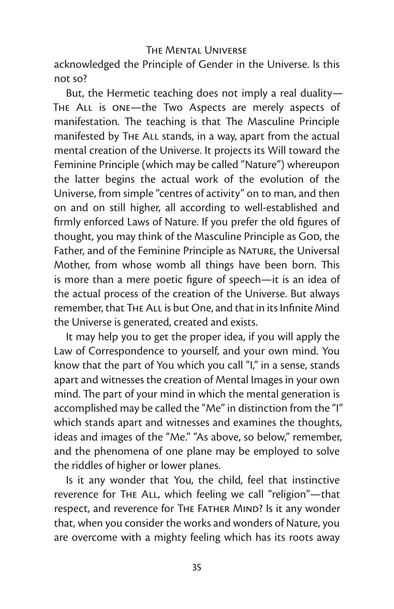## The Mental Universe

acknowledged the Principle of Gender in the Universe. Is this not so?

But, the Hermetic teaching does not imply a real duality— The All is one—the Two Aspects are merely aspects of manifestation. The teaching is that The Masculine Principle manifested by The All stands, in a way, apart from the actual mental creation of the Universe. It projects its Will toward the Feminine Principle (which may be called "Nature") whereupon the latter begins the actual work of the evolution of the Universe, from simple "centres of activity" on to man, and then on and on still higher, all according to well-established and firmly enforced Laws of Nature. If you prefer the old figures of thought, you may think of the Masculine Principle as God, the Father, and of the Feminine Principle as NATURE, the Universal Mother, from whose womb all things have been born. This is more than a mere poetic figure of speech—it is an idea of the actual process of the creation of the Universe. But always remember, that The All is but One, and that in its Infinite Mind the Universe is generated, created and exists.

It may help you to get the proper idea, if you will apply the Law of Correspondence to yourself, and your own mind. You know that the part of You which you call "I," in a sense, stands apart and witnesses the creation of Mental Images in your own mind. The part of your mind in which the mental generation is accomplished may be called the "Me" in distinction from the "I" which stands apart and witnesses and examines the thoughts, ideas and images of the "Me." "As above, so below," remember, and the phenomena of one plane may be employed to solve the riddles of higher or lower planes.

Is it any wonder that You, the child, feel that instinctive reverence for The All, which feeling we call "religion"—that respect, and reverence for The Father Mind? Is it any wonder that, when you consider the works and wonders of Nature, you are overcome with a mighty feeling which has its roots away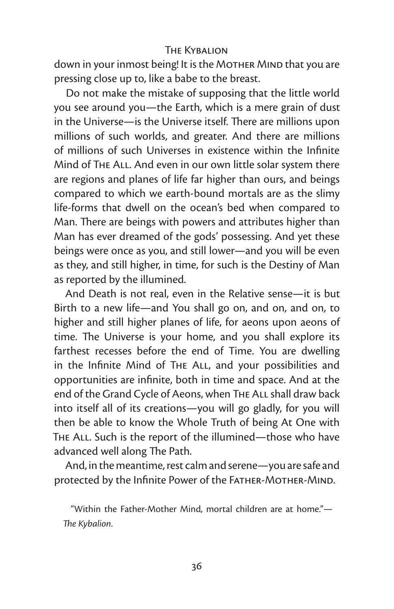down in your inmost being! It is the MOTHER MIND that you are pressing close up to, like a babe to the breast.

Do not make the mistake of supposing that the little world you see around you—the Earth, which is a mere grain of dust in the Universe—is the Universe itself. There are millions upon millions of such worlds, and greater. And there are millions of millions of such Universes in existence within the Infinite Mind of The All. And even in our own little solar system there are regions and planes of life far higher than ours, and beings compared to which we earth‑bound mortals are as the slimy life-forms that dwell on the ocean's bed when compared to Man. There are beings with powers and attributes higher than Man has ever dreamed of the gods' possessing. And yet these beings were once as you, and still lower—and you will be even as they, and still higher, in time, for such is the Destiny of Man as reported by the illumined.

And Death is not real, even in the Relative sense—it is but Birth to a new life—and You shall go on, and on, and on, to higher and still higher planes of life, for aeons upon aeons of time. The Universe is your home, and you shall explore its farthest recesses before the end of Time. You are dwelling in the Infinite Mind of The All, and your possibilities and opportunities are infinite, both in time and space. And at the end of the Grand Cycle of Aeons, when THE ALL shall draw back into itself all of its creations—you will go gladly, for you will then be able to know the Whole Truth of being At One with The All. Such is the report of the illumined—those who have advanced well along The Path.

And, in the meantime, rest calm and serene—you are safe and protected by the Infinite Power of the FATHER-MOTHER-MIND.

"Within the Father‑Mother Mind, mortal children are at home."— *The Kybalion*.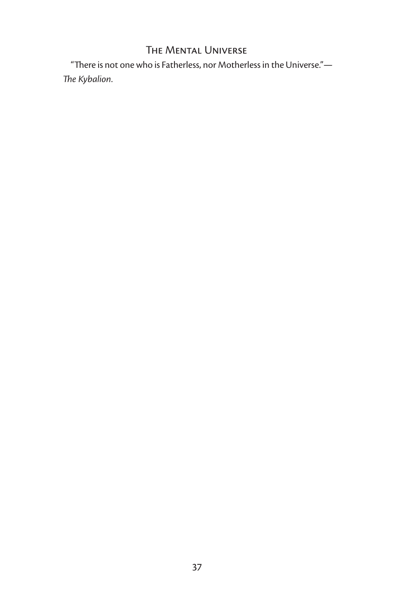## The Mental Universe

"There is not one who is Fatherless, nor Motherless in the Universe."— *The Kybalion*.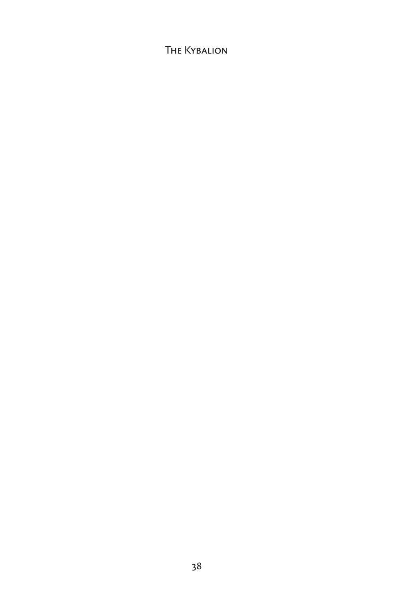## The Kybalion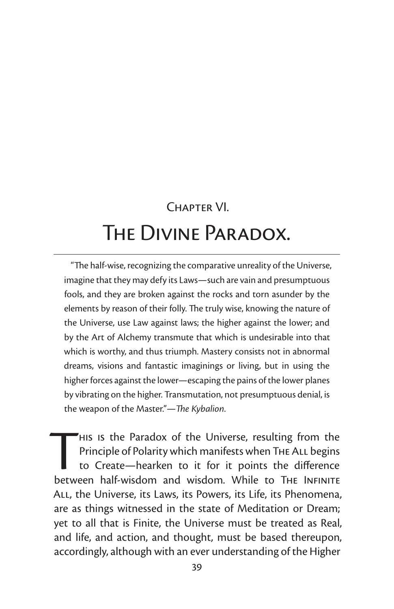## CHAPTER VI. The Divine Paradox.

"The half‑wise, recognizing the comparative unreality of the Universe, imagine that they may defy its Laws—such are vain and presumptuous fools, and they are broken against the rocks and torn asunder by the elements by reason of their folly. The truly wise, knowing the nature of the Universe, use Law against laws; the higher against the lower; and by the Art of Alchemy transmute that which is undesirable into that which is worthy, and thus triumph. Mastery consists not in abnormal dreams, visions and fantastic imaginings or living, but in using the higher forces against the lower—escaping the pains of the lower planes by vibrating on the higher. Transmutation, not presumptuous denial, is the weapon of the Master."—*The Kybalion*.

This is the Paradox of the Universe, resulting from the<br>Principle of Polarity which manifests when THE ALL begins<br>to Create—hearken to it for it points the difference<br>between half-wisdom and wisdom While to THE INFINITE Principle of Polarity which manifests when The All begins to Create—hearken to it for it points the difference between half-wisdom and wisdom. While to THE INFINITE All, the Universe, its Laws, its Powers, its Life, its Phenomena, are as things witnessed in the state of Meditation or Dream; yet to all that is Finite, the Universe must be treated as Real, and life, and action, and thought, must be based thereupon, accordingly, although with an ever understanding of the Higher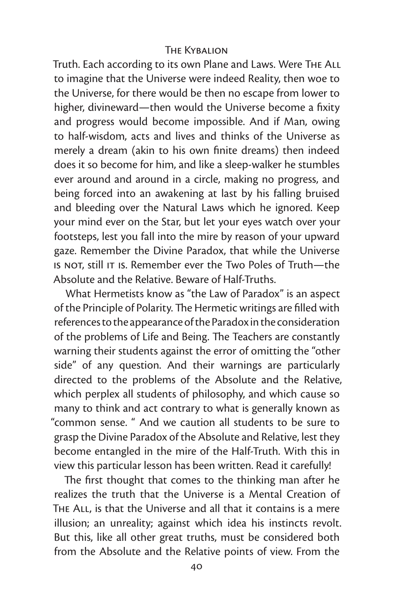Truth. Each according to its own Plane and Laws. Were The All to imagine that the Universe were indeed Reality, then woe to the Universe, for there would be then no escape from lower to higher, divineward—then would the Universe become a fixity and progress would become impossible. And if Man, owing to half‑wisdom, acts and lives and thinks of the Universe as merely a dream (akin to his own finite dreams) then indeed does it so become for him, and like a sleep‑walker he stumbles ever around and around in a circle, making no progress, and being forced into an awakening at last by his falling bruised and bleeding over the Natural Laws which he ignored. Keep your mind ever on the Star, but let your eyes watch over your footsteps, lest you fall into the mire by reason of your upward gaze. Remember the Divine Paradox, that while the Universe is not, still it is. Remember ever the Two Poles of Truth—the Absolute and the Relative. Beware of Half‑Truths.

What Hermetists know as "the Law of Paradox" is an aspect of the Principle of Polarity. The Hermetic writings are filled with references to the appearance of the Paradox in the consideration of the problems of Life and Being. The Teachers are constantly warning their students against the error of omitting the "other side" of any question. And their warnings are particularly directed to the problems of the Absolute and the Relative, which perplex all students of philosophy, and which cause so many to think and act contrary to what is generally known as "common sense. " And we caution all students to be sure to grasp the Divine Paradox of the Absolute and Relative, lest they become entangled in the mire of the Half-Truth. With this in view this particular lesson has been written. Read it carefully!

The first thought that comes to the thinking man after he realizes the truth that the Universe is a Mental Creation of The All, is that the Universe and all that it contains is a mere illusion; an unreality; against which idea his instincts revolt. But this, like all other great truths, must be considered both from the Absolute and the Relative points of view. From the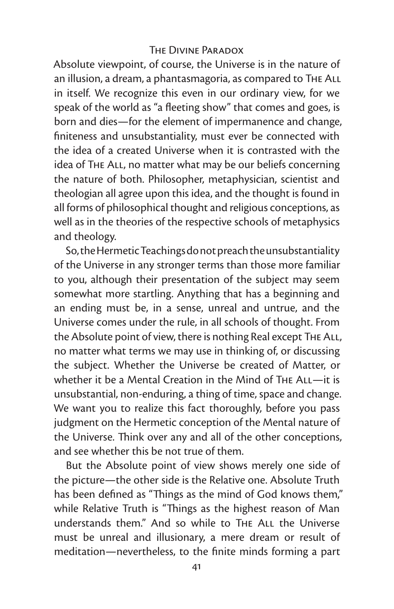Absolute viewpoint, of course, the Universe is in the nature of an illusion, a dream, a phantasmagoria, as compared to The All in itself. We recognize this even in our ordinary view, for we speak of the world as "a fleeting show" that comes and goes, is born and dies—for the element of impermanence and change, finiteness and unsubstantiality, must ever be connected with the idea of a created Universe when it is contrasted with the idea of The All, no matter what may be our beliefs concerning the nature of both. Philosopher, metaphysician, scientist and theologian all agree upon this idea, and the thought is found in all forms of philosophical thought and religious conceptions, as well as in the theories of the respective schools of metaphysics and theology.

So, the Hermetic Teachings do not preach the unsubstantiality of the Universe in any stronger terms than those more familiar to you, although their presentation of the subject may seem somewhat more startling. Anything that has a beginning and an ending must be, in a sense, unreal and untrue, and the Universe comes under the rule, in all schools of thought. From the Absolute point of view, there is nothing Real except The All, no matter what terms we may use in thinking of, or discussing the subject. Whether the Universe be created of Matter, or whether it be a Mental Creation in the Mind of THE ALL-it is unsubstantial, non‑enduring, a thing of time, space and change. We want you to realize this fact thoroughly, before you pass judgment on the Hermetic conception of the Mental nature of the Universe. Think over any and all of the other conceptions, and see whether this be not true of them.

But the Absolute point of view shows merely one side of the picture—the other side is the Relative one. Absolute Truth has been defined as "Things as the mind of God knows them," while Relative Truth is "Things as the highest reason of Man understands them." And so while to The All the Universe must be unreal and illusionary, a mere dream or result of meditation—nevertheless, to the finite minds forming a part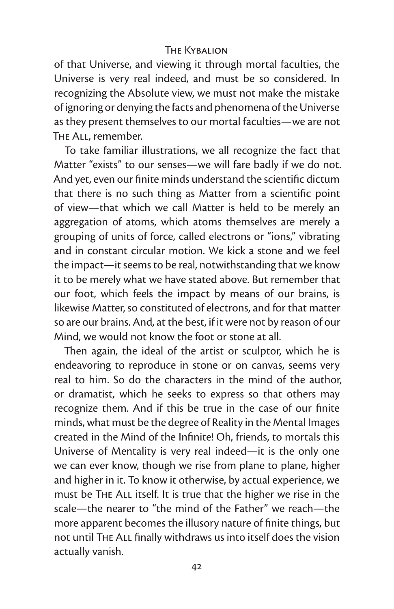of that Universe, and viewing it through mortal faculties, the Universe is very real indeed, and must be so considered. In recognizing the Absolute view, we must not make the mistake of ignoring or denying the facts and phenomena of the Universe as they present themselves to our mortal faculties—we are not The All, remember.

To take familiar illustrations, we all recognize the fact that Matter "exists" to our senses—we will fare badly if we do not. And yet, even our finite minds understand the scientific dictum that there is no such thing as Matter from a scientific point of view—that which we call Matter is held to be merely an aggregation of atoms, which atoms themselves are merely a grouping of units of force, called electrons or "ions," vibrating and in constant circular motion. We kick a stone and we feel the impact—it seems to be real, notwithstanding that we know it to be merely what we have stated above. But remember that our foot, which feels the impact by means of our brains, is likewise Matter, so constituted of electrons, and for that matter so are our brains. And, at the best, if it were not by reason of our Mind, we would not know the foot or stone at all.

Then again, the ideal of the artist or sculptor, which he is endeavoring to reproduce in stone or on canvas, seems very real to him. So do the characters in the mind of the author, or dramatist, which he seeks to express so that others may recognize them. And if this be true in the case of our finite minds, what must be the degree of Reality in the Mental Images created in the Mind of the Infinite! Oh, friends, to mortals this Universe of Mentality is very real indeed—it is the only one we can ever know, though we rise from plane to plane, higher and higher in it. To know it otherwise, by actual experience, we must be The All itself. It is true that the higher we rise in the scale—the nearer to "the mind of the Father" we reach—the more apparent becomes the illusory nature of finite things, but not until The All finally withdraws us into itself does the vision actually vanish.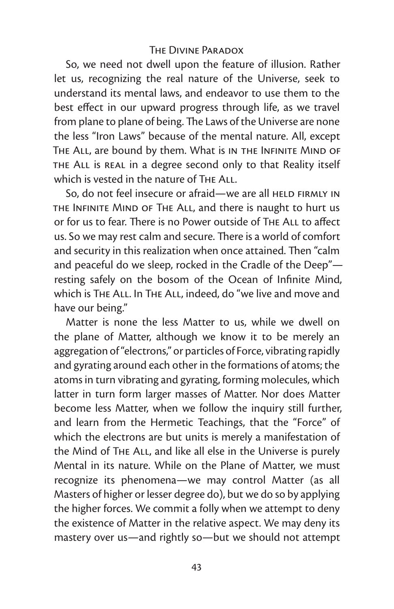## The Divine Paradox

So, we need not dwell upon the feature of illusion. Rather let us, recognizing the real nature of the Universe, seek to understand its mental laws, and endeavor to use them to the best effect in our upward progress through life, as we travel from plane to plane of being. The Laws of the Universe are none the less "Iron Laws" because of the mental nature. All, except THE ALL, are bound by them. What is IN THE INFINITE MIND OF the All is real in a degree second only to that Reality itself which is vested in the nature of The All.

So, do not feel insecure or afraid—we are all HELD FIRMLY IN the Infinite Mind of The All, and there is naught to hurt us or for us to fear. There is no Power outside of The All to affect us. So we may rest calm and secure. There is a world of comfort and security in this realization when once attained. Then "calm and peaceful do we sleep, rocked in the Cradle of the Deep" resting safely on the bosom of the Ocean of Infinite Mind, which is THE ALL. In THE ALL, indeed, do "we live and move and have our being."

Matter is none the less Matter to us, while we dwell on the plane of Matter, although we know it to be merely an aggregation of "electrons," or particles of Force, vibrating rapidly and gyrating around each other in the formations of atoms; the atoms in turn vibrating and gyrating, forming molecules, which latter in turn form larger masses of Matter. Nor does Matter become less Matter, when we follow the inquiry still further, and learn from the Hermetic Teachings, that the "Force" of which the electrons are but units is merely a manifestation of the Mind of The All, and like all else in the Universe is purely Mental in its nature. While on the Plane of Matter, we must recognize its phenomena—we may control Matter (as all Masters of higher or lesser degree do), but we do so by applying the higher forces. We commit a folly when we attempt to deny the existence of Matter in the relative aspect. We may deny its mastery over us—and rightly so—but we should not attempt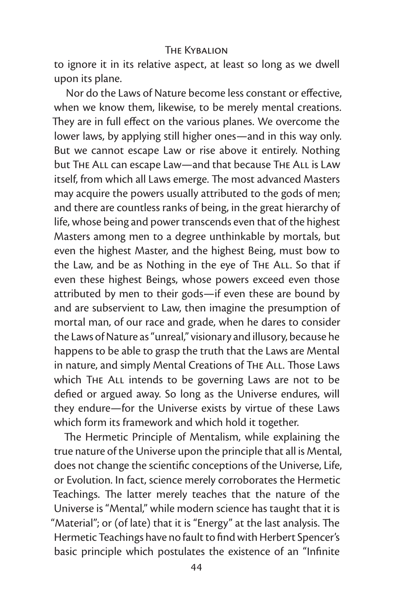to ignore it in its relative aspect, at least so long as we dwell upon its plane.

Nor do the Laws of Nature become less constant or effective, when we know them, likewise, to be merely mental creations. They are in full effect on the various planes. We overcome the lower laws, by applying still higher ones—and in this way only. But we cannot escape Law or rise above it entirely. Nothing but The All can escape Law—and that because The All is Law itself, from which all Laws emerge. The most advanced Masters may acquire the powers usually attributed to the gods of men; and there are countless ranks of being, in the great hierarchy of life, whose being and power transcends even that of the highest Masters among men to a degree unthinkable by mortals, but even the highest Master, and the highest Being, must bow to the Law, and be as Nothing in the eye of The All. So that if even these highest Beings, whose powers exceed even those attributed by men to their gods—if even these are bound by and are subservient to Law, then imagine the presumption of mortal man, of our race and grade, when he dares to consider the Laws of Nature as "unreal," visionary and illusory, because he happens to be able to grasp the truth that the Laws are Mental in nature, and simply Mental Creations of The All. Those Laws which The All intends to be governing Laws are not to be defied or argued away. So long as the Universe endures, will they endure—for the Universe exists by virtue of these Laws which form its framework and which hold it together.

The Hermetic Principle of Mentalism, while explaining the true nature of the Universe upon the principle that all is Mental, does not change the scientific conceptions of the Universe, Life, or Evolution. In fact, science merely corroborates the Hermetic Teachings. The latter merely teaches that the nature of the Universe is "Mental," while modern science has taught that it is "Material"; or (of late) that it is "Energy" at the last analysis. The Hermetic Teachings have no fault to find with Herbert Spencer's basic principle which postulates the existence of an "Infinite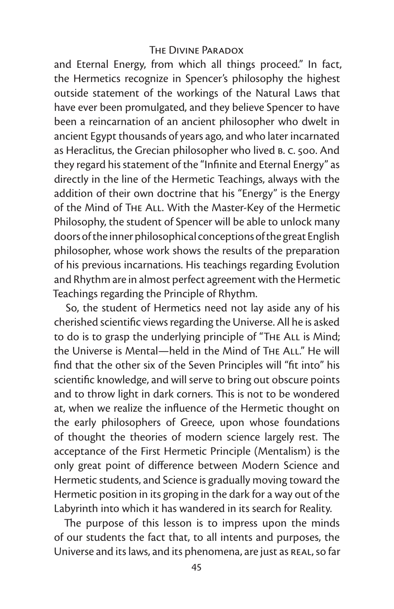## The Divine Paradox

and Eternal Energy, from which all things proceed." In fact, the Hermetics recognize in Spencer's philosophy the highest outside statement of the workings of the Natural Laws that have ever been promulgated, and they believe Spencer to have been a reincarnation of an ancient philosopher who dwelt in ancient Egypt thousands of years ago, and who later incarnated as Heraclitus, the Grecian philosopher who lived b. c. 500. And they regard his statement of the "Infinite and Eternal Energy" as directly in the line of the Hermetic Teachings, always with the addition of their own doctrine that his "Energy" is the Energy of the Mind of The All. With the Master‑Key of the Hermetic Philosophy, the student of Spencer will be able to unlock many doors of the inner philosophical conceptions of the great English philosopher, whose work shows the results of the preparation of his previous incarnations. His teachings regarding Evolution and Rhythm are in almost perfect agreement with the Hermetic Teachings regarding the Principle of Rhythm.

So, the student of Hermetics need not lay aside any of his cherished scientific views regarding the Universe. All he is asked to do is to grasp the underlying principle of "The All is Mind; the Universe is Mental—held in the Mind of The All." He will find that the other six of the Seven Principles will "fit into" his scientific knowledge, and will serve to bring out obscure points and to throw light in dark corners. This is not to be wondered at, when we realize the influence of the Hermetic thought on the early philosophers of Greece, upon whose foundations of thought the theories of modern science largely rest. The acceptance of the First Hermetic Principle (Mentalism) is the only great point of difference between Modern Science and Hermetic students, and Science is gradually moving toward the Hermetic position in its groping in the dark for a way out of the Labyrinth into which it has wandered in its search for Reality.

The purpose of this lesson is to impress upon the minds of our students the fact that, to all intents and purposes, the Universe and its laws, and its phenomena, are just as real, so far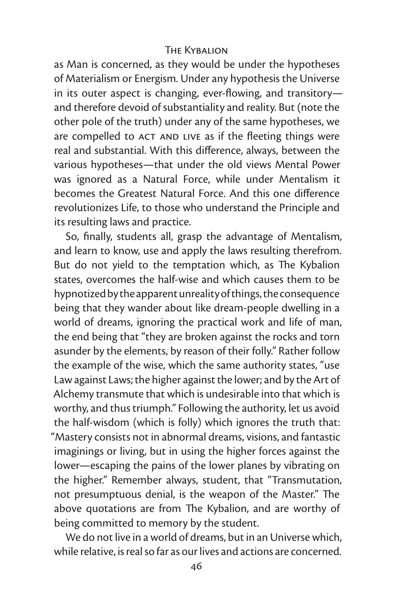as Man is concerned, as they would be under the hypotheses of Materialism or Energism. Under any hypothesis the Universe in its outer aspect is changing, ever-flowing, and transitoryand therefore devoid of substantiality and reality. But (note the other pole of the truth) under any of the same hypotheses, we are compelled to ACT AND LIVE as if the fleeting things were real and substantial. With this difference, always, between the various hypotheses—that under the old views Mental Power was ignored as a Natural Force, while under Mentalism it becomes the Greatest Natural Force. And this one difference revolutionizes Life, to those who understand the Principle and its resulting laws and practice.

So, finally, students all, grasp the advantage of Mentalism, and learn to know, use and apply the laws resulting therefrom. But do not yield to the temptation which, as The Kybalion states, overcomes the half‑wise and which causes them to be hypnotized by the apparent unreality of things, the consequence being that they wander about like dream‑people dwelling in a world of dreams, ignoring the practical work and life of man, the end being that "they are broken against the rocks and torn asunder by the elements, by reason of their folly." Rather follow the example of the wise, which the same authority states, "use Law against Laws; the higher against the lower; and by the Art of Alchemy transmute that which is undesirable into that which is worthy, and thus triumph." Following the authority, let us avoid the half-wisdom (which is folly) which ignores the truth that: "Mastery consists not in abnormal dreams, visions, and fantastic imaginings or living, but in using the higher forces against the lower—escaping the pains of the lower planes by vibrating on the higher." Remember always, student, that "Transmutation, not presumptuous denial, is the weapon of the Master." The above quotations are from The Kybalion, and are worthy of being committed to memory by the student.

We do not live in a world of dreams, but in an Universe which, while relative, is real so far as our lives and actions are concerned.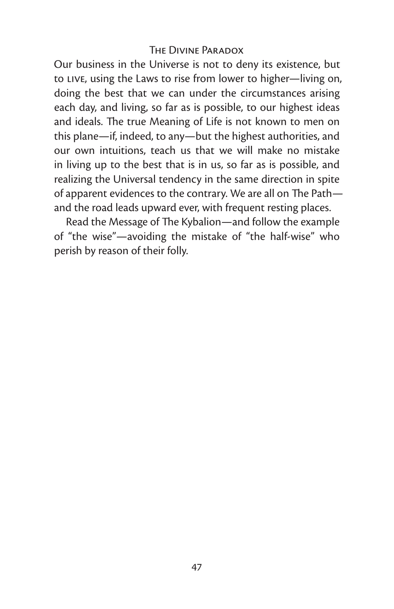## The Divine Paradox

Our business in the Universe is not to deny its existence, but to live, using the Laws to rise from lower to higher—living on, doing the best that we can under the circumstances arising each day, and living, so far as is possible, to our highest ideas and ideals. The true Meaning of Life is not known to men on this plane—if, indeed, to any—but the highest authorities, and our own intuitions, teach us that we will make no mistake in living up to the best that is in us, so far as is possible, and realizing the Universal tendency in the same direction in spite of apparent evidences to the contrary. We are all on The Path and the road leads upward ever, with frequent resting places.

Read the Message of The Kybalion—and follow the example of "the wise"—avoiding the mistake of "the half‑wise" who perish by reason of their folly.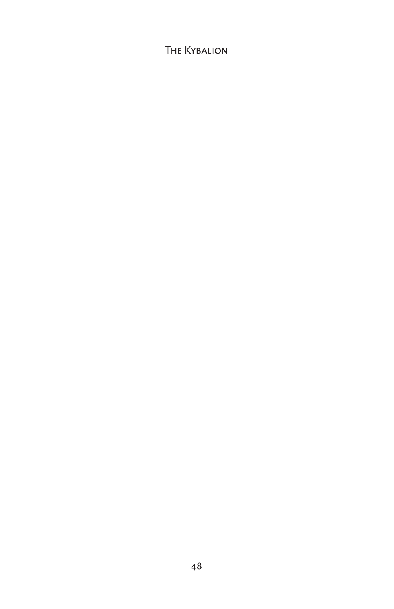## The Kybalion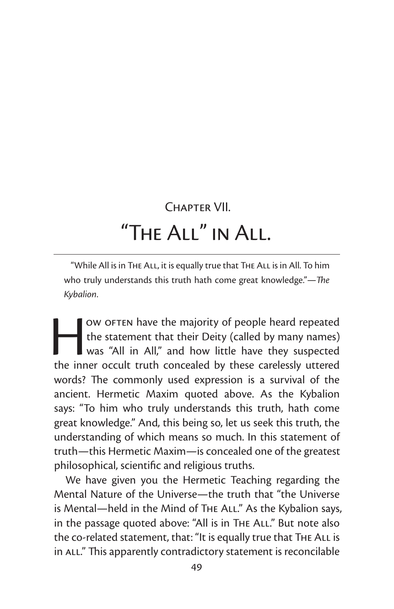## Chapter VII. "The All" in All.

"While All is in The ALL, it is equally true that The ALL is in All. To him who truly understands this truth hath come great knowledge."—*The Kybalion*.

OW OFTEN have the majority of people heard repeated<br>the statement that their Deity (called by many names)<br>was "All in All," and how little have they suspected<br>the inner occult truth concealed by these carelessly uttered the statement that their Deity (called by many names) was "All in All," and how little have they suspected the inner occult truth concealed by these carelessly uttered words? The commonly used expression is a survival of the ancient. Hermetic Maxim quoted above. As the Kybalion says: "To him who truly understands this truth, hath come great knowledge." And, this being so, let us seek this truth, the understanding of which means so much. In this statement of truth—this Hermetic Maxim—is concealed one of the greatest philosophical, scientific and religious truths.

We have given you the Hermetic Teaching regarding the Mental Nature of the Universe—the truth that "the Universe is Mental—held in the Mind of The All." As the Kybalion says, in the passage quoted above: "All is in The All." But note also the co-related statement, that: "It is equally true that THE ALL is in ALL." This apparently contradictory statement is reconcilable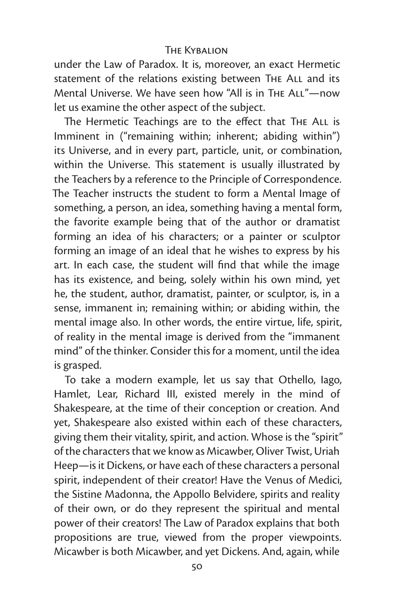under the Law of Paradox. It is, moreover, an exact Hermetic statement of the relations existing between The All and its Mental Universe. We have seen how "All is in The All"—now let us examine the other aspect of the subject.

The Hermetic Teachings are to the effect that The All is Imminent in ("remaining within; inherent; abiding within") its Universe, and in every part, particle, unit, or combination, within the Universe. This statement is usually illustrated by the Teachers by a reference to the Principle of Correspondence. The Teacher instructs the student to form a Mental Image of something, a person, an idea, something having a mental form, the favorite example being that of the author or dramatist forming an idea of his characters; or a painter or sculptor forming an image of an ideal that he wishes to express by his art. In each case, the student will find that while the image has its existence, and being, solely within his own mind, yet he, the student, author, dramatist, painter, or sculptor, is, in a sense, immanent in; remaining within; or abiding within, the mental image also. In other words, the entire virtue, life, spirit, of reality in the mental image is derived from the "immanent mind" of the thinker. Consider this for a moment, until the idea is grasped.

To take a modern example, let us say that Othello, Iago, Hamlet, Lear, Richard III, existed merely in the mind of Shakespeare, at the time of their conception or creation. And yet, Shakespeare also existed within each of these characters, giving them their vitality, spirit, and action. Whose is the "spirit" of the characters that we know as Micawber, Oliver Twist, Uriah Heep—is it Dickens, or have each of these characters a personal spirit, independent of their creator! Have the Venus of Medici, the Sistine Madonna, the Appollo Belvidere, spirits and reality of their own, or do they represent the spiritual and mental power of their creators! The Law of Paradox explains that both propositions are true, viewed from the proper viewpoints. Micawber is both Micawber, and yet Dickens. And, again, while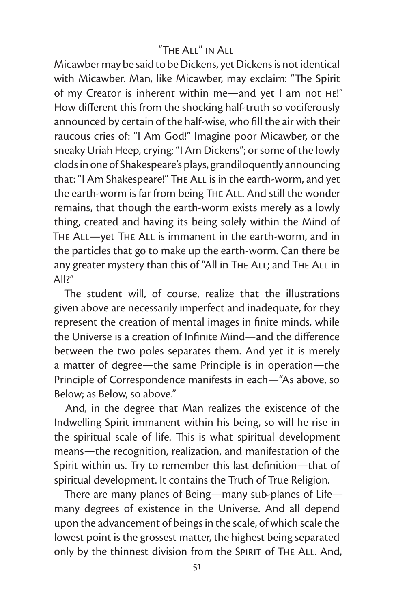Micawber may be said to be Dickens, yet Dickens is not identical with Micawber. Man, like Micawber, may exclaim: "The Spirit of my Creator is inherent within me—and yet I am not he!" How different this from the shocking half-truth so vociferously announced by certain of the half-wise, who fill the air with their raucous cries of: "I Am God!" Imagine poor Micawber, or the sneaky Uriah Heep, crying: "I Am Dickens"; or some of the lowly clods in one of Shakespeare's plays, grandiloquently announcing that: "I Am Shakespeare!" The All is in the earth‑worm, and yet the earth-worm is far from being THE ALL. And still the wonder remains, that though the earth-worm exists merely as a lowly thing, created and having its being solely within the Mind of THE ALL-yet THE ALL is immanent in the earth-worm, and in the particles that go to make up the earth‑worm. Can there be any greater mystery than this of "All in The All; and The All in All?"

The student will, of course, realize that the illustrations given above are necessarily imperfect and inadequate, for they represent the creation of mental images in finite minds, while the Universe is a creation of Infinite Mind—and the difference between the two poles separates them. And yet it is merely a matter of degree—the same Principle is in operation—the Principle of Correspondence manifests in each—"As above, so Below; as Below, so above."

And, in the degree that Man realizes the existence of the Indwelling Spirit immanent within his being, so will he rise in the spiritual scale of life. This is what spiritual development means—the recognition, realization, and manifestation of the Spirit within us. Try to remember this last definition—that of spiritual development. It contains the Truth of True Religion.

There are many planes of Being—many sub-planes of Life many degrees of existence in the Universe. And all depend upon the advancement of beings in the scale, of which scale the lowest point is the grossest matter, the highest being separated only by the thinnest division from the SPIRIT of THE ALL. And,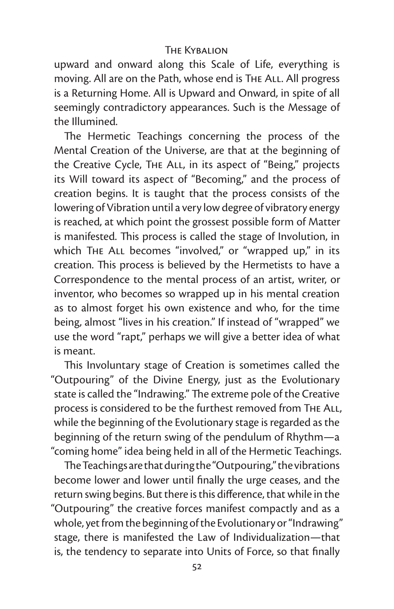upward and onward along this Scale of Life, everything is moving. All are on the Path, whose end is The All. All progress is a Returning Home. All is Upward and Onward, in spite of all seemingly contradictory appearances. Such is the Message of the Illumined.

The Hermetic Teachings concerning the process of the Mental Creation of the Universe, are that at the beginning of the Creative Cycle, The All, in its aspect of "Being," projects its Will toward its aspect of "Becoming," and the process of creation begins. It is taught that the process consists of the lowering of Vibration until a very low degree of vibratory energy is reached, at which point the grossest possible form of Matter is manifested. This process is called the stage of Involution, in which THE ALL becomes "involved," or "wrapped up," in its creation. This process is believed by the Hermetists to have a Correspondence to the mental process of an artist, writer, or inventor, who becomes so wrapped up in his mental creation as to almost forget his own existence and who, for the time being, almost "lives in his creation." If instead of "wrapped" we use the word "rapt," perhaps we will give a better idea of what is meant.

This Involuntary stage of Creation is sometimes called the "Outpouring" of the Divine Energy, just as the Evolutionary state is called the "Indrawing." The extreme pole of the Creative process is considered to be the furthest removed from The All, while the beginning of the Evolutionary stage is regarded as the beginning of the return swing of the pendulum of Rhythm—a "coming home" idea being held in all of the Hermetic Teachings.

The Teachings are that during the "Outpouring," the vibrations become lower and lower until finally the urge ceases, and the return swing begins. But there is this difference, that while in the "Outpouring" the creative forces manifest compactly and as a whole, yet from the beginning of the Evolutionary or "Indrawing" stage, there is manifested the Law of Individualization—that is, the tendency to separate into Units of Force, so that finally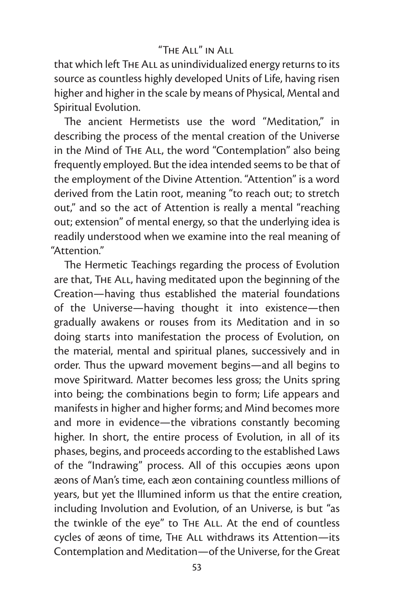## "The All" in All

that which left The All as unindividualized energy returns to its source as countless highly developed Units of Life, having risen higher and higher in the scale by means of Physical, Mental and Spiritual Evolution.

The ancient Hermetists use the word "Meditation," in describing the process of the mental creation of the Universe in the Mind of The All, the word "Contemplation" also being frequently employed. But the idea intended seems to be that of the employment of the Divine Attention. "Attention" is a word derived from the Latin root, meaning "to reach out; to stretch out," and so the act of Attention is really a mental "reaching out; extension" of mental energy, so that the underlying idea is readily understood when we examine into the real meaning of "Attention."

The Hermetic Teachings regarding the process of Evolution are that, The All, having meditated upon the beginning of the Creation—having thus established the material foundations of the Universe—having thought it into existence—then gradually awakens or rouses from its Meditation and in so doing starts into manifestation the process of Evolution, on the material, mental and spiritual planes, successively and in order. Thus the upward movement begins—and all begins to move Spiritward. Matter becomes less gross; the Units spring into being; the combinations begin to form; Life appears and manifests in higher and higher forms; and Mind becomes more and more in evidence—the vibrations constantly becoming higher. In short, the entire process of Evolution, in all of its phases, begins, and proceeds according to the established Laws of the "Indrawing" process. All of this occupies æons upon æons of Man's time, each æon containing countless millions of years, but yet the Illumined inform us that the entire creation, including Involution and Evolution, of an Universe, is but "as the twinkle of the eye" to The All. At the end of countless cycles of æons of time, The All withdraws its Attention—its Contemplation and Meditation—of the Universe, for the Great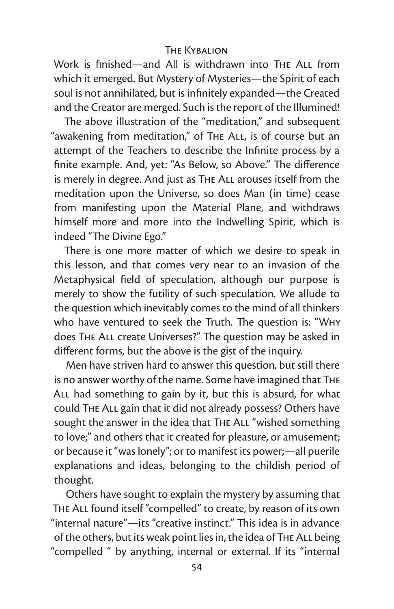Work is finished—and All is withdrawn into The All from which it emerged. But Mystery of Mysteries—the Spirit of each soul is not annihilated, but is infinitely expanded—the Created and the Creator are merged. Such is the report of the Illumined!

The above illustration of the "meditation," and subsequent "awakening from meditation," of The All, is of course but an attempt of the Teachers to describe the Infinite process by a finite example. And, yet: "As Below, so Above." The difference is merely in degree. And just as The All arouses itself from the meditation upon the Universe, so does Man (in time) cease from manifesting upon the Material Plane, and withdraws himself more and more into the Indwelling Spirit, which is indeed "The Divine Ego."

There is one more matter of which we desire to speak in this lesson, and that comes very near to an invasion of the Metaphysical field of speculation, although our purpose is merely to show the futility of such speculation. We allude to the question which inevitably comes to the mind of all thinkers who have ventured to seek the Truth. The question is: "Why does The All create Universes?" The question may be asked in different forms, but the above is the gist of the inquiry.

Men have striven hard to answer this question, but still there is no answer worthy of the name. Some have imagined that The All had something to gain by it, but this is absurd, for what could The All gain that it did not already possess? Others have sought the answer in the idea that The All "wished something to love;" and others that it created for pleasure, or amusement; or because it "was lonely"; or to manifest its power;—all puerile explanations and ideas, belonging to the childish period of thought.

Others have sought to explain the mystery by assuming that The All found itself "compelled" to create, by reason of its own "internal nature"—its "creative instinct." This idea is in advance of the others, but its weak point lies in, the idea of The All being "compelled " by anything, internal or external. If its "internal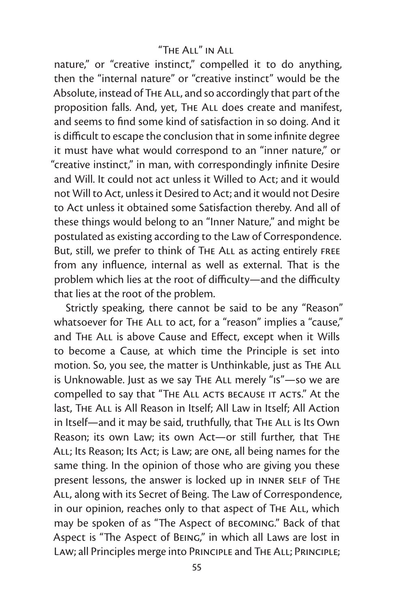nature," or "creative instinct," compelled it to do anything, then the "internal nature" or "creative instinct" would be the Absolute, instead of The All, and so accordingly that part of the proposition falls. And, yet, The All does create and manifest, and seems to find some kind of satisfaction in so doing. And it is difficult to escape the conclusion that in some infinite degree it must have what would correspond to an "inner nature," or "creative instinct," in man, with correspondingly infinite Desire and Will. It could not act unless it Willed to Act; and it would not Will to Act, unless it Desired to Act; and it would not Desire to Act unless it obtained some Satisfaction thereby. And all of these things would belong to an "Inner Nature," and might be postulated as existing according to the Law of Correspondence. But, still, we prefer to think of The All as acting entirely free from any influence, internal as well as external. That is the problem which lies at the root of difficulty—and the difficulty that lies at the root of the problem.

Strictly speaking, there cannot be said to be any "Reason" whatsoever for The All to act, for a "reason" implies a "cause," and The All is above Cause and Effect, except when it Wills to become a Cause, at which time the Principle is set into motion. So, you see, the matter is Unthinkable, just as The All is Unknowable. Just as we say The All merely "is"—so we are compelled to say that "THE ALL ACTS BECAUSE IT ACTS." At the last. The ALL is All Reason in Itself: All Law in Itself: All Action in Itself—and it may be said, truthfully, that The All is Its Own Reason; its own Law; its own Act—or still further, that The All; Its Reason; Its Act; is Law; are one, all being names for the same thing. In the opinion of those who are giving you these present lessons, the answer is locked up in inner self of The All, along with its Secret of Being. The Law of Correspondence, in our opinion, reaches only to that aspect of The All, which may be spoken of as "The Aspect of becoming." Back of that Aspect is "The Aspect of Being," in which all Laws are lost in Law; all Principles merge into Principle and The All; Principle;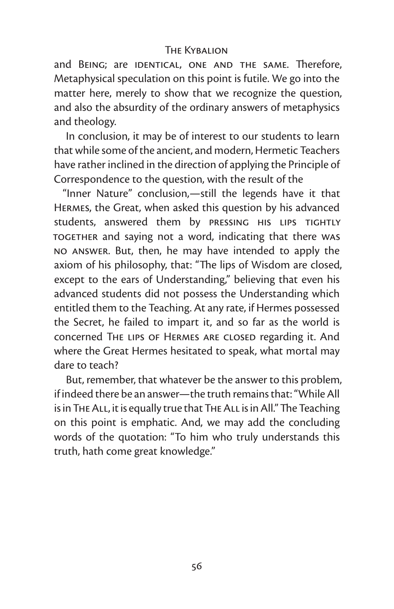and BEING; are IDENTICAL, ONE AND THE SAME. Therefore, Metaphysical speculation on this point is futile. We go into the matter here, merely to show that we recognize the question, and also the absurdity of the ordinary answers of metaphysics and theology.

In conclusion, it may be of interest to our students to learn that while some of the ancient, and modern, Hermetic Teachers have rather inclined in the direction of applying the Principle of Correspondence to the question, with the result of the

"Inner Nature" conclusion,—still the legends have it that Hermes, the Great, when asked this question by his advanced students, answered them by PRESSING HIS LIPS TIGHTLY together and saying not a word, indicating that there was no answer. But, then, he may have intended to apply the axiom of his philosophy, that: "The lips of Wisdom are closed, except to the ears of Understanding," believing that even his advanced students did not possess the Understanding which entitled them to the Teaching. At any rate, if Hermes possessed the Secret, he failed to impart it, and so far as the world is concerned The lips of Hermes are closed regarding it. And where the Great Hermes hesitated to speak, what mortal may dare to teach?

But, remember, that whatever be the answer to this problem, if indeed there be an answer—the truth remains that: "While All is in The ALL, it is equally true that The ALL is in All." The Teaching on this point is emphatic. And, we may add the concluding words of the quotation: "To him who truly understands this truth, hath come great knowledge."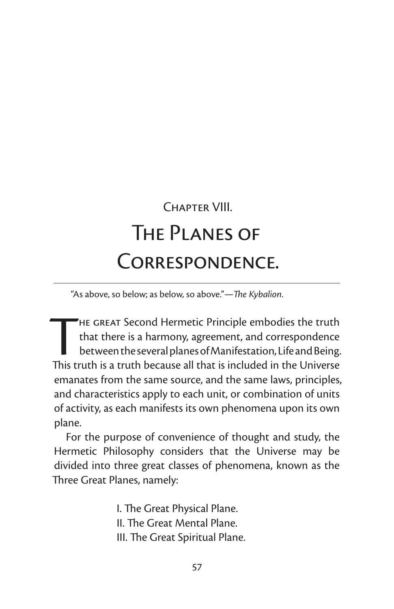## Chapter VIII.

# The Planes of Correspondence.

"As above, so below; as below, so above."—*The Kybalion*.

HE GREAT Second Hermetic Principle embodies the truth that there is a harmony, agreement, and correspondence between the several planes of Manifestation, Life and Being. This truth is a truth because all that is included in the Universe emanates from the same source, and the same laws, principles, and characteristics apply to each unit, or combination of units of activity, as each manifests its own phenomena upon its own plane.

For the purpose of convenience of thought and study, the Hermetic Philosophy considers that the Universe may be divided into three great classes of phenomena, known as the Three Great Planes, namely:

> I. The Great Physical Plane. II. The Great Mental Plane. III. The Great Spiritual Plane.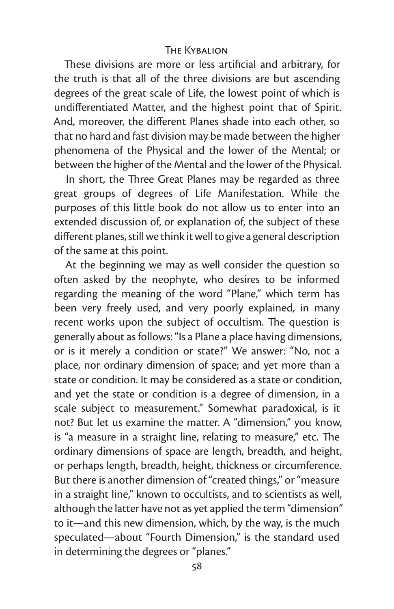These divisions are more or less artificial and arbitrary, for the truth is that all of the three divisions are but ascending degrees of the great scale of Life, the lowest point of which is undifferentiated Matter, and the highest point that of Spirit. And, moreover, the different Planes shade into each other, so that no hard and fast division may be made between the higher phenomena of the Physical and the lower of the Mental; or between the higher of the Mental and the lower of the Physical.

In short, the Three Great Planes may be regarded as three great groups of degrees of Life Manifestation. While the purposes of this little book do not allow us to enter into an extended discussion of, or explanation of, the subject of these different planes, still we think it well to give a general description of the same at this point.

At the beginning we may as well consider the question so often asked by the neophyte, who desires to be informed regarding the meaning of the word "Plane," which term has been very freely used, and very poorly explained, in many recent works upon the subject of occultism. The question is generally about as follows: "Is a Plane a place having dimensions, or is it merely a condition or state?" We answer: "No, not a place, nor ordinary dimension of space; and yet more than a state or condition. It may be considered as a state or condition, and yet the state or condition is a degree of dimension, in a scale subject to measurement." Somewhat paradoxical, is it not? But let us examine the matter. A "dimension," you know, is "a measure in a straight line, relating to measure," etc. The ordinary dimensions of space are length, breadth, and height, or perhaps length, breadth, height, thickness or circumference. But there is another dimension of "created things," or "measure in a straight line," known to occultists, and to scientists as well, although the latter have not as yet applied the term "dimension" to it—and this new dimension, which, by the way, is the much speculated—about "Fourth Dimension," is the standard used in determining the degrees or "planes."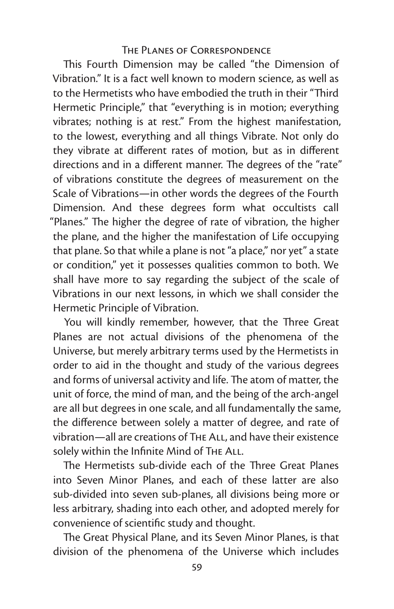#### The Planes of Correspondence

This Fourth Dimension may be called "the Dimension of Vibration." It is a fact well known to modern science, as well as to the Hermetists who have embodied the truth in their "Third Hermetic Principle," that "everything is in motion; everything vibrates; nothing is at rest." From the highest manifestation, to the lowest, everything and all things Vibrate. Not only do they vibrate at different rates of motion, but as in different directions and in a different manner. The degrees of the "rate" of vibrations constitute the degrees of measurement on the Scale of Vibrations—in other words the degrees of the Fourth Dimension. And these degrees form what occultists call "Planes." The higher the degree of rate of vibration, the higher the plane, and the higher the manifestation of Life occupying that plane. So that while a plane is not "a place," nor yet" a state or condition," yet it possesses qualities common to both. We shall have more to say regarding the subject of the scale of Vibrations in our next lessons, in which we shall consider the Hermetic Principle of Vibration.

You will kindly remember, however, that the Three Great Planes are not actual divisions of the phenomena of the Universe, but merely arbitrary terms used by the Hermetists in order to aid in the thought and study of the various degrees and forms of universal activity and life. The atom of matter, the unit of force, the mind of man, and the being of the arch‑angel are all but degrees in one scale, and all fundamentally the same, the difference between solely a matter of degree, and rate of vibration—all are creations of The All, and have their existence solely within the Infinite Mind of The All.

The Hermetists sub‑divide each of the Three Great Planes into Seven Minor Planes, and each of these latter are also sub‑divided into seven sub‑planes, all divisions being more or less arbitrary, shading into each other, and adopted merely for convenience of scientific study and thought.

The Great Physical Plane, and its Seven Minor Planes, is that division of the phenomena of the Universe which includes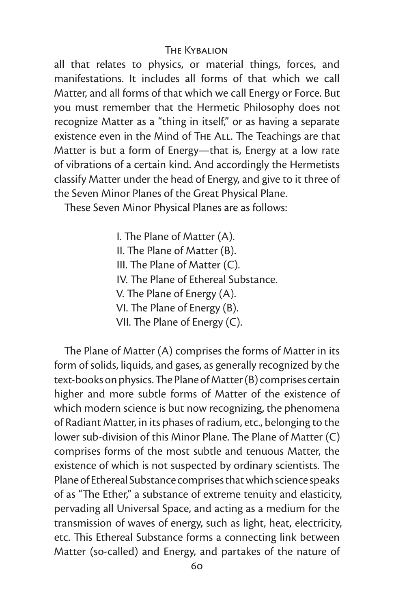all that relates to physics, or material things, forces, and manifestations. It includes all forms of that which we call Matter, and all forms of that which we call Energy or Force. But you must remember that the Hermetic Philosophy does not recognize Matter as a "thing in itself," or as having a separate existence even in the Mind of The All. The Teachings are that Matter is but a form of Energy—that is, Energy at a low rate of vibrations of a certain kind. And accordingly the Hermetists classify Matter under the head of Energy, and give to it three of the Seven Minor Planes of the Great Physical Plane.

These Seven Minor Physical Planes are as follows:

I. The Plane of Matter (A). II. The Plane of Matter (B). III. The Plane of Matter (C). IV. The Plane of Ethereal Substance. V. The Plane of Energy (A). VI. The Plane of Energy (B). VII. The Plane of Energy (C).

The Plane of Matter (A) comprises the forms of Matter in its form of solids, liquids, and gases, as generally recognized by the text-books on physics. The Plane of Matter (B) comprises certain higher and more subtle forms of Matter of the existence of which modern science is but now recognizing, the phenomena of Radiant Matter, in its phases of radium, etc., belonging to the lower sub-division of this Minor Plane. The Plane of Matter (C) comprises forms of the most subtle and tenuous Matter, the existence of which is not suspected by ordinary scientists. The Plane of Ethereal Substance comprises that which science speaks of as "The Ether," a substance of extreme tenuity and elasticity, pervading all Universal Space, and acting as a medium for the transmission of waves of energy, such as light, heat, electricity, etc. This Ethereal Substance forms a connecting link between Matter (so-called) and Energy, and partakes of the nature of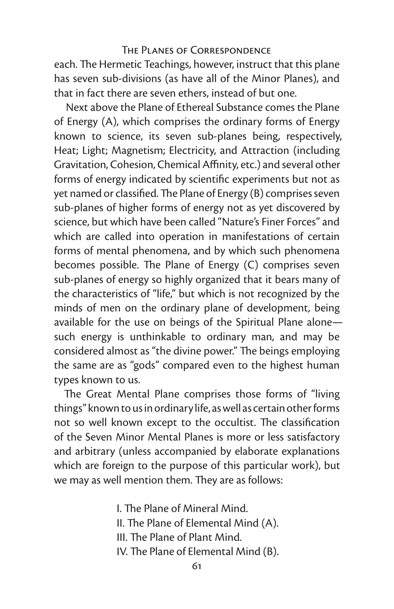#### The Planes of Correspondence

each. The Hermetic Teachings, however, instruct that this plane has seven sub-divisions (as have all of the Minor Planes), and that in fact there are seven ethers, instead of but one.

Next above the Plane of Ethereal Substance comes the Plane of Energy (A), which comprises the ordinary forms of Energy known to science, its seven sub‑planes being, respectively, Heat; Light; Magnetism; Electricity, and Attraction (including Gravitation, Cohesion, Chemical Affinity, etc.) and several other forms of energy indicated by scientific experiments but not as yet named or classified. The Plane of Energy (B) comprises seven sub‑planes of higher forms of energy not as yet discovered by science, but which have been called "Nature's Finer Forces" and which are called into operation in manifestations of certain forms of mental phenomena, and by which such phenomena becomes possible. The Plane of Energy (C) comprises seven sub‑planes of energy so highly organized that it bears many of the characteristics of "life," but which is not recognized by the minds of men on the ordinary plane of development, being available for the use on beings of the Spiritual Plane alone such energy is unthinkable to ordinary man, and may be considered almost as "the divine power." The beings employing the same are as "gods" compared even to the highest human types known to us.

The Great Mental Plane comprises those forms of "living things" known to us in ordinary life, as well as certain other forms not so well known except to the occultist. The classification of the Seven Minor Mental Planes is more or less satisfactory and arbitrary (unless accompanied by elaborate explanations which are foreign to the purpose of this particular work), but we may as well mention them. They are as follows:

> I. The Plane of Mineral Mind. II. The Plane of Elemental Mind (A). III. The Plane of Plant Mind. IV. The Plane of Elemental Mind (B).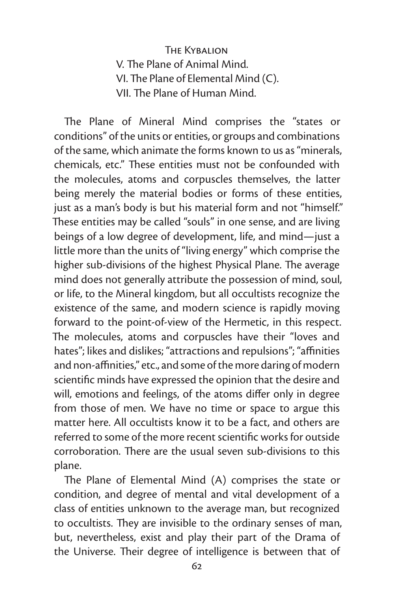**THE KYBALION** V. The Plane of Animal Mind. VI. The Plane of Elemental Mind (C). VII. The Plane of Human Mind.

The Plane of Mineral Mind comprises the "states or conditions" of the units or entities, or groups and combinations of the same, which animate the forms known to us as "minerals, chemicals, etc." These entities must not be confounded with the molecules, atoms and corpuscles themselves, the latter being merely the material bodies or forms of these entities, just as a man's body is but his material form and not "himself." These entities may be called "souls" in one sense, and are living beings of a low degree of development, life, and mind—just a little more than the units of "living energy" which comprise the higher sub‑divisions of the highest Physical Plane. The average mind does not generally attribute the possession of mind, soul, or life, to the Mineral kingdom, but all occultists recognize the existence of the same, and modern science is rapidly moving forward to the point-of-view of the Hermetic, in this respect. The molecules, atoms and corpuscles have their "loves and hates"; likes and dislikes; "attractions and repulsions"; "affinities and non‑affinities," etc., and some of the more daring of modern scientific minds have expressed the opinion that the desire and will, emotions and feelings, of the atoms differ only in degree from those of men. We have no time or space to argue this matter here. All occultists know it to be a fact, and others are referred to some of the more recent scientific works for outside corroboration. There are the usual seven sub‑divisions to this plane.

The Plane of Elemental Mind (A) comprises the state or condition, and degree of mental and vital development of a class of entities unknown to the average man, but recognized to occultists. They are invisible to the ordinary senses of man, but, nevertheless, exist and play their part of the Drama of the Universe. Their degree of intelligence is between that of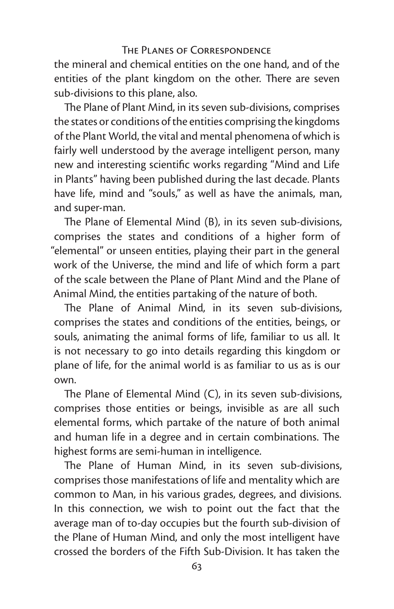## The Planes of Correspondence

the mineral and chemical entities on the one hand, and of the entities of the plant kingdom on the other. There are seven sub‑divisions to this plane, also.

The Plane of Plant Mind, in its seven sub‑divisions, comprises the states or conditions of the entities comprising the kingdoms of the Plant World, the vital and mental phenomena of which is fairly well understood by the average intelligent person, many new and interesting scientific works regarding "Mind and Life in Plants" having been published during the last decade. Plants have life, mind and "souls," as well as have the animals, man, and super‑man.

The Plane of Elemental Mind (B), in its seven sub-divisions, comprises the states and conditions of a higher form of "elemental" or unseen entities, playing their part in the general work of the Universe, the mind and life of which form a part of the scale between the Plane of Plant Mind and the Plane of Animal Mind, the entities partaking of the nature of both.

The Plane of Animal Mind, in its seven sub-divisions, comprises the states and conditions of the entities, beings, or souls, animating the animal forms of life, familiar to us all. It is not necessary to go into details regarding this kingdom or plane of life, for the animal world is as familiar to us as is our own.

The Plane of Elemental Mind (C), in its seven sub-divisions, comprises those entities or beings, invisible as are all such elemental forms, which partake of the nature of both animal and human life in a degree and in certain combinations. The highest forms are semi‑human in intelligence.

The Plane of Human Mind, in its seven sub-divisions, comprises those manifestations of life and mentality which are common to Man, in his various grades, degrees, and divisions. In this connection, we wish to point out the fact that the average man of to‑day occupies but the fourth sub‑division of the Plane of Human Mind, and only the most intelligent have crossed the borders of the Fifth Sub‑Division. It has taken the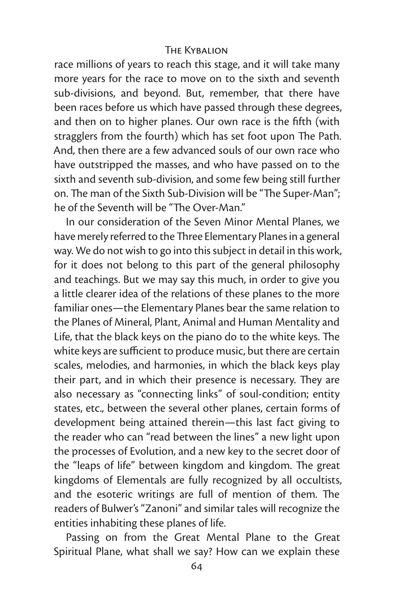race millions of years to reach this stage, and it will take many more years for the race to move on to the sixth and seventh sub-divisions, and beyond. But, remember, that there have been races before us which have passed through these degrees, and then on to higher planes. Our own race is the fifth (with stragglers from the fourth) which has set foot upon The Path. And, then there are a few advanced souls of our own race who have outstripped the masses, and who have passed on to the sixth and seventh sub-division, and some few being still further on. The man of the Sixth Sub-Division will be "The Super-Man"; he of the Seventh will be "The Over‑Man."

In our consideration of the Seven Minor Mental Planes, we have merely referred to the Three Elementary Planes in a general way. We do not wish to go into this subject in detail in this work, for it does not belong to this part of the general philosophy and teachings. But we may say this much, in order to give you a little clearer idea of the relations of these planes to the more familiar ones—the Elementary Planes bear the same relation to the Planes of Mineral, Plant, Animal and Human Mentality and Life, that the black keys on the piano do to the white keys. The white keys are sufficient to produce music, but there are certain scales, melodies, and harmonies, in which the black keys play their part, and in which their presence is necessary. They are also necessary as "connecting links" of soul-condition; entity states, etc., between the several other planes, certain forms of development being attained therein—this last fact giving to the reader who can "read between the lines" a new light upon the processes of Evolution, and a new key to the secret door of the "leaps of life" between kingdom and kingdom. The great kingdoms of Elementals are fully recognized by all occultists, and the esoteric writings are full of mention of them. The readers of Bulwer's "Zanoni" and similar tales will recognize the entities inhabiting these planes of life.

Passing on from the Great Mental Plane to the Great Spiritual Plane, what shall we say? How can we explain these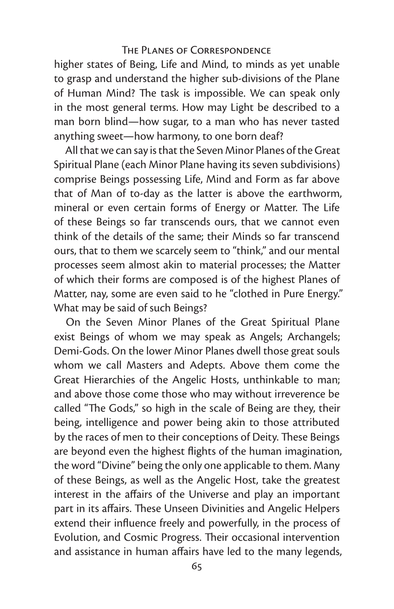## The Planes of Correspondence

higher states of Being, Life and Mind, to minds as yet unable to grasp and understand the higher sub‑divisions of the Plane of Human Mind? The task is impossible. We can speak only in the most general terms. How may Light be described to a man born blind—how sugar, to a man who has never tasted anything sweet—how harmony, to one born deaf?

All that we can say is that the Seven Minor Planes of the Great Spiritual Plane (each Minor Plane having its seven subdivisions) comprise Beings possessing Life, Mind and Form as far above that of Man of to‑day as the latter is above the earthworm, mineral or even certain forms of Energy or Matter. The Life of these Beings so far transcends ours, that we cannot even think of the details of the same; their Minds so far transcend ours, that to them we scarcely seem to "think," and our mental processes seem almost akin to material processes; the Matter of which their forms are composed is of the highest Planes of Matter, nay, some are even said to he "clothed in Pure Energy." What may be said of such Beings?

On the Seven Minor Planes of the Great Spiritual Plane exist Beings of whom we may speak as Angels; Archangels; Demi‑Gods. On the lower Minor Planes dwell those great souls whom we call Masters and Adepts. Above them come the Great Hierarchies of the Angelic Hosts, unthinkable to man; and above those come those who may without irreverence be called "The Gods," so high in the scale of Being are they, their being, intelligence and power being akin to those attributed by the races of men to their conceptions of Deity. These Beings are beyond even the highest flights of the human imagination, the word "Divine" being the only one applicable to them. Many of these Beings, as well as the Angelic Host, take the greatest interest in the affairs of the Universe and play an important part in its affairs. These Unseen Divinities and Angelic Helpers extend their influence freely and powerfully, in the process of Evolution, and Cosmic Progress. Their occasional intervention and assistance in human affairs have led to the many legends,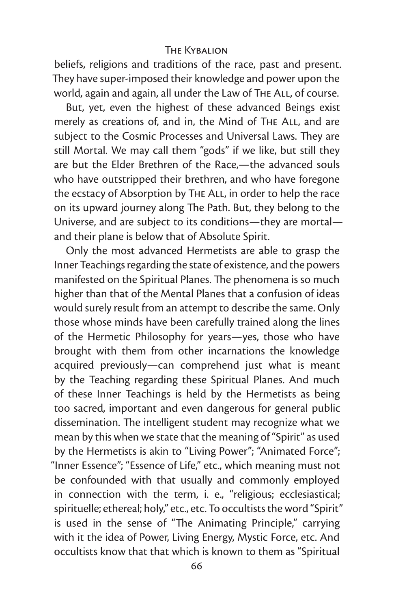beliefs, religions and traditions of the race, past and present. They have super‑imposed their knowledge and power upon the world, again and again, all under the Law of The All, of course.

But, yet, even the highest of these advanced Beings exist merely as creations of, and in, the Mind of The All, and are subject to the Cosmic Processes and Universal Laws. They are still Mortal. We may call them "gods" if we like, but still they are but the Elder Brethren of the Race,—the advanced souls who have outstripped their brethren, and who have foregone the ecstacy of Absorption by The All, in order to help the race on its upward journey along The Path. But, they belong to the Universe, and are subject to its conditions—they are mortal and their plane is below that of Absolute Spirit.

Only the most advanced Hermetists are able to grasp the Inner Teachings regarding the state of existence, and the powers manifested on the Spiritual Planes. The phenomena is so much higher than that of the Mental Planes that a confusion of ideas would surely result from an attempt to describe the same. Only those whose minds have been carefully trained along the lines of the Hermetic Philosophy for years—yes, those who have brought with them from other incarnations the knowledge acquired previously—can comprehend just what is meant by the Teaching regarding these Spiritual Planes. And much of these Inner Teachings is held by the Hermetists as being too sacred, important and even dangerous for general public dissemination. The intelligent student may recognize what we mean by this when we state that the meaning of "Spirit" as used by the Hermetists is akin to "Living Power"; "Animated Force"; "Inner Essence"; "Essence of Life," etc., which meaning must not be confounded with that usually and commonly employed in connection with the term, i. e., "religious; ecclesiastical; spirituelle; ethereal; holy," etc., etc. To occultists the word "Spirit" is used in the sense of "The Animating Principle," carrying with it the idea of Power, Living Energy, Mystic Force, etc. And occultists know that that which is known to them as "Spiritual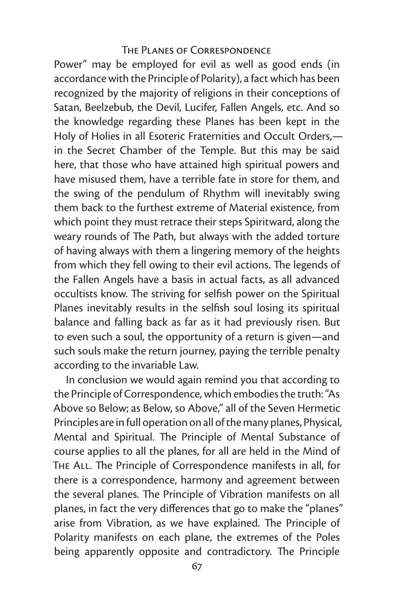#### The Planes of Correspondence

Power" may be employed for evil as well as good ends (in accordance with the Principle of Polarity), a fact which has been recognized by the majority of religions in their conceptions of Satan, Beelzebub, the Devil, Lucifer, Fallen Angels, etc. And so the knowledge regarding these Planes has been kept in the Holy of Holies in all Esoteric Fraternities and Occult Orders, in the Secret Chamber of the Temple. But this may be said here, that those who have attained high spiritual powers and have misused them, have a terrible fate in store for them, and the swing of the pendulum of Rhythm will inevitably swing them back to the furthest extreme of Material existence, from which point they must retrace their steps Spiritward, along the weary rounds of The Path, but always with the added torture of having always with them a lingering memory of the heights from which they fell owing to their evil actions. The legends of the Fallen Angels have a basis in actual facts, as all advanced occultists know. The striving for selfish power on the Spiritual Planes inevitably results in the selfish soul losing its spiritual balance and falling back as far as it had previously risen. But to even such a soul, the opportunity of a return is given—and such souls make the return journey, paying the terrible penalty according to the invariable Law.

In conclusion we would again remind you that according to the Principle of Correspondence, which embodies the truth: "As Above so Below; as Below, so Above," all of the Seven Hermetic Principles are in full operation on all of the many planes, Physical, Mental and Spiritual. The Principle of Mental Substance of course applies to all the planes, for all are held in the Mind of The All. The Principle of Correspondence manifests in all, for there is a correspondence, harmony and agreement between the several planes. The Principle of Vibration manifests on all planes, in fact the very differences that go to make the "planes" arise from Vibration, as we have explained. The Principle of Polarity manifests on each plane, the extremes of the Poles being apparently opposite and contradictory. The Principle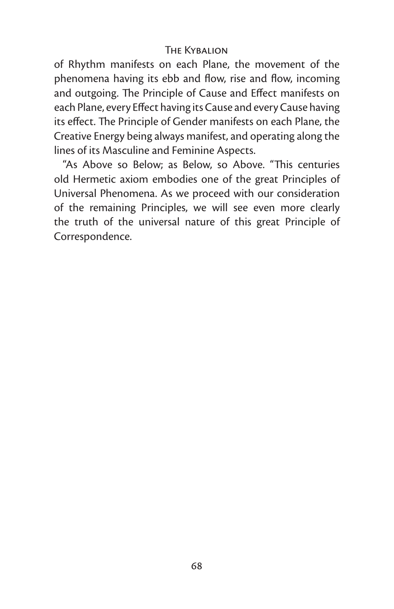of Rhythm manifests on each Plane, the movement of the phenomena having its ebb and flow, rise and flow, incoming and outgoing. The Principle of Cause and Effect manifests on each Plane, every Effect having its Cause and every Cause having its effect. The Principle of Gender manifests on each Plane, the Creative Energy being always manifest, and operating along the lines of its Masculine and Feminine Aspects.

"As Above so Below; as Below, so Above. "This centuries old Hermetic axiom embodies one of the great Principles of Universal Phenomena. As we proceed with our consideration of the remaining Principles, we will see even more clearly the truth of the universal nature of this great Principle of Correspondence.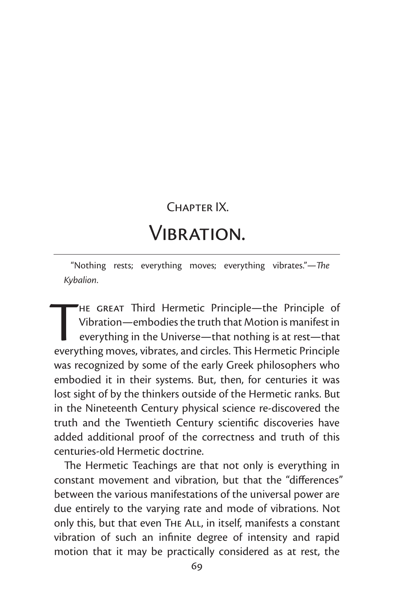## Chapter IX.

## Vibration.

"Nothing rests; everything moves; everything vibrates."—*The Kybalion*.

HE GREAT Third Hermetic Principle—the Principle of Vibration—embodies the truth that Motion is manifest in everything in the Universe—that nothing is at rest—that everything moves, vibrates, and circles. This Hermetic Principle was recognized by some of the early Greek philosophers who embodied it in their systems. But, then, for centuries it was lost sight of by the thinkers outside of the Hermetic ranks. But in the Nineteenth Century physical science re‑discovered the truth and the Twentieth Century scientific discoveries have added additional proof of the correctness and truth of this centuries‑old Hermetic doctrine.

The Hermetic Teachings are that not only is everything in constant movement and vibration, but that the "differences" between the various manifestations of the universal power are due entirely to the varying rate and mode of vibrations. Not only this, but that even The All, in itself, manifests a constant vibration of such an infinite degree of intensity and rapid motion that it may be practically considered as at rest, the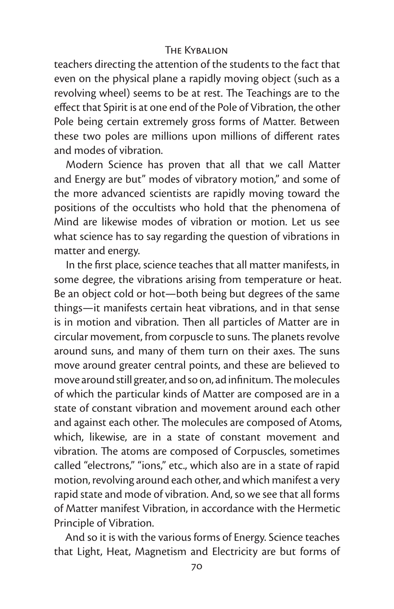teachers directing the attention of the students to the fact that even on the physical plane a rapidly moving object (such as a revolving wheel) seems to be at rest. The Teachings are to the effect that Spirit is at one end of the Pole of Vibration, the other Pole being certain extremely gross forms of Matter. Between these two poles are millions upon millions of different rates and modes of vibration.

Modern Science has proven that all that we call Matter and Energy are but" modes of vibratory motion," and some of the more advanced scientists are rapidly moving toward the positions of the occultists who hold that the phenomena of Mind are likewise modes of vibration or motion. Let us see what science has to say regarding the question of vibrations in matter and energy.

In the first place, science teaches that all matter manifests, in some degree, the vibrations arising from temperature or heat. Be an object cold or hot—both being but degrees of the same things—it manifests certain heat vibrations, and in that sense is in motion and vibration. Then all particles of Matter are in circular movement, from corpuscle to suns. The planets revolve around suns, and many of them turn on their axes. The suns move around greater central points, and these are believed to move around still greater, and so on, ad infinitum. The molecules of which the particular kinds of Matter are composed are in a state of constant vibration and movement around each other and against each other. The molecules are composed of Atoms, which, likewise, are in a state of constant movement and vibration. The atoms are composed of Corpuscles, sometimes called "electrons," "ions," etc., which also are in a state of rapid motion, revolving around each other, and which manifest a very rapid state and mode of vibration. And, so we see that all forms of Matter manifest Vibration, in accordance with the Hermetic Principle of Vibration.

And so it is with the various forms of Energy. Science teaches that Light, Heat, Magnetism and Electricity are but forms of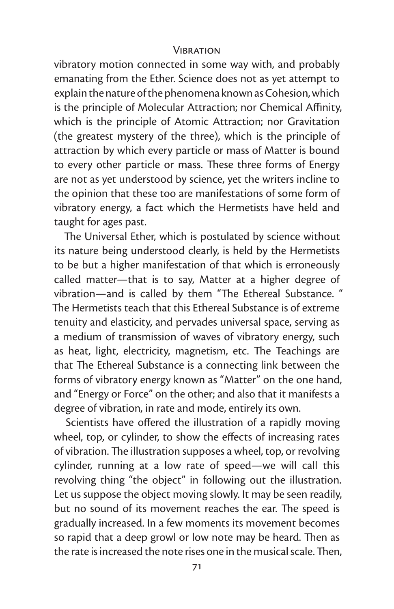## **VIBRATION**

vibratory motion connected in some way with, and probably emanating from the Ether. Science does not as yet attempt to explain the nature of the phenomena known as Cohesion, which is the principle of Molecular Attraction; nor Chemical Affinity, which is the principle of Atomic Attraction; nor Gravitation (the greatest mystery of the three), which is the principle of attraction by which every particle or mass of Matter is bound to every other particle or mass. These three forms of Energy are not as yet understood by science, yet the writers incline to the opinion that these too are manifestations of some form of vibratory energy, a fact which the Hermetists have held and taught for ages past.

The Universal Ether, which is postulated by science without its nature being understood clearly, is held by the Hermetists to be but a higher manifestation of that which is erroneously called matter—that is to say, Matter at a higher degree of vibration—and is called by them "The Ethereal Substance. " The Hermetists teach that this Ethereal Substance is of extreme tenuity and elasticity, and pervades universal space, serving as a medium of transmission of waves of vibratory energy, such as heat, light, electricity, magnetism, etc. The Teachings are that The Ethereal Substance is a connecting link between the forms of vibratory energy known as "Matter" on the one hand, and "Energy or Force" on the other; and also that it manifests a degree of vibration, in rate and mode, entirely its own.

Scientists have offered the illustration of a rapidly moving wheel, top, or cylinder, to show the effects of increasing rates of vibration. The illustration supposes a wheel, top, or revolving cylinder, running at a low rate of speed—we will call this revolving thing "the object" in following out the illustration. Let us suppose the object moving slowly. It may be seen readily, but no sound of its movement reaches the ear. The speed is gradually increased. In a few moments its movement becomes so rapid that a deep growl or low note may be heard. Then as the rate is increased the note rises one in the musical scale. Then,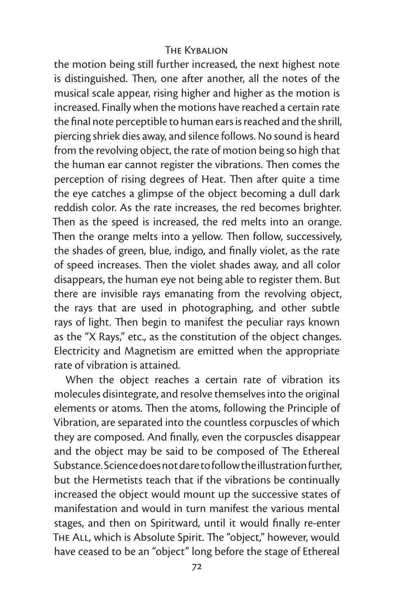the motion being still further increased, the next highest note is distinguished. Then, one after another, all the notes of the musical scale appear, rising higher and higher as the motion is increased. Finally when the motions have reached a certain rate the final note perceptible to human ears is reached and the shrill, piercing shriek dies away, and silence follows. No sound is heard from the revolving object, the rate of motion being so high that the human ear cannot register the vibrations. Then comes the perception of rising degrees of Heat. Then after quite a time the eye catches a glimpse of the object becoming a dull dark reddish color. As the rate increases, the red becomes brighter. Then as the speed is increased, the red melts into an orange. Then the orange melts into a yellow. Then follow, successively, the shades of green, blue, indigo, and finally violet, as the rate of speed increases. Then the violet shades away, and all color disappears, the human eye not being able to register them. But there are invisible rays emanating from the revolving object, the rays that are used in photographing, and other subtle rays of light. Then begin to manifest the peculiar rays known as the "X Rays," etc., as the constitution of the object changes. Electricity and Magnetism are emitted when the appropriate rate of vibration is attained.

When the object reaches a certain rate of vibration its molecules disintegrate, and resolve themselves into the original elements or atoms. Then the atoms, following the Principle of Vibration, are separated into the countless corpuscles of which they are composed. And finally, even the corpuscles disappear and the object may be said to be composed of The Ethereal Substance. Science does not dare to follow the illustration further, but the Hermetists teach that if the vibrations be continually increased the object would mount up the successive states of manifestation and would in turn manifest the various mental stages, and then on Spiritward, until it would finally re‑enter The All, which is Absolute Spirit. The "object," however, would have ceased to be an "object" long before the stage of Ethereal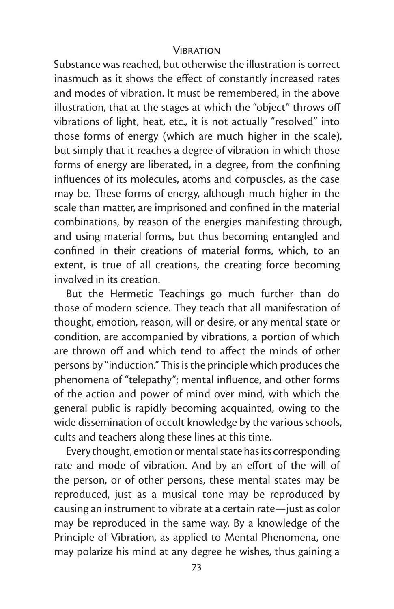## **VIBRATION**

Substance was reached, but otherwise the illustration is correct inasmuch as it shows the effect of constantly increased rates and modes of vibration. It must be remembered, in the above illustration, that at the stages at which the "object" throws off vibrations of light, heat, etc., it is not actually "resolved" into those forms of energy (which are much higher in the scale), but simply that it reaches a degree of vibration in which those forms of energy are liberated, in a degree, from the confining influences of its molecules, atoms and corpuscles, as the case may be. These forms of energy, although much higher in the scale than matter, are imprisoned and confined in the material combinations, by reason of the energies manifesting through, and using material forms, but thus becoming entangled and confined in their creations of material forms, which, to an extent, is true of all creations, the creating force becoming involved in its creation.

But the Hermetic Teachings go much further than do those of modern science. They teach that all manifestation of thought, emotion, reason, will or desire, or any mental state or condition, are accompanied by vibrations, a portion of which are thrown off and which tend to affect the minds of other persons by "induction." This is the principle which produces the phenomena of "telepathy"; mental influence, and other forms of the action and power of mind over mind, with which the general public is rapidly becoming acquainted, owing to the wide dissemination of occult knowledge by the various schools, cults and teachers along these lines at this time.

Every thought, emotion or mental state has its corresponding rate and mode of vibration. And by an effort of the will of the person, or of other persons, these mental states may be reproduced, just as a musical tone may be reproduced by causing an instrument to vibrate at a certain rate—just as color may be reproduced in the same way. By a knowledge of the Principle of Vibration, as applied to Mental Phenomena, one may polarize his mind at any degree he wishes, thus gaining a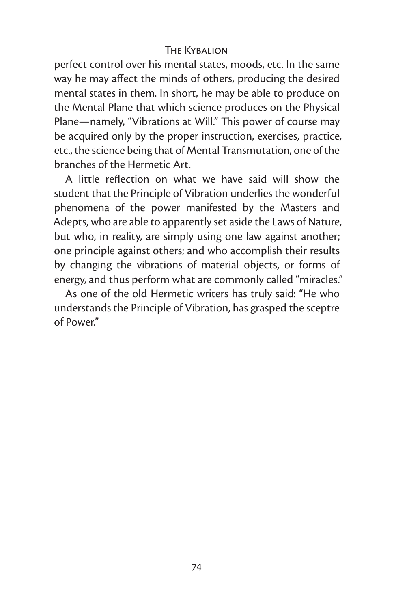perfect control over his mental states, moods, etc. In the same way he may affect the minds of others, producing the desired mental states in them. In short, he may be able to produce on the Mental Plane that which science produces on the Physical Plane—namely, "Vibrations at Will." This power of course may be acquired only by the proper instruction, exercises, practice, etc., the science being that of Mental Transmutation, one of the branches of the Hermetic Art.

A little reflection on what we have said will show the student that the Principle of Vibration underlies the wonderful phenomena of the power manifested by the Masters and Adepts, who are able to apparently set aside the Laws of Nature, but who, in reality, are simply using one law against another; one principle against others; and who accomplish their results by changing the vibrations of material objects, or forms of energy, and thus perform what are commonly called "miracles."

As one of the old Hermetic writers has truly said: "He who understands the Principle of Vibration, has grasped the sceptre of Power."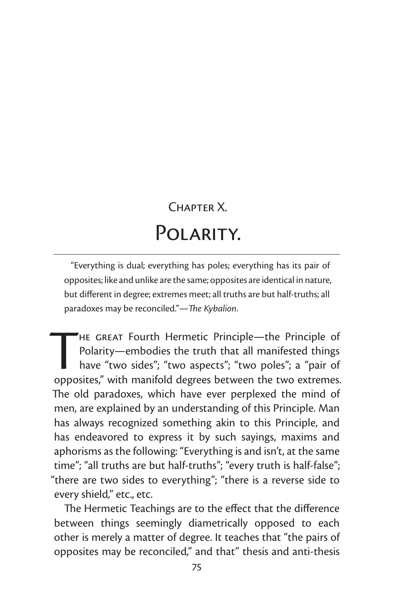# Chapter X. POLARITY.

"Everything is dual; everything has poles; everything has its pair of opposites; like and unlike are the same; opposites are identical in nature, but different in degree; extremes meet; all truths are but half-truths; all paradoxes may be reconciled."—*The Kybalion*.

THE GREAT Fourth Hermetic Principle—the Principle of<br>Polarity—embodies the truth that all manifested things<br>have "two sides"; "two aspects"; "two poles"; a "pair of<br>opposites" with manifold degrees between the two extremes Polarity—embodies the truth that all manifested things have "two sides"; "two aspects"; "two poles"; a "pair of opposites," with manifold degrees between the two extremes. The old paradoxes, which have ever perplexed the mind of men, are explained by an understanding of this Principle. Man has always recognized something akin to this Principle, and has endeavored to express it by such sayings, maxims and aphorisms as the following: "Everything is and isn't, at the same time"; "all truths are but half-truths"; "every truth is half-false"; "there are two sides to everything"; "there is a reverse side to every shield," etc., etc.

The Hermetic Teachings are to the effect that the difference between things seemingly diametrically opposed to each other is merely a matter of degree. It teaches that "the pairs of opposites may be reconciled," and that" thesis and anti‑thesis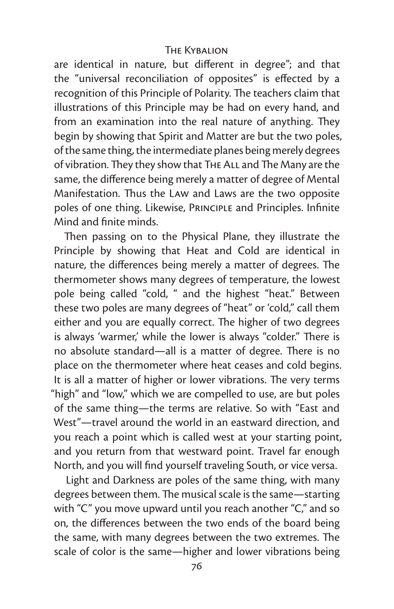are identical in nature, but different in degree"; and that the "universal reconciliation of opposites" is effected by a recognition of this Principle of Polarity. The teachers claim that illustrations of this Principle may be had on every hand, and from an examination into the real nature of anything. They begin by showing that Spirit and Matter are but the two poles, of the same thing, the intermediate planes being merely degrees of vibration. They they show that The All and The Many are the same, the difference being merely a matter of degree of Mental Manifestation. Thus the Law and Laws are the two opposite poles of one thing. Likewise, PRINCIPLE and Principles. Infinite Mind and finite minds.

Then passing on to the Physical Plane, they illustrate the Principle by showing that Heat and Cold are identical in nature, the differences being merely a matter of degrees. The thermometer shows many degrees of temperature, the lowest pole being called "cold, " and the highest "heat." Between these two poles are many degrees of "heat" or 'cold," call them either and you are equally correct. The higher of two degrees is always 'warmer,' while the lower is always "colder." There is no absolute standard—all is a matter of degree. There is no place on the thermometer where heat ceases and cold begins. It is all a matter of higher or lower vibrations. The very terms "high" and "low," which we are compelled to use, are but poles of the same thing—the terms are relative. So with "East and West"—travel around the world in an eastward direction, and you reach a point which is called west at your starting point, and you return from that westward point. Travel far enough North, and you will find yourself traveling South, or vice versa.

Light and Darkness are poles of the same thing, with many degrees between them. The musical scale is the same—starting with "C" you move upward until you reach another "C," and so on, the differences between the two ends of the board being the same, with many degrees between the two extremes. The scale of color is the same—higher and lower vibrations being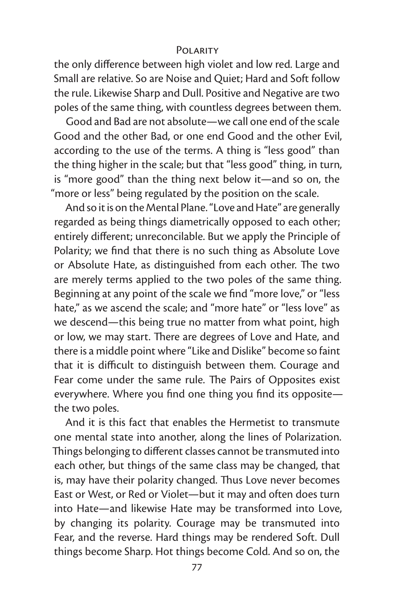## POI ARITY

the only difference between high violet and low red. Large and Small are relative. So are Noise and Quiet; Hard and Soft follow the rule. Likewise Sharp and Dull. Positive and Negative are two poles of the same thing, with countless degrees between them.

Good and Bad are not absolute—we call one end of the scale Good and the other Bad, or one end Good and the other Evil, according to the use of the terms. A thing is "less good" than the thing higher in the scale; but that "less good" thing, in turn, is "more good" than the thing next below it—and so on, the "more or less" being regulated by the position on the scale.

And so it is on the Mental Plane. "Love and Hate" are generally regarded as being things diametrically opposed to each other; entirely different; unreconcilable. But we apply the Principle of Polarity; we find that there is no such thing as Absolute Love or Absolute Hate, as distinguished from each other. The two are merely terms applied to the two poles of the same thing. Beginning at any point of the scale we find "more love," or "less hate," as we ascend the scale; and "more hate" or "less love" as we descend—this being true no matter from what point, high or low, we may start. There are degrees of Love and Hate, and there is a middle point where "Like and Dislike" become so faint that it is difficult to distinguish between them. Courage and Fear come under the same rule. The Pairs of Opposites exist everywhere. Where you find one thing you find its opposite the two poles.

And it is this fact that enables the Hermetist to transmute one mental state into another, along the lines of Polarization. Things belonging to different classes cannot be transmuted into each other, but things of the same class may be changed, that is, may have their polarity changed. Thus Love never becomes East or West, or Red or Violet—but it may and often does turn into Hate—and likewise Hate may be transformed into Love, by changing its polarity. Courage may be transmuted into Fear, and the reverse. Hard things may be rendered Soft. Dull things become Sharp. Hot things become Cold. And so on, the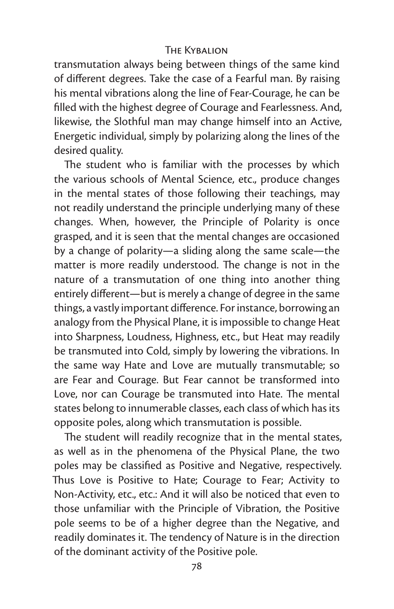transmutation always being between things of the same kind of different degrees. Take the case of a Fearful man. By raising his mental vibrations along the line of Fear-Courage, he can be filled with the highest degree of Courage and Fearlessness. And, likewise, the Slothful man may change himself into an Active, Energetic individual, simply by polarizing along the lines of the desired quality.

The student who is familiar with the processes by which the various schools of Mental Science, etc., produce changes in the mental states of those following their teachings, may not readily understand the principle underlying many of these changes. When, however, the Principle of Polarity is once grasped, and it is seen that the mental changes are occasioned by a change of polarity—a sliding along the same scale—the matter is more readily understood. The change is not in the nature of a transmutation of one thing into another thing entirely different—but is merely a change of degree in the same things, a vastly important difference. For instance, borrowing an analogy from the Physical Plane, it is impossible to change Heat into Sharpness, Loudness, Highness, etc., but Heat may readily be transmuted into Cold, simply by lowering the vibrations. In the same way Hate and Love are mutually transmutable; so are Fear and Courage. But Fear cannot be transformed into Love, nor can Courage be transmuted into Hate. The mental states belong to innumerable classes, each class of which has its opposite poles, along which transmutation is possible.

The student will readily recognize that in the mental states, as well as in the phenomena of the Physical Plane, the two poles may be classified as Positive and Negative, respectively. Thus Love is Positive to Hate; Courage to Fear; Activity to Non‑Activity, etc., etc.: And it will also be noticed that even to those unfamiliar with the Principle of Vibration, the Positive pole seems to be of a higher degree than the Negative, and readily dominates it. The tendency of Nature is in the direction of the dominant activity of the Positive pole.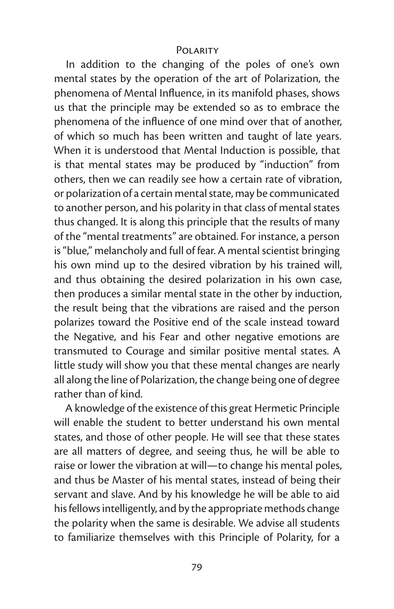## POI ARITY

In addition to the changing of the poles of one's own mental states by the operation of the art of Polarization, the phenomena of Mental Influence, in its manifold phases, shows us that the principle may be extended so as to embrace the phenomena of the influence of one mind over that of another, of which so much has been written and taught of late years. When it is understood that Mental Induction is possible, that is that mental states may be produced by "induction" from others, then we can readily see how a certain rate of vibration, or polarization of a certain mental state, may be communicated to another person, and his polarity in that class of mental states thus changed. It is along this principle that the results of many of the "mental treatments" are obtained. For instance, a person is "blue," melancholy and full of fear. A mental scientist bringing his own mind up to the desired vibration by his trained will, and thus obtaining the desired polarization in his own case, then produces a similar mental state in the other by induction, the result being that the vibrations are raised and the person polarizes toward the Positive end of the scale instead toward the Negative, and his Fear and other negative emotions are transmuted to Courage and similar positive mental states. A little study will show you that these mental changes are nearly all along the line of Polarization, the change being one of degree rather than of kind.

A knowledge of the existence of this great Hermetic Principle will enable the student to better understand his own mental states, and those of other people. He will see that these states are all matters of degree, and seeing thus, he will be able to raise or lower the vibration at will—to change his mental poles, and thus be Master of his mental states, instead of being their servant and slave. And by his knowledge he will be able to aid his fellows intelligently, and by the appropriate methods change the polarity when the same is desirable. We advise all students to familiarize themselves with this Principle of Polarity, for a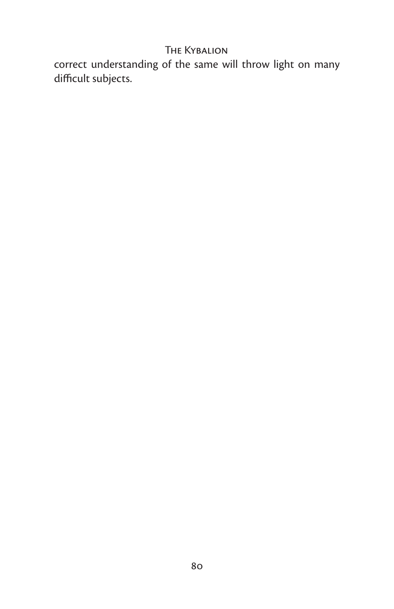## The Kybalion

correct understanding of the same will throw light on many difficult subjects.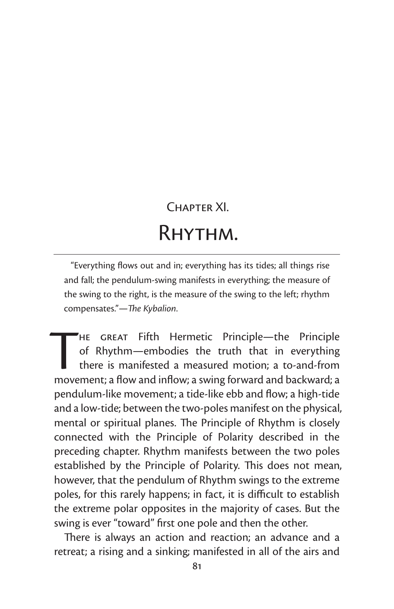# Chapter XI. Rhythm.

"Everything flows out and in; everything has its tides; all things rise and fall; the pendulum‑swing manifests in everything; the measure of the swing to the right, is the measure of the swing to the left; rhythm compensates."—*The Kybalion*.

THE GREAT Fifth Hermetic Principle—the Principle<br>of Rhythm—embodies the truth that in everything<br>there is manifested a measured motion; a to-and-from<br>movement: a flow and inflow: a swing forward and backward: a of Rhythm—embodies the truth that in everything there is manifested a measured motion; a to-and-from movement; a flow and inflow; a swing forward and backward; a pendulum‑like movement; a tide‑like ebb and flow; a high‑tide and a low-tide; between the two-poles manifest on the physical, mental or spiritual planes. The Principle of Rhythm is closely connected with the Principle of Polarity described in the preceding chapter. Rhythm manifests between the two poles established by the Principle of Polarity. This does not mean, however, that the pendulum of Rhythm swings to the extreme poles, for this rarely happens; in fact, it is difficult to establish the extreme polar opposites in the majority of cases. But the swing is ever "toward" first one pole and then the other.

There is always an action and reaction; an advance and a retreat; a rising and a sinking; manifested in all of the airs and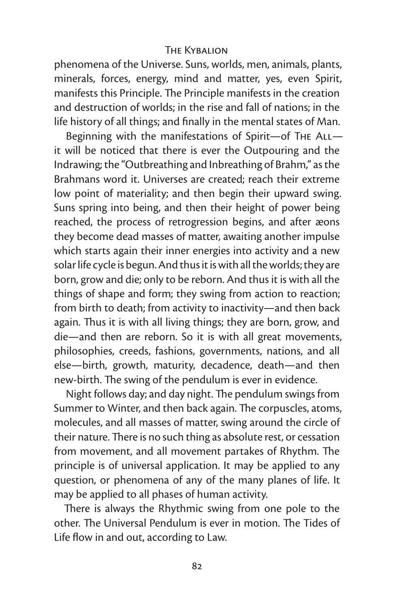phenomena of the Universe. Suns, worlds, men, animals, plants, minerals, forces, energy, mind and matter, yes, even Spirit, manifests this Principle. The Principle manifests in the creation and destruction of worlds; in the rise and fall of nations; in the life history of all things; and finally in the mental states of Man.

Beginning with the manifestations of Spirit—of The All it will be noticed that there is ever the Outpouring and the Indrawing; the "Outbreathing and Inbreathing of Brahm," as the Brahmans word it. Universes are created; reach their extreme low point of materiality; and then begin their upward swing. Suns spring into being, and then their height of power being reached, the process of retrogression begins, and after æons they become dead masses of matter, awaiting another impulse which starts again their inner energies into activity and a new solar life cycle is begun. And thus it is with all the worlds; they are born, grow and die; only to be reborn. And thus it is with all the things of shape and form; they swing from action to reaction; from birth to death; from activity to inactivity—and then back again. Thus it is with all living things; they are born, grow, and die—and then are reborn. So it is with all great movements, philosophies, creeds, fashions, governments, nations, and all else—birth, growth, maturity, decadence, death—and then new‑birth. The swing of the pendulum is ever in evidence.

Night follows day; and day night. The pendulum swings from Summer to Winter, and then back again. The corpuscles, atoms, molecules, and all masses of matter, swing around the circle of their nature. There is no such thing as absolute rest, or cessation from movement, and all movement partakes of Rhythm. The principle is of universal application. It may be applied to any question, or phenomena of any of the many planes of life. It may be applied to all phases of human activity.

There is always the Rhythmic swing from one pole to the other. The Universal Pendulum is ever in motion. The Tides of Life flow in and out, according to Law.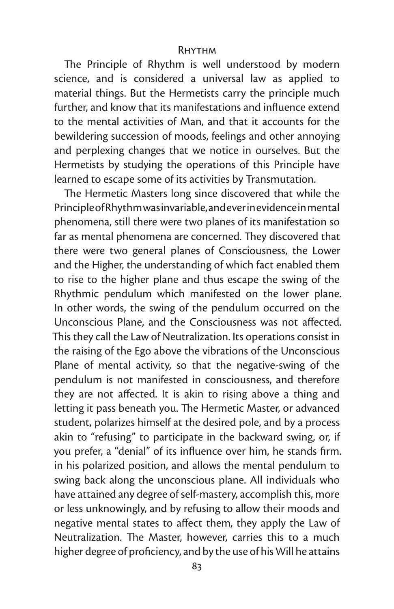#### Rhythm

The Principle of Rhythm is well understood by modern science, and is considered a universal law as applied to material things. But the Hermetists carry the principle much further, and know that its manifestations and influence extend to the mental activities of Man, and that it accounts for the bewildering succession of moods, feelings and other annoying and perplexing changes that we notice in ourselves. But the Hermetists by studying the operations of this Principle have learned to escape some of its activities by Transmutation.

The Hermetic Masters long since discovered that while the Principle of Rhythm was invariable, and ever in evidence in mental phenomena, still there were two planes of its manifestation so far as mental phenomena are concerned. They discovered that there were two general planes of Consciousness, the Lower and the Higher, the understanding of which fact enabled them to rise to the higher plane and thus escape the swing of the Rhythmic pendulum which manifested on the lower plane. In other words, the swing of the pendulum occurred on the Unconscious Plane, and the Consciousness was not affected. This they call the Law of Neutralization. Its operations consist in the raising of the Ego above the vibrations of the Unconscious Plane of mental activity, so that the negative-swing of the pendulum is not manifested in consciousness, and therefore they are not affected. It is akin to rising above a thing and letting it pass beneath you. The Hermetic Master, or advanced student, polarizes himself at the desired pole, and by a process akin to "refusing" to participate in the backward swing, or, if you prefer, a "denial" of its influence over him, he stands firm. in his polarized position, and allows the mental pendulum to swing back along the unconscious plane. All individuals who have attained any degree of self-mastery, accomplish this, more or less unknowingly, and by refusing to allow their moods and negative mental states to affect them, they apply the Law of Neutralization. The Master, however, carries this to a much higher degree of proficiency, and by the use of his Will he attains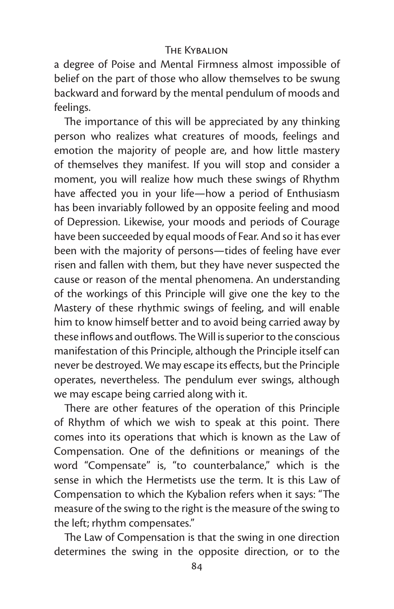a degree of Poise and Mental Firmness almost impossible of belief on the part of those who allow themselves to be swung backward and forward by the mental pendulum of moods and feelings.

The importance of this will be appreciated by any thinking person who realizes what creatures of moods, feelings and emotion the majority of people are, and how little mastery of themselves they manifest. If you will stop and consider a moment, you will realize how much these swings of Rhythm have affected you in your life—how a period of Enthusiasm has been invariably followed by an opposite feeling and mood of Depression. Likewise, your moods and periods of Courage have been succeeded by equal moods of Fear. And so it has ever been with the majority of persons—tides of feeling have ever risen and fallen with them, but they have never suspected the cause or reason of the mental phenomena. An understanding of the workings of this Principle will give one the key to the Mastery of these rhythmic swings of feeling, and will enable him to know himself better and to avoid being carried away by these inflows and outflows. The Will is superior to the conscious manifestation of this Principle, although the Principle itself can never be destroyed. We may escape its effects, but the Principle operates, nevertheless. The pendulum ever swings, although we may escape being carried along with it.

There are other features of the operation of this Principle of Rhythm of which we wish to speak at this point. There comes into its operations that which is known as the Law of Compensation. One of the definitions or meanings of the word "Compensate" is, "to counterbalance," which is the sense in which the Hermetists use the term. It is this Law of Compensation to which the Kybalion refers when it says: "The measure of the swing to the right is the measure of the swing to the left; rhythm compensates."

The Law of Compensation is that the swing in one direction determines the swing in the opposite direction, or to the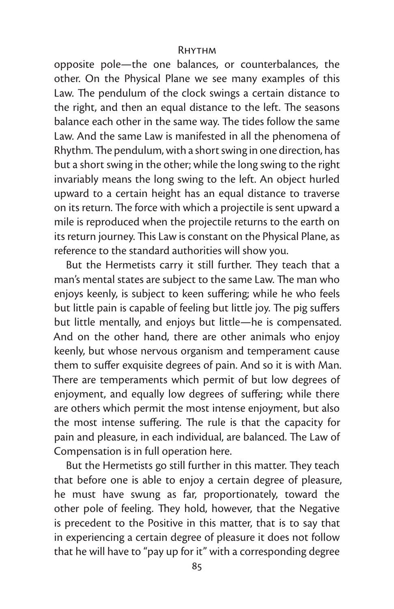## Rhythm

opposite pole—the one balances, or counterbalances, the other. On the Physical Plane we see many examples of this Law. The pendulum of the clock swings a certain distance to the right, and then an equal distance to the left. The seasons balance each other in the same way. The tides follow the same Law. And the same Law is manifested in all the phenomena of Rhythm. The pendulum, with a short swing in one direction, has but a short swing in the other; while the long swing to the right invariably means the long swing to the left. An object hurled upward to a certain height has an equal distance to traverse on its return. The force with which a projectile is sent upward a mile is reproduced when the projectile returns to the earth on its return journey. This Law is constant on the Physical Plane, as reference to the standard authorities will show you.

But the Hermetists carry it still further. They teach that a man's mental states are subject to the same Law. The man who enjoys keenly, is subject to keen suffering; while he who feels but little pain is capable of feeling but little joy. The pig suffers but little mentally, and enjoys but little—he is compensated. And on the other hand, there are other animals who enjoy keenly, but whose nervous organism and temperament cause them to suffer exquisite degrees of pain. And so it is with Man. There are temperaments which permit of but low degrees of enjoyment, and equally low degrees of suffering; while there are others which permit the most intense enjoyment, but also the most intense suffering. The rule is that the capacity for pain and pleasure, in each individual, are balanced. The Law of Compensation is in full operation here.

But the Hermetists go still further in this matter. They teach that before one is able to enjoy a certain degree of pleasure, he must have swung as far, proportionately, toward the other pole of feeling. They hold, however, that the Negative is precedent to the Positive in this matter, that is to say that in experiencing a certain degree of pleasure it does not follow that he will have to "pay up for it" with a corresponding degree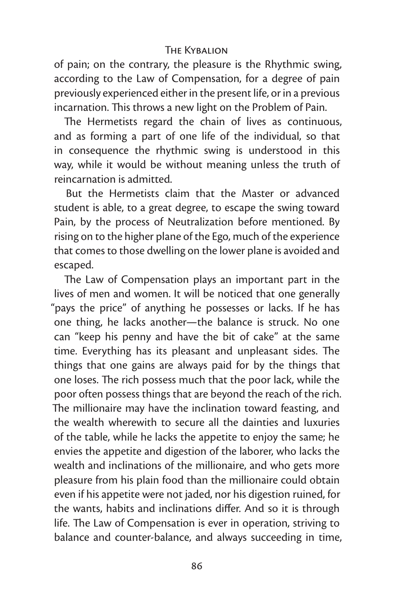of pain; on the contrary, the pleasure is the Rhythmic swing, according to the Law of Compensation, for a degree of pain previously experienced either in the present life, or in a previous incarnation. This throws a new light on the Problem of Pain.

The Hermetists regard the chain of lives as continuous, and as forming a part of one life of the individual, so that in consequence the rhythmic swing is understood in this way, while it would be without meaning unless the truth of reincarnation is admitted.

But the Hermetists claim that the Master or advanced student is able, to a great degree, to escape the swing toward Pain, by the process of Neutralization before mentioned. By rising on to the higher plane of the Ego, much of the experience that comes to those dwelling on the lower plane is avoided and escaped.

The Law of Compensation plays an important part in the lives of men and women. It will be noticed that one generally "pays the price" of anything he possesses or lacks. If he has one thing, he lacks another—the balance is struck. No one can "keep his penny and have the bit of cake" at the same time. Everything has its pleasant and unpleasant sides. The things that one gains are always paid for by the things that one loses. The rich possess much that the poor lack, while the poor often possess things that are beyond the reach of the rich. The millionaire may have the inclination toward feasting, and the wealth wherewith to secure all the dainties and luxuries of the table, while he lacks the appetite to enjoy the same; he envies the appetite and digestion of the laborer, who lacks the wealth and inclinations of the millionaire, and who gets more pleasure from his plain food than the millionaire could obtain even if his appetite were not jaded, nor his digestion ruined, for the wants, habits and inclinations differ. And so it is through life. The Law of Compensation is ever in operation, striving to balance and counter‑balance, and always succeeding in time,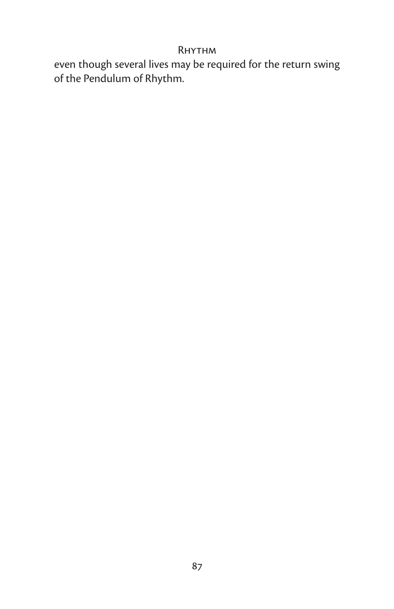## Rhythm

even though several lives may be required for the return swing of the Pendulum of Rhythm.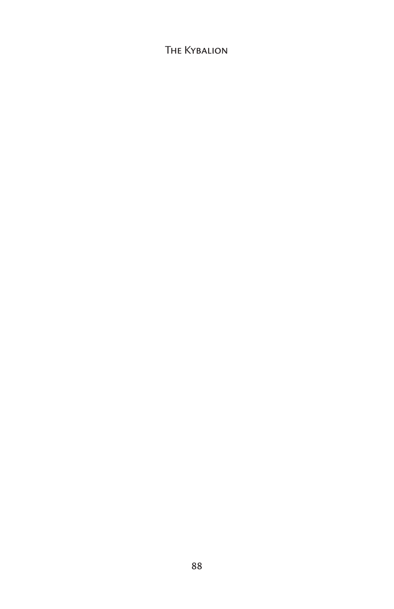## The Kybalion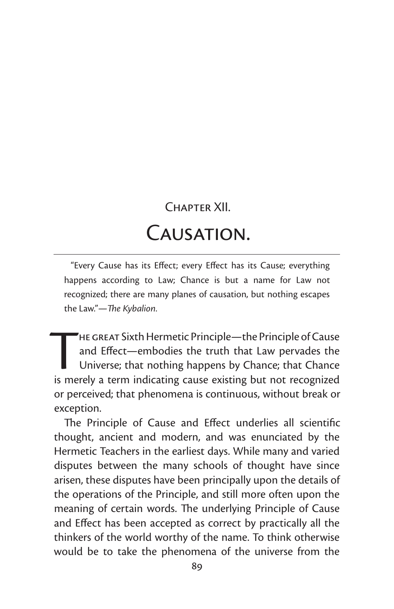# Chapter XII. Causation.

"Every Cause has its Effect; every Effect has its Cause; everything happens according to Law; Chance is but a name for Law not recognized; there are many planes of causation, but nothing escapes the Law."—*The Kybalion*.

The GREAT Sixth Hermetic Principle—the Principle of Cause<br>and Effect—embodies the truth that Law pervades the<br>Universe; that nothing happens by Chance; that Chance<br>is merely a term indicating cause existing but not recogni and Effect—embodies the truth that Law pervades the Universe; that nothing happens by Chance; that Chance is merely a term indicating cause existing but not recognized or perceived; that phenomena is continuous, without break or exception.

The Principle of Cause and Effect underlies all scientific thought, ancient and modern, and was enunciated by the Hermetic Teachers in the earliest days. While many and varied disputes between the many schools of thought have since arisen, these disputes have been principally upon the details of the operations of the Principle, and still more often upon the meaning of certain words. The underlying Principle of Cause and Effect has been accepted as correct by practically all the thinkers of the world worthy of the name. To think otherwise would be to take the phenomena of the universe from the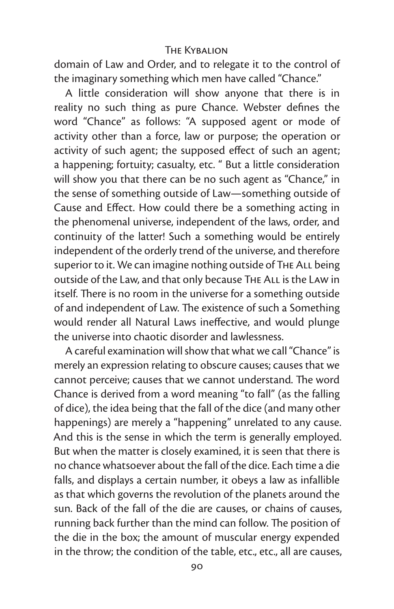domain of Law and Order, and to relegate it to the control of the imaginary something which men have called "Chance."

A little consideration will show anyone that there is in reality no such thing as pure Chance. Webster defines the word "Chance" as follows: "A supposed agent or mode of activity other than a force, law or purpose; the operation or activity of such agent; the supposed effect of such an agent; a happening; fortuity; casualty, etc. " But a little consideration will show you that there can be no such agent as "Chance," in the sense of something outside of Law—something outside of Cause and Effect. How could there be a something acting in the phenomenal universe, independent of the laws, order, and continuity of the latter! Such a something would be entirely independent of the orderly trend of the universe, and therefore superior to it. We can imagine nothing outside of The All being outside of the Law, and that only because The All is the Law in itself. There is no room in the universe for a something outside of and independent of Law. The existence of such a Something would render all Natural Laws ineffective, and would plunge the universe into chaotic disorder and lawlessness.

A careful examination will show that what we call "Chance" is merely an expression relating to obscure causes; causes that we cannot perceive; causes that we cannot understand. The word Chance is derived from a word meaning "to fall" (as the falling of dice), the idea being that the fall of the dice (and many other happenings) are merely a "happening" unrelated to any cause. And this is the sense in which the term is generally employed. But when the matter is closely examined, it is seen that there is no chance whatsoever about the fall of the dice. Each time a die falls, and displays a certain number, it obeys a law as infallible as that which governs the revolution of the planets around the sun. Back of the fall of the die are causes, or chains of causes, running back further than the mind can follow. The position of the die in the box; the amount of muscular energy expended in the throw; the condition of the table, etc., etc., all are causes,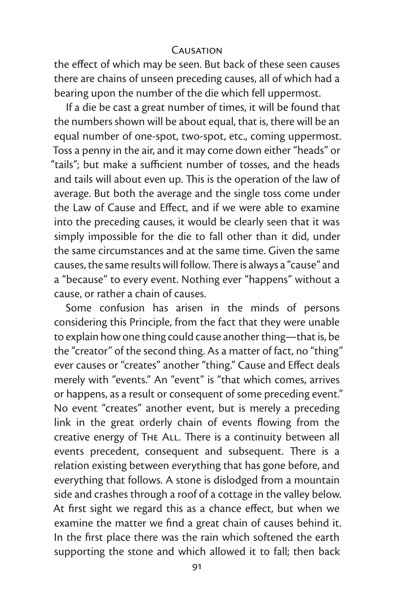## **CAUSATION**

the effect of which may be seen. But back of these seen causes there are chains of unseen preceding causes, all of which had a bearing upon the number of the die which fell uppermost.

If a die be cast a great number of times, it will be found that the numbers shown will be about equal, that is, there will be an equal number of one-spot, two-spot, etc., coming uppermost. Toss a penny in the air, and it may come down either "heads" or "tails"; but make a sufficient number of tosses, and the heads and tails will about even up. This is the operation of the law of average. But both the average and the single toss come under the Law of Cause and Effect, and if we were able to examine into the preceding causes, it would be clearly seen that it was simply impossible for the die to fall other than it did, under the same circumstances and at the same time. Given the same causes, the same results will follow. There is always a "cause" and a "because" to every event. Nothing ever "happens" without a cause, or rather a chain of causes.

Some confusion has arisen in the minds of persons considering this Principle, from the fact that they were unable to explain how one thing could cause another thing—that is, be the "creator" of the second thing. As a matter of fact, no "thing" ever causes or "creates" another "thing." Cause and Effect deals merely with "events." An "event" is "that which comes, arrives or happens, as a result or consequent of some preceding event." No event "creates" another event, but is merely a preceding link in the great orderly chain of events flowing from the creative energy of The All. There is a continuity between all events precedent, consequent and subsequent. There is a relation existing between everything that has gone before, and everything that follows. A stone is dislodged from a mountain side and crashes through a roof of a cottage in the valley below. At first sight we regard this as a chance effect, but when we examine the matter we find a great chain of causes behind it. In the first place there was the rain which softened the earth supporting the stone and which allowed it to fall; then back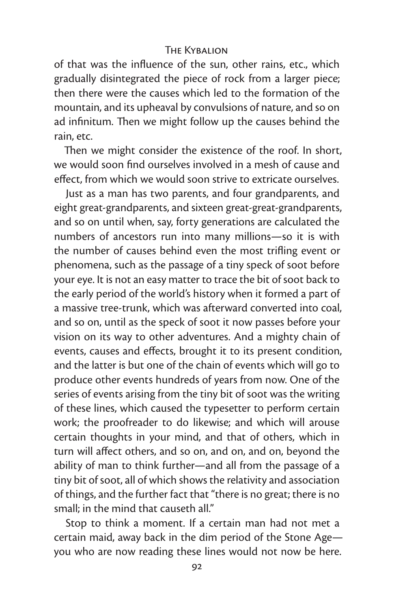of that was the influence of the sun, other rains, etc., which gradually disintegrated the piece of rock from a larger piece; then there were the causes which led to the formation of the mountain, and its upheaval by convulsions of nature, and so on ad infinitum. Then we might follow up the causes behind the rain, etc.

Then we might consider the existence of the roof. In short, we would soon find ourselves involved in a mesh of cause and effect, from which we would soon strive to extricate ourselves.

Just as a man has two parents, and four grandparents, and eight great‑grandparents, and sixteen great‑great‑grandparents, and so on until when, say, forty generations are calculated the numbers of ancestors run into many millions—so it is with the number of causes behind even the most trifling event or phenomena, such as the passage of a tiny speck of soot before your eye. It is not an easy matter to trace the bit of soot back to the early period of the world's history when it formed a part of a massive tree‑trunk, which was afterward converted into coal, and so on, until as the speck of soot it now passes before your vision on its way to other adventures. And a mighty chain of events, causes and effects, brought it to its present condition, and the latter is but one of the chain of events which will go to produce other events hundreds of years from now. One of the series of events arising from the tiny bit of soot was the writing of these lines, which caused the typesetter to perform certain work; the proofreader to do likewise; and which will arouse certain thoughts in your mind, and that of others, which in turn will affect others, and so on, and on, and on, beyond the ability of man to think further—and all from the passage of a tiny bit of soot, all of which shows the relativity and association of things, and the further fact that "there is no great; there is no small; in the mind that causeth all."

Stop to think a moment. If a certain man had not met a certain maid, away back in the dim period of the Stone Age you who are now reading these lines would not now be here.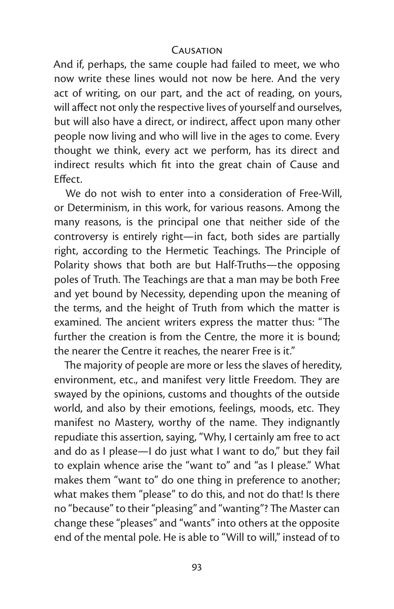## **CAUSATION**

And if, perhaps, the same couple had failed to meet, we who now write these lines would not now be here. And the very act of writing, on our part, and the act of reading, on yours, will affect not only the respective lives of yourself and ourselves, but will also have a direct, or indirect, affect upon many other people now living and who will live in the ages to come. Every thought we think, every act we perform, has its direct and indirect results which fit into the great chain of Cause and Effect.

We do not wish to enter into a consideration of Free-Will. or Determinism, in this work, for various reasons. Among the many reasons, is the principal one that neither side of the controversy is entirely right—in fact, both sides are partially right, according to the Hermetic Teachings. The Principle of Polarity shows that both are but Half-Truths—the opposing poles of Truth. The Teachings are that a man may be both Free and yet bound by Necessity, depending upon the meaning of the terms, and the height of Truth from which the matter is examined. The ancient writers express the matter thus: "The further the creation is from the Centre, the more it is bound; the nearer the Centre it reaches, the nearer Free is it."

The majority of people are more or less the slaves of heredity, environment, etc., and manifest very little Freedom. They are swayed by the opinions, customs and thoughts of the outside world, and also by their emotions, feelings, moods, etc. They manifest no Mastery, worthy of the name. They indignantly repudiate this assertion, saying, "Why, I certainly am free to act and do as I please—I do just what I want to do," but they fail to explain whence arise the "want to" and "as I please." What makes them "want to" do one thing in preference to another; what makes them "please" to do this, and not do that! Is there no "because" to their "pleasing" and "wanting"? The Master can change these "pleases" and "wants" into others at the opposite end of the mental pole. He is able to "Will to will," instead of to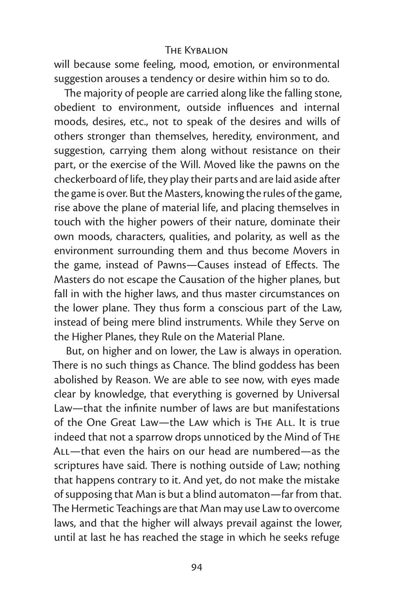will because some feeling, mood, emotion, or environmental suggestion arouses a tendency or desire within him so to do.

The majority of people are carried along like the falling stone, obedient to environment, outside influences and internal moods, desires, etc., not to speak of the desires and wills of others stronger than themselves, heredity, environment, and suggestion, carrying them along without resistance on their part, or the exercise of the Will. Moved like the pawns on the checkerboard of life, they play their parts and are laid aside after the game is over. But the Masters, knowing the rules of the game, rise above the plane of material life, and placing themselves in touch with the higher powers of their nature, dominate their own moods, characters, qualities, and polarity, as well as the environment surrounding them and thus become Movers in the game, instead of Pawns—Causes instead of Effects. The Masters do not escape the Causation of the higher planes, but fall in with the higher laws, and thus master circumstances on the lower plane. They thus form a conscious part of the Law, instead of being mere blind instruments. While they Serve on the Higher Planes, they Rule on the Material Plane.

But, on higher and on lower, the Law is always in operation. There is no such things as Chance. The blind goddess has been abolished by Reason. We are able to see now, with eyes made clear by knowledge, that everything is governed by Universal Law—that the infinite number of laws are but manifestations of the One Great Law—the Law which is The All. It is true indeed that not a sparrow drops unnoticed by the Mind of The All—that even the hairs on our head are numbered—as the scriptures have said. There is nothing outside of Law; nothing that happens contrary to it. And yet, do not make the mistake of supposing that Man is but a blind automaton—far from that. The Hermetic Teachings are that Man may use Law to overcome laws, and that the higher will always prevail against the lower, until at last he has reached the stage in which he seeks refuge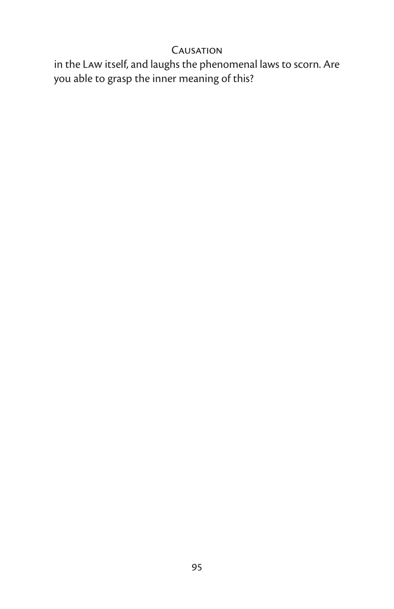## **CAUSATION**

in the Law itself, and laughs the phenomenal laws to scorn. Are you able to grasp the inner meaning of this?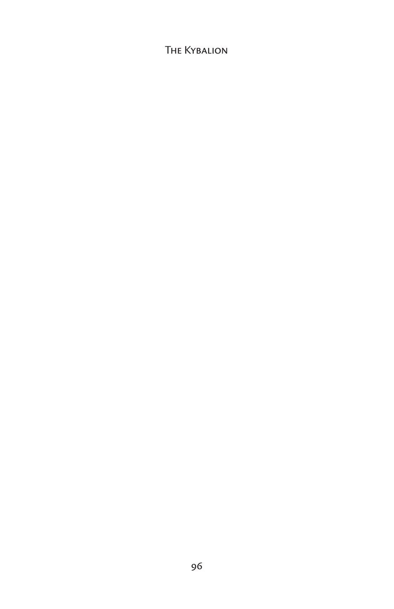## The Kybalion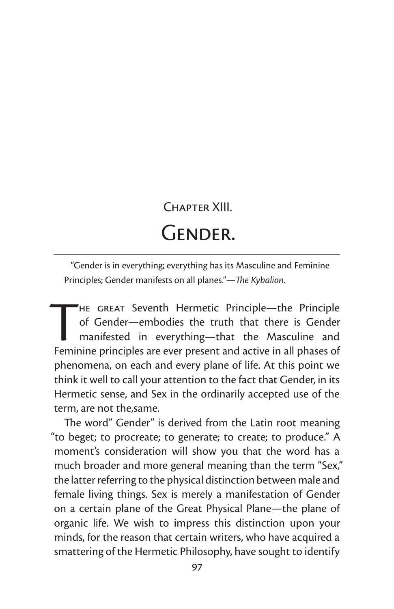# Chapter XIII. Gender.

"Gender is in everything; everything has its Masculine and Feminine Principles; Gender manifests on all planes."—*The Kybalion*.

THE GREAT Seventh Hermetic Principle—the Principle<br>of Gender—embodies the truth that there is Gender<br>manifested in everything—that the Masculine and<br>Feminine principles are ever present and active in all phases of of Gender—embodies the truth that there is Gender manifested in everything—that the Masculine and Feminine principles are ever present and active in all phases of phenomena, on each and every plane of life. At this point we think it well to call your attention to the fact that Gender, in its Hermetic sense, and Sex in the ordinarily accepted use of the term, are not the,same.

The word" Gender" is derived from the Latin root meaning "to beget; to procreate; to generate; to create; to produce." A moment's consideration will show you that the word has a much broader and more general meaning than the term "Sex," the latter referring to the physical distinction between male and female living things. Sex is merely a manifestation of Gender on a certain plane of the Great Physical Plane—the plane of organic life. We wish to impress this distinction upon your minds, for the reason that certain writers, who have acquired a smattering of the Hermetic Philosophy, have sought to identify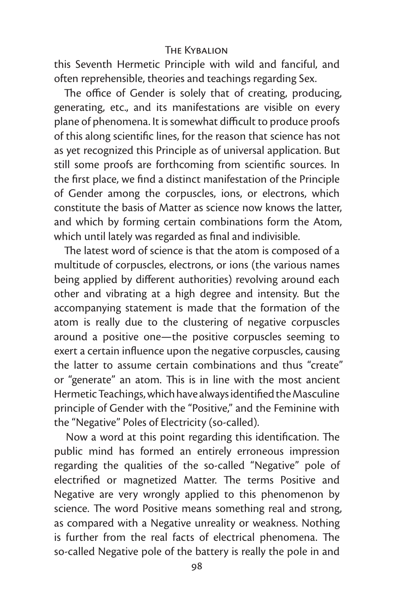this Seventh Hermetic Principle with wild and fanciful, and often reprehensible, theories and teachings regarding Sex.

The office of Gender is solely that of creating, producing, generating, etc., and its manifestations are visible on every plane of phenomena. It is somewhat difficult to produce proofs of this along scientific lines, for the reason that science has not as yet recognized this Principle as of universal application. But still some proofs are forthcoming from scientific sources. In the first place, we find a distinct manifestation of the Principle of Gender among the corpuscles, ions, or electrons, which constitute the basis of Matter as science now knows the latter, and which by forming certain combinations form the Atom, which until lately was regarded as final and indivisible.

The latest word of science is that the atom is composed of a multitude of corpuscles, electrons, or ions (the various names being applied by different authorities) revolving around each other and vibrating at a high degree and intensity. But the accompanying statement is made that the formation of the atom is really due to the clustering of negative corpuscles around a positive one—the positive corpuscles seeming to exert a certain influence upon the negative corpuscles, causing the latter to assume certain combinations and thus "create" or "generate" an atom. This is in line with the most ancient Hermetic Teachings, which have always identified the Masculine principle of Gender with the "Positive," and the Feminine with the "Negative" Poles of Electricity (so-called).

Now a word at this point regarding this identification. The public mind has formed an entirely erroneous impression regarding the qualities of the so-called "Negative" pole of electrified or magnetized Matter. The terms Positive and Negative are very wrongly applied to this phenomenon by science. The word Positive means something real and strong, as compared with a Negative unreality or weakness. Nothing is further from the real facts of electrical phenomena. The so-called Negative pole of the battery is really the pole in and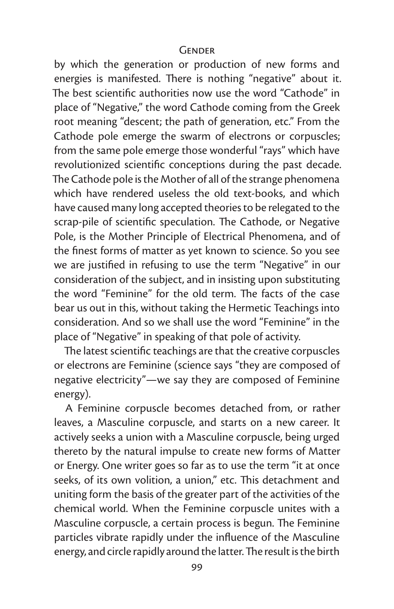#### **GENDER**

by which the generation or production of new forms and energies is manifested. There is nothing "negative" about it. The best scientific authorities now use the word "Cathode" in place of "Negative," the word Cathode coming from the Greek root meaning "descent; the path of generation, etc." From the Cathode pole emerge the swarm of electrons or corpuscles; from the same pole emerge those wonderful "rays" which have revolutionized scientific conceptions during the past decade. The Cathode pole is the Mother of all of the strange phenomena which have rendered useless the old text-books, and which have caused many long accepted theories to be relegated to the scrap-pile of scientific speculation. The Cathode, or Negative Pole, is the Mother Principle of Electrical Phenomena, and of the finest forms of matter as yet known to science. So you see we are justified in refusing to use the term "Negative" in our consideration of the subject, and in insisting upon substituting the word "Feminine" for the old term. The facts of the case bear us out in this, without taking the Hermetic Teachings into consideration. And so we shall use the word "Feminine" in the place of "Negative" in speaking of that pole of activity.

The latest scientific teachings are that the creative corpuscles or electrons are Feminine (science says "they are composed of negative electricity"—we say they are composed of Feminine energy).

A Feminine corpuscle becomes detached from, or rather leaves, a Masculine corpuscle, and starts on a new career. It actively seeks a union with a Masculine corpuscle, being urged thereto by the natural impulse to create new forms of Matter or Energy. One writer goes so far as to use the term "it at once seeks, of its own volition, a union," etc. This detachment and uniting form the basis of the greater part of the activities of the chemical world. When the Feminine corpuscle unites with a Masculine corpuscle, a certain process is begun. The Feminine particles vibrate rapidly under the influence of the Masculine energy, and circle rapidly around the latter. The result is the birth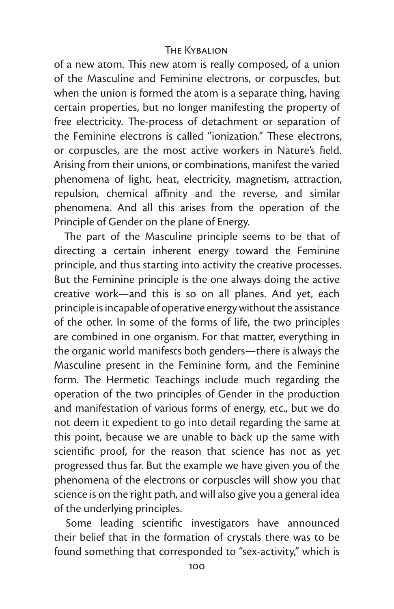of a new atom. This new atom is really composed, of a union of the Masculine and Feminine electrons, or corpuscles, but when the union is formed the atom is a separate thing, having certain properties, but no longer manifesting the property of free electricity. The‑process of detachment or separation of the Feminine electrons is called "ionization." These electrons, or corpuscles, are the most active workers in Nature's field. Arising from their unions, or combinations, manifest the varied phenomena of light, heat, electricity, magnetism, attraction, repulsion, chemical affinity and the reverse, and similar phenomena. And all this arises from the operation of the Principle of Gender on the plane of Energy.

The part of the Masculine principle seems to be that of directing a certain inherent energy toward the Feminine principle, and thus starting into activity the creative processes. But the Feminine principle is the one always doing the active creative work—and this is so on all planes. And yet, each principle is incapable of operative energy without the assistance of the other. In some of the forms of life, the two principles are combined in one organism. For that matter, everything in the organic world manifests both genders—there is always the Masculine present in the Feminine form, and the Feminine form. The Hermetic Teachings include much regarding the operation of the two principles of Gender in the production and manifestation of various forms of energy, etc., but we do not deem it expedient to go into detail regarding the same at this point, because we are unable to back up the same with scientific proof, for the reason that science has not as yet progressed thus far. But the example we have given you of the phenomena of the electrons or corpuscles will show you that science is on the right path, and will also give you a general idea of the underlying principles.

Some leading scientific investigators have announced their belief that in the formation of crystals there was to be found something that corresponded to "sex‑activity," which is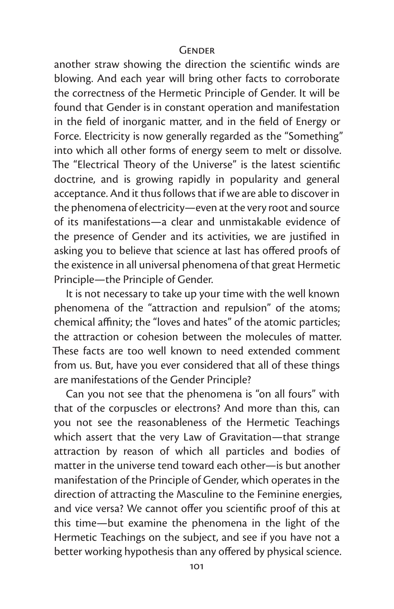### **GENDER**

another straw showing the direction the scientific winds are blowing. And each year will bring other facts to corroborate the correctness of the Hermetic Principle of Gender. It will be found that Gender is in constant operation and manifestation in the field of inorganic matter, and in the field of Energy or Force. Electricity is now generally regarded as the "Something" into which all other forms of energy seem to melt or dissolve. The "Electrical Theory of the Universe" is the latest scientific doctrine, and is growing rapidly in popularity and general acceptance. And it thus follows that if we are able to discover in the phenomena of electricity—even at the very root and source of its manifestations—a clear and unmistakable evidence of the presence of Gender and its activities, we are justified in asking you to believe that science at last has offered proofs of the existence in all universal phenomena of that great Hermetic Principle—the Principle of Gender.

It is not necessary to take up your time with the well known phenomena of the "attraction and repulsion" of the atoms; chemical affinity; the "loves and hates" of the atomic particles; the attraction or cohesion between the molecules of matter. These facts are too well known to need extended comment from us. But, have you ever considered that all of these things are manifestations of the Gender Principle?

Can you not see that the phenomena is "on all fours" with that of the corpuscles or electrons? And more than this, can you not see the reasonableness of the Hermetic Teachings which assert that the very Law of Gravitation—that strange attraction by reason of which all particles and bodies of matter in the universe tend toward each other—is but another manifestation of the Principle of Gender, which operates in the direction of attracting the Masculine to the Feminine energies, and vice versa? We cannot offer you scientific proof of this at this time—but examine the phenomena in the light of the Hermetic Teachings on the subject, and see if you have not a better working hypothesis than any offered by physical science.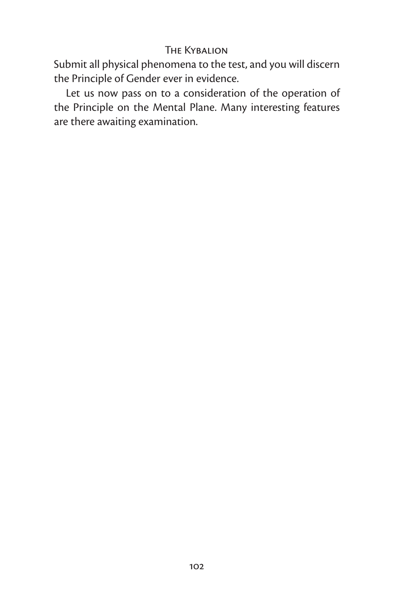# The Kybalion

Submit all physical phenomena to the test, and you will discern the Principle of Gender ever in evidence.

Let us now pass on to a consideration of the operation of the Principle on the Mental Plane. Many interesting features are there awaiting examination.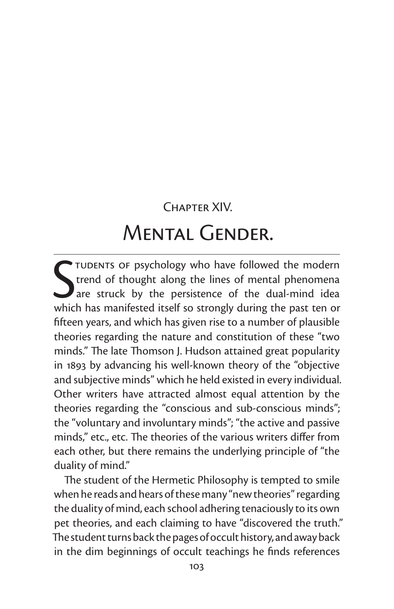# Chapter XIV.

# Mental Gender.

TUDENTS OF psychology who have followed the modern<br>trend of thought along the lines of mental phenomena<br>are struck by the persistence of the dual-mind idea<br>which has manifested itself so strongly during the past ten or trend of thought along the lines of mental phenomena are struck by the persistence of the dual-mind idea which has manifested itself so strongly during the past ten or fifteen years, and which has given rise to a number of plausible theories regarding the nature and constitution of these "two minds." The late Thomson J. Hudson attained great popularity in 1893 by advancing his well-known theory of the "objective and subjective minds" which he held existed in every individual. Other writers have attracted almost equal attention by the theories regarding the "conscious and sub‑conscious minds"; the "voluntary and involuntary minds"; "the active and passive minds," etc., etc. The theories of the various writers differ from each other, but there remains the underlying principle of "the duality of mind."

The student of the Hermetic Philosophy is tempted to smile when he reads and hears of these many "new theories" regarding the duality of mind, each school adhering tenaciously to its own pet theories, and each claiming to have "discovered the truth." The student turns back the pages of occult history, and away back in the dim beginnings of occult teachings he finds references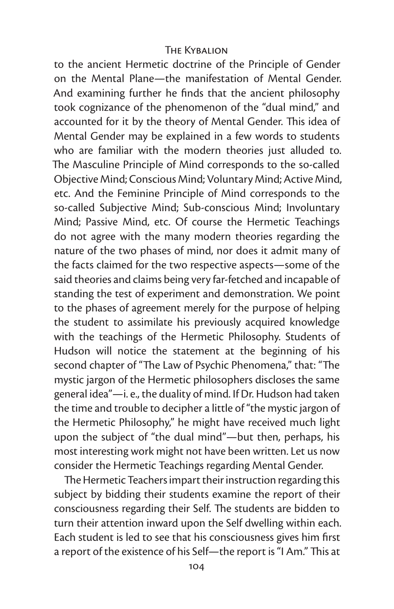to the ancient Hermetic doctrine of the Principle of Gender on the Mental Plane—the manifestation of Mental Gender. And examining further he finds that the ancient philosophy took cognizance of the phenomenon of the "dual mind," and accounted for it by the theory of Mental Gender. This idea of Mental Gender may be explained in a few words to students who are familiar with the modern theories just alluded to. The Masculine Principle of Mind corresponds to the so-called Objective Mind; Conscious Mind; Voluntary Mind; Active Mind, etc. And the Feminine Principle of Mind corresponds to the so-called Subjective Mind; Sub-conscious Mind; Involuntary Mind; Passive Mind, etc. Of course the Hermetic Teachings do not agree with the many modern theories regarding the nature of the two phases of mind, nor does it admit many of the facts claimed for the two respective aspects—some of the said theories and claims being very far-fetched and incapable of standing the test of experiment and demonstration. We point to the phases of agreement merely for the purpose of helping the student to assimilate his previously acquired knowledge with the teachings of the Hermetic Philosophy. Students of Hudson will notice the statement at the beginning of his second chapter of "The Law of Psychic Phenomena," that: "The mystic jargon of the Hermetic philosophers discloses the same general idea"—i. e., the duality of mind. If Dr. Hudson had taken the time and trouble to decipher a little of "the mystic jargon of the Hermetic Philosophy," he might have received much light upon the subject of "the dual mind"—but then, perhaps, his most interesting work might not have been written. Let us now consider the Hermetic Teachings regarding Mental Gender.

The Hermetic Teachers impart their instruction regarding this subject by bidding their students examine the report of their consciousness regarding their Self. The students are bidden to turn their attention inward upon the Self dwelling within each. Each student is led to see that his consciousness gives him first a report of the existence of his Self—the report is "I Am." This at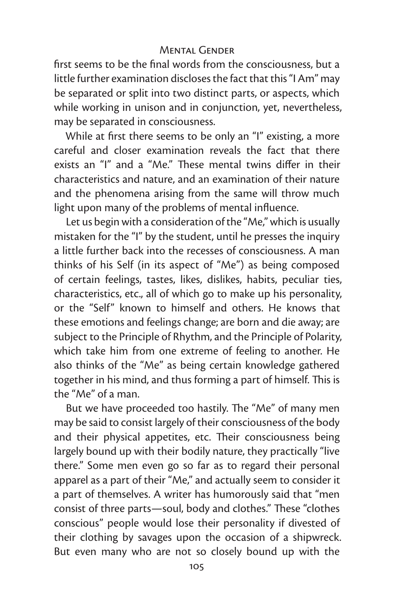# Mental Gender

first seems to be the final words from the consciousness, but a little further examination discloses the fact that this "I Am" may be separated or split into two distinct parts, or aspects, which while working in unison and in conjunction, yet, nevertheless, may be separated in consciousness.

While at first there seems to be only an "I" existing, a more careful and closer examination reveals the fact that there exists an "I" and a "Me." These mental twins differ in their characteristics and nature, and an examination of their nature and the phenomena arising from the same will throw much light upon many of the problems of mental influence.

Let us begin with a consideration of the "Me," which is usually mistaken for the "I" by the student, until he presses the inquiry a little further back into the recesses of consciousness. A man thinks of his Self (in its aspect of "Me") as being composed of certain feelings, tastes, likes, dislikes, habits, peculiar ties, characteristics, etc., all of which go to make up his personality, or the "Self" known to himself and others. He knows that these emotions and feelings change; are born and die away; are subject to the Principle of Rhythm, and the Principle of Polarity, which take him from one extreme of feeling to another. He also thinks of the "Me" as being certain knowledge gathered together in his mind, and thus forming a part of himself. This is the "Me" of a man.

But we have proceeded too hastily. The "Me" of many men may be said to consist largely of their consciousness of the body and their physical appetites, etc. Their consciousness being largely bound up with their bodily nature, they practically "live there." Some men even go so far as to regard their personal apparel as a part of their "Me," and actually seem to consider it a part of themselves. A writer has humorously said that "men consist of three parts—soul, body and clothes." These "clothes conscious" people would lose their personality if divested of their clothing by savages upon the occasion of a shipwreck. But even many who are not so closely bound up with the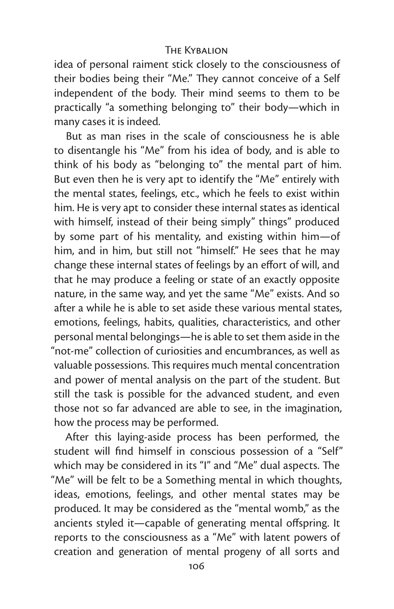idea of personal raiment stick closely to the consciousness of their bodies being their "Me." They cannot conceive of a Self independent of the body. Their mind seems to them to be practically "a something belonging to" their body—which in many cases it is indeed.

But as man rises in the scale of consciousness he is able to disentangle his "Me" from his idea of body, and is able to think of his body as "belonging to" the mental part of him. But even then he is very apt to identify the "Me" entirely with the mental states, feelings, etc., which he feels to exist within him. He is very apt to consider these internal states as identical with himself, instead of their being simply" things" produced by some part of his mentality, and existing within him—of him, and in him, but still not "himself." He sees that he may change these internal states of feelings by an effort of will, and that he may produce a feeling or state of an exactly opposite nature, in the same way, and yet the same "Me" exists. And so after a while he is able to set aside these various mental states, emotions, feelings, habits, qualities, characteristics, and other personal mental belongings—he is able to set them aside in the "not‑me" collection of curiosities and encumbrances, as well as valuable possessions. This requires much mental concentration and power of mental analysis on the part of the student. But still the task is possible for the advanced student, and even those not so far advanced are able to see, in the imagination, how the process may be performed.

After this laying-aside process has been performed, the student will find himself in conscious possession of a "Self" which may be considered in its "I" and "Me" dual aspects. The "Me" will be felt to be a Something mental in which thoughts, ideas, emotions, feelings, and other mental states may be produced. It may be considered as the "mental womb," as the ancients styled it—capable of generating mental offspring. It reports to the consciousness as a "Me" with latent powers of creation and generation of mental progeny of all sorts and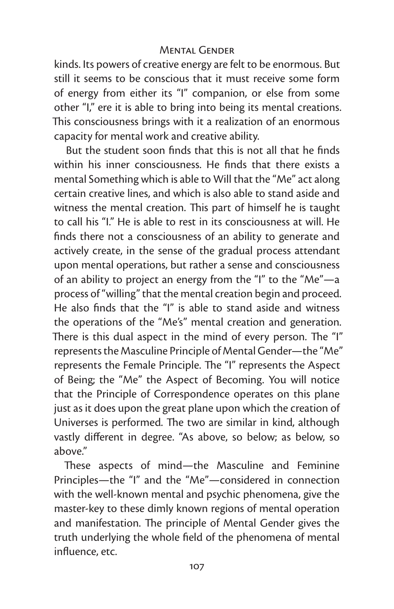## Mental Gender

kinds. Its powers of creative energy are felt to be enormous. But still it seems to be conscious that it must receive some form of energy from either its "I" companion, or else from some other "I," ere it is able to bring into being its mental creations. This consciousness brings with it a realization of an enormous capacity for mental work and creative ability.

But the student soon finds that this is not all that he finds within his inner consciousness. He finds that there exists a mental Something which is able to Will that the "Me" act along certain creative lines, and which is also able to stand aside and witness the mental creation. This part of himself he is taught to call his "I." He is able to rest in its consciousness at will. He finds there not a consciousness of an ability to generate and actively create, in the sense of the gradual process attendant upon mental operations, but rather a sense and consciousness of an ability to project an energy from the "I" to the "Me"—a process of "willing" that the mental creation begin and proceed. He also finds that the "I" is able to stand aside and witness the operations of the "Me's" mental creation and generation. There is this dual aspect in the mind of every person. The "I" represents the Masculine Principle of Mental Gender—the "Me" represents the Female Principle. The "I" represents the Aspect of Being; the "Me" the Aspect of Becoming. You will notice that the Principle of Correspondence operates on this plane just as it does upon the great plane upon which the creation of Universes is performed. The two are similar in kind, although vastly different in degree. "As above, so below; as below, so above."

These aspects of mind—the Masculine and Feminine Principles—the "I" and the "Me"—considered in connection with the well-known mental and psychic phenomena, give the master‑key to these dimly known regions of mental operation and manifestation. The principle of Mental Gender gives the truth underlying the whole field of the phenomena of mental influence, etc.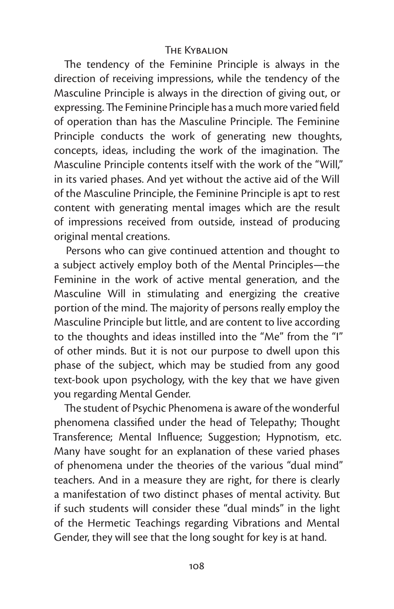The tendency of the Feminine Principle is always in the direction of receiving impressions, while the tendency of the Masculine Principle is always in the direction of giving out, or expressing. The Feminine Principle has a much more varied field of operation than has the Masculine Principle. The Feminine Principle conducts the work of generating new thoughts, concepts, ideas, including the work of the imagination. The Masculine Principle contents itself with the work of the "Will," in its varied phases. And yet without the active aid of the Will of the Masculine Principle, the Feminine Principle is apt to rest content with generating mental images which are the result of impressions received from outside, instead of producing original mental creations.

Persons who can give continued attention and thought to a subject actively employ both of the Mental Principles—the Feminine in the work of active mental generation, and the Masculine Will in stimulating and energizing the creative portion of the mind. The majority of persons really employ the Masculine Principle but little, and are content to live according to the thoughts and ideas instilled into the "Me" from the "I" of other minds. But it is not our purpose to dwell upon this phase of the subject, which may be studied from any good text‑book upon psychology, with the key that we have given you regarding Mental Gender.

The student of Psychic Phenomena is aware of the wonderful phenomena classified under the head of Telepathy; Thought Transference; Mental Influence; Suggestion; Hypnotism, etc. Many have sought for an explanation of these varied phases of phenomena under the theories of the various "dual mind" teachers. And in a measure they are right, for there is clearly a manifestation of two distinct phases of mental activity. But if such students will consider these "dual minds" in the light of the Hermetic Teachings regarding Vibrations and Mental Gender, they will see that the long sought for key is at hand.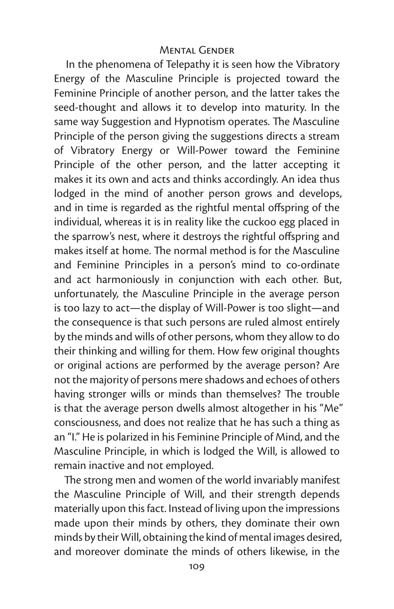### Mental Gender

In the phenomena of Telepathy it is seen how the Vibratory Energy of the Masculine Principle is projected toward the Feminine Principle of another person, and the latter takes the seed-thought and allows it to develop into maturity. In the same way Suggestion and Hypnotism operates. The Masculine Principle of the person giving the suggestions directs a stream of Vibratory Energy or Will‑Power toward the Feminine Principle of the other person, and the latter accepting it makes it its own and acts and thinks accordingly. An idea thus lodged in the mind of another person grows and develops, and in time is regarded as the rightful mental offspring of the individual, whereas it is in reality like the cuckoo egg placed in the sparrow's nest, where it destroys the rightful offspring and makes itself at home. The normal method is for the Masculine and Feminine Principles in a person's mind to co-ordinate and act harmoniously in conjunction with each other. But, unfortunately, the Masculine Principle in the average person is too lazy to act—the display of Will‑Power is too slight—and the consequence is that such persons are ruled almost entirely by the minds and wills of other persons, whom they allow to do their thinking and willing for them. How few original thoughts or original actions are performed by the average person? Are not the majority of persons mere shadows and echoes of others having stronger wills or minds than themselves? The trouble is that the average person dwells almost altogether in his "Me" consciousness, and does not realize that he has such a thing as an "I." He is polarized in his Feminine Principle of Mind, and the Masculine Principle, in which is lodged the Will, is allowed to remain inactive and not employed.

The strong men and women of the world invariably manifest the Masculine Principle of Will, and their strength depends materially upon this fact. Instead of living upon the impressions made upon their minds by others, they dominate their own minds by their Will, obtaining the kind of mental images desired, and moreover dominate the minds of others likewise, in the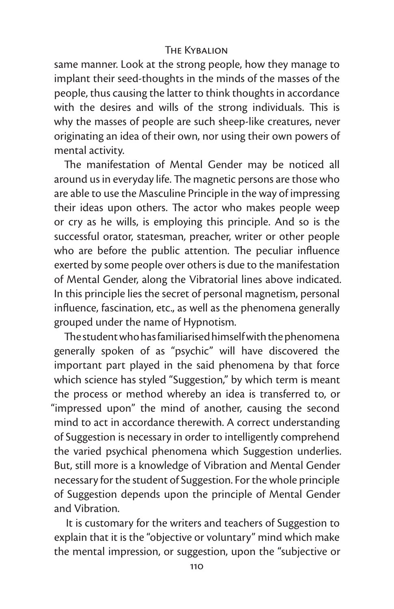same manner. Look at the strong people, how they manage to implant their seed-thoughts in the minds of the masses of the people, thus causing the latter to think thoughts in accordance with the desires and wills of the strong individuals. This is why the masses of people are such sheep-like creatures, never originating an idea of their own, nor using their own powers of mental activity.

The manifestation of Mental Gender may be noticed all around us in everyday life. The magnetic persons are those who are able to use the Masculine Principle in the way of impressing their ideas upon others. The actor who makes people weep or cry as he wills, is employing this principle. And so is the successful orator, statesman, preacher, writer or other people who are before the public attention. The peculiar influence exerted by some people over others is due to the manifestation of Mental Gender, along the Vibratorial lines above indicated. In this principle lies the secret of personal magnetism, personal influence, fascination, etc., as well as the phenomena generally grouped under the name of Hypnotism.

The student who has familiarised himself with the phenomena generally spoken of as "psychic" will have discovered the important part played in the said phenomena by that force which science has styled "Suggestion," by which term is meant the process or method whereby an idea is transferred to, or "impressed upon" the mind of another, causing the second mind to act in accordance therewith. A correct understanding of Suggestion is necessary in order to intelligently comprehend the varied psychical phenomena which Suggestion underlies. But, still more is a knowledge of Vibration and Mental Gender necessary for the student of Suggestion. For the whole principle of Suggestion depends upon the principle of Mental Gender and Vibration.

It is customary for the writers and teachers of Suggestion to explain that it is the "objective or voluntary" mind which make the mental impression, or suggestion, upon the "subjective or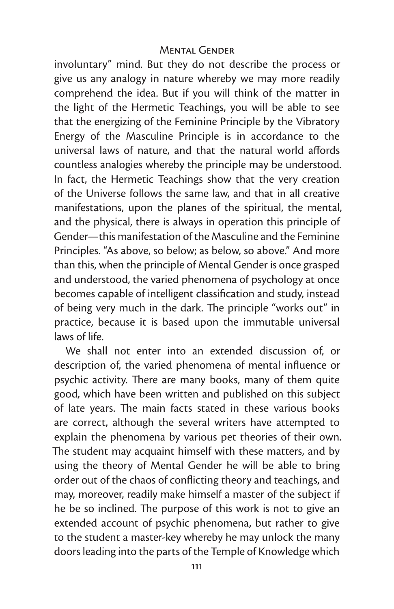### Mental Gender

involuntary" mind. But they do not describe the process or give us any analogy in nature whereby we may more readily comprehend the idea. But if you will think of the matter in the light of the Hermetic Teachings, you will be able to see that the energizing of the Feminine Principle by the Vibratory Energy of the Masculine Principle is in accordance to the universal laws of nature, and that the natural world affords countless analogies whereby the principle may be understood. In fact, the Hermetic Teachings show that the very creation of the Universe follows the same law, and that in all creative manifestations, upon the planes of the spiritual, the mental, and the physical, there is always in operation this principle of Gender—this manifestation of the Masculine and the Feminine Principles. "As above, so below; as below, so above." And more than this, when the principle of Mental Gender is once grasped and understood, the varied phenomena of psychology at once becomes capable of intelligent classification and study, instead of being very much in the dark. The principle "works out" in practice, because it is based upon the immutable universal laws of life.

We shall not enter into an extended discussion of, or description of, the varied phenomena of mental influence or psychic activity. There are many books, many of them quite good, which have been written and published on this subject of late years. The main facts stated in these various books are correct, although the several writers have attempted to explain the phenomena by various pet theories of their own. The student may acquaint himself with these matters, and by using the theory of Mental Gender he will be able to bring order out of the chaos of conflicting theory and teachings, and may, moreover, readily make himself a master of the subject if he be so inclined. The purpose of this work is not to give an extended account of psychic phenomena, but rather to give to the student a master‑key whereby he may unlock the many doors leading into the parts of the Temple of Knowledge which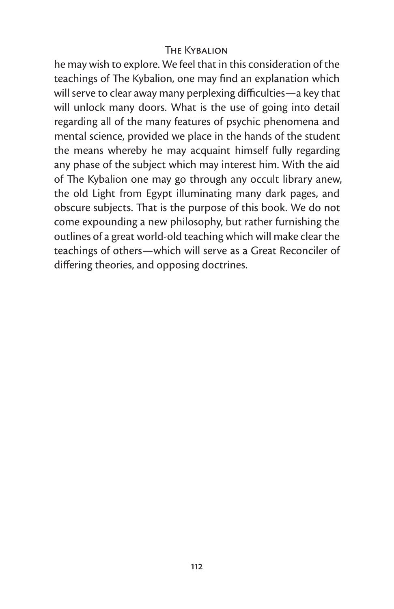he may wish to explore. We feel that in this consideration of the teachings of The Kybalion, one may find an explanation which will serve to clear away many perplexing difficulties—a key that will unlock many doors. What is the use of going into detail regarding all of the many features of psychic phenomena and mental science, provided we place in the hands of the student the means whereby he may acquaint himself fully regarding any phase of the subject which may interest him. With the aid of The Kybalion one may go through any occult library anew, the old Light from Egypt illuminating many dark pages, and obscure subjects. That is the purpose of this book. We do not come expounding a new philosophy, but rather furnishing the outlines of a great world‑old teaching which will make clear the teachings of others—which will serve as a Great Reconciler of differing theories, and opposing doctrines.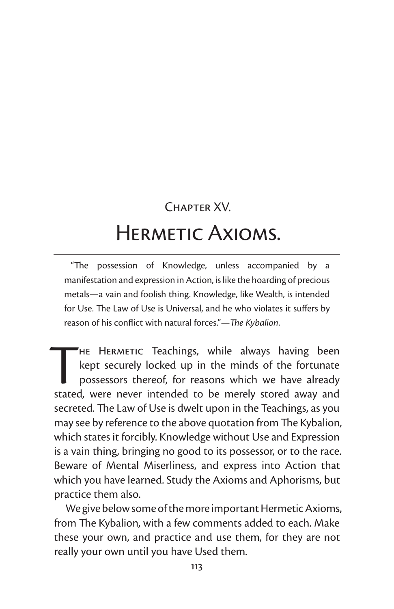# Chapter XV.

# Hermetic Axioms.

"The possession of Knowledge, unless accompanied by a manifestation and expression in Action, is like the hoarding of precious metals—a vain and foolish thing. Knowledge, like Wealth, is intended for Use. The Law of Use is Universal, and he who violates it suffers by reason of his conflict with natural forces."—*The Kybalion*.

THE HERMETIC Teachings, while always having been<br>kept securely locked up in the minds of the fortunate<br>possessors thereof, for reasons which we have already<br>stated were never intended to be merely stored away and kept securely locked up in the minds of the fortunate possessors thereof, for reasons which we have already stated, were never intended to be merely stored away and secreted. The Law of Use is dwelt upon in the Teachings, as you may see by reference to the above quotation from The Kybalion, which states it forcibly. Knowledge without Use and Expression is a vain thing, bringing no good to its possessor, or to the race. Beware of Mental Miserliness, and express into Action that which you have learned. Study the Axioms and Aphorisms, but practice them also.

We give below some of the more important Hermetic Axioms, from The Kybalion, with a few comments added to each. Make these your own, and practice and use them, for they are not really your own until you have Used them.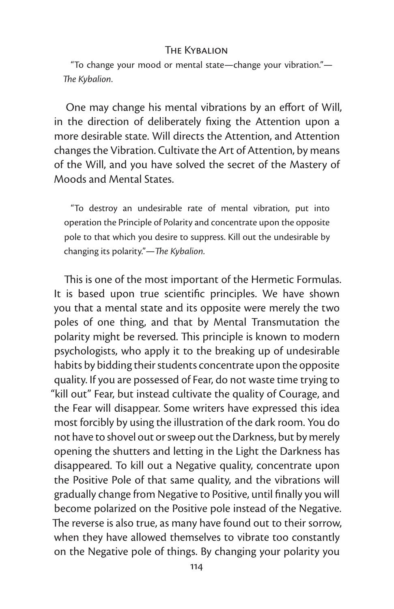#### The Kybalion

"To change your mood or mental state—change your vibration."— *The Kybalion*.

One may change his mental vibrations by an effort of Will, in the direction of deliberately fixing the Attention upon a more desirable state. Will directs the Attention, and Attention changes the Vibration. Cultivate the Art of Attention, by means of the Will, and you have solved the secret of the Mastery of Moods and Mental States.

"To destroy an undesirable rate of mental vibration, put into operation the Principle of Polarity and concentrate upon the opposite pole to that which you desire to suppress. Kill out the undesirable by changing its polarity."—*The Kybalion*.

This is one of the most important of the Hermetic Formulas. It is based upon true scientific principles. We have shown you that a mental state and its opposite were merely the two poles of one thing, and that by Mental Transmutation the polarity might be reversed. This principle is known to modern psychologists, who apply it to the breaking up of undesirable habits by bidding their students concentrate upon the opposite quality. If you are possessed of Fear, do not waste time trying to "kill out" Fear, but instead cultivate the quality of Courage, and the Fear will disappear. Some writers have expressed this idea most forcibly by using the illustration of the dark room. You do not have to shovel out or sweep out the Darkness, but by merely opening the shutters and letting in the Light the Darkness has disappeared. To kill out a Negative quality, concentrate upon the Positive Pole of that same quality, and the vibrations will gradually change from Negative to Positive, until finally you will become polarized on the Positive pole instead of the Negative. The reverse is also true, as many have found out to their sorrow, when they have allowed themselves to vibrate too constantly on the Negative pole of things. By changing your polarity you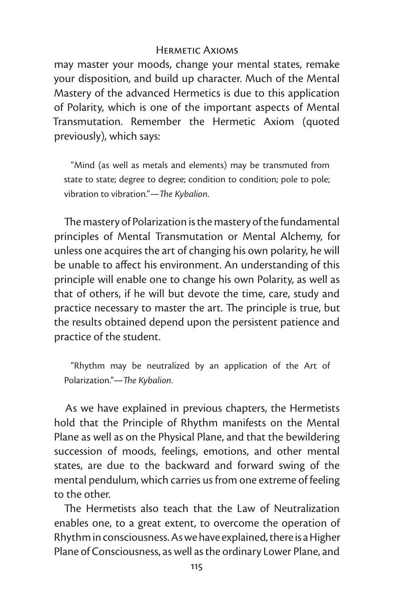#### Hermetic Axioms

may master your moods, change your mental states, remake your disposition, and build up character. Much of the Mental Mastery of the advanced Hermetics is due to this application of Polarity, which is one of the important aspects of Mental Transmutation. Remember the Hermetic Axiom (quoted previously), which says:

"Mind (as well as metals and elements) may be transmuted from state to state; degree to degree; condition to condition; pole to pole; vibration to vibration."—*The Kybalion*.

The mastery of Polarization is the mastery of the fundamental principles of Mental Transmutation or Mental Alchemy, for unless one acquires the art of changing his own polarity, he will be unable to affect his environment. An understanding of this principle will enable one to change his own Polarity, as well as that of others, if he will but devote the time, care, study and practice necessary to master the art. The principle is true, but the results obtained depend upon the persistent patience and practice of the student.

"Rhythm may be neutralized by an application of the Art of Polarization."—*The Kybalion*.

As we have explained in previous chapters, the Hermetists hold that the Principle of Rhythm manifests on the Mental Plane as well as on the Physical Plane, and that the bewildering succession of moods, feelings, emotions, and other mental states, are due to the backward and forward swing of the mental pendulum, which carries us from one extreme of feeling to the other.

The Hermetists also teach that the Law of Neutralization enables one, to a great extent, to overcome the operation of Rhythm in consciousness. As we have explained, there is a Higher Plane of Consciousness, as well as the ordinary Lower Plane, and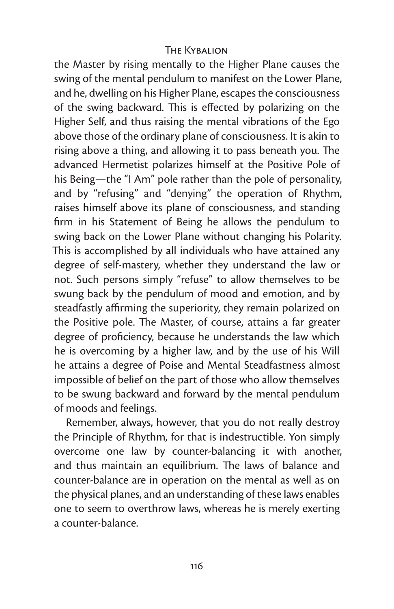the Master by rising mentally to the Higher Plane causes the swing of the mental pendulum to manifest on the Lower Plane, and he, dwelling on his Higher Plane, escapes the consciousness of the swing backward. This is effected by polarizing on the Higher Self, and thus raising the mental vibrations of the Ego above those of the ordinary plane of consciousness. It is akin to rising above a thing, and allowing it to pass beneath you. The advanced Hermetist polarizes himself at the Positive Pole of his Being—the "I Am" pole rather than the pole of personality, and by "refusing" and "denying" the operation of Rhythm, raises himself above its plane of consciousness, and standing firm in his Statement of Being he allows the pendulum to swing back on the Lower Plane without changing his Polarity. This is accomplished by all individuals who have attained any degree of self-mastery, whether they understand the law or not. Such persons simply "refuse" to allow themselves to be swung back by the pendulum of mood and emotion, and by steadfastly affirming the superiority, they remain polarized on the Positive pole. The Master, of course, attains a far greater degree of proficiency, because he understands the law which he is overcoming by a higher law, and by the use of his Will he attains a degree of Poise and Mental Steadfastness almost impossible of belief on the part of those who allow themselves to be swung backward and forward by the mental pendulum of moods and feelings.

Remember, always, however, that you do not really destroy the Principle of Rhythm, for that is indestructible. Yon simply overcome one law by counter-balancing it with another, and thus maintain an equilibrium. The laws of balance and counter‑balance are in operation on the mental as well as on the physical planes, and an understanding of these laws enables one to seem to overthrow laws, whereas he is merely exerting a counter‑balance.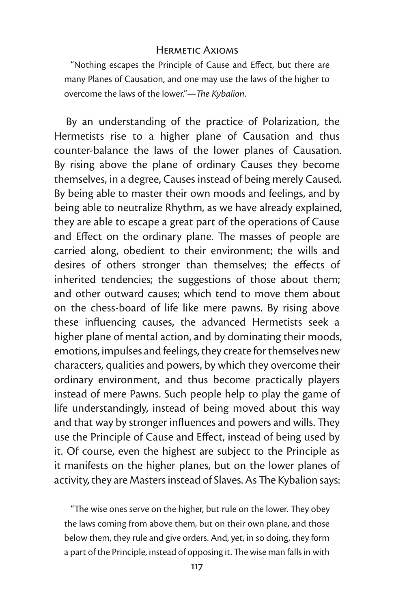#### Hermetic Axioms

"Nothing escapes the Principle of Cause and Effect, but there are many Planes of Causation, and one may use the laws of the higher to overcome the laws of the lower."—*The Kybalion*.

By an understanding of the practice of Polarization, the Hermetists rise to a higher plane of Causation and thus counter‑balance the laws of the lower planes of Causation. By rising above the plane of ordinary Causes they become themselves, in a degree, Causes instead of being merely Caused. By being able to master their own moods and feelings, and by being able to neutralize Rhythm, as we have already explained, they are able to escape a great part of the operations of Cause and Effect on the ordinary plane. The masses of people are carried along, obedient to their environment; the wills and desires of others stronger than themselves; the effects of inherited tendencies; the suggestions of those about them; and other outward causes; which tend to move them about on the chess‑board of life like mere pawns. By rising above these influencing causes, the advanced Hermetists seek a higher plane of mental action, and by dominating their moods, emotions, impulses and feelings, they create for themselves new characters, qualities and powers, by which they overcome their ordinary environment, and thus become practically players instead of mere Pawns. Such people help to play the game of life understandingly, instead of being moved about this way and that way by stronger influences and powers and wills. They use the Principle of Cause and Effect, instead of being used by it. Of course, even the highest are subject to the Principle as it manifests on the higher planes, but on the lower planes of activity, they are Masters instead of Slaves. As The Kybalion says:

"The wise ones serve on the higher, but rule on the lower. They obey the laws coming from above them, but on their own plane, and those below them, they rule and give orders. And, yet, in so doing, they form a part of the Principle, instead of opposing it. The wise man falls in with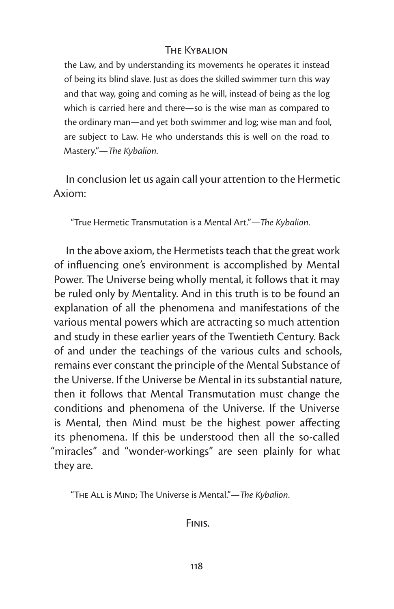the Law, and by understanding its movements he operates it instead of being its blind slave. Just as does the skilled swimmer turn this way and that way, going and coming as he will, instead of being as the log which is carried here and there—so is the wise man as compared to the ordinary man—and yet both swimmer and log; wise man and fool, are subject to Law. He who understands this is well on the road to Mastery."—*The Kybalion*.

In conclusion let us again call your attention to the Hermetic Axiom:

"True Hermetic Transmutation is a Mental Art."—*The Kybalion*.

In the above axiom, the Hermetists teach that the great work of influencing one's environment is accomplished by Mental Power. The Universe being wholly mental, it follows that it may be ruled only by Mentality. And in this truth is to be found an explanation of all the phenomena and manifestations of the various mental powers which are attracting so much attention and study in these earlier years of the Twentieth Century. Back of and under the teachings of the various cults and schools, remains ever constant the principle of the Mental Substance of the Universe. If the Universe be Mental in its substantial nature, then it follows that Mental Transmutation must change the conditions and phenomena of the Universe. If the Universe is Mental, then Mind must be the highest power affecting its phenomena. If this be understood then all the so-called "miracles" and "wonder‑workings" are seen plainly for what they are.

"The All is Mind; The Universe is Mental."—*The Kybalion*.

Finis.